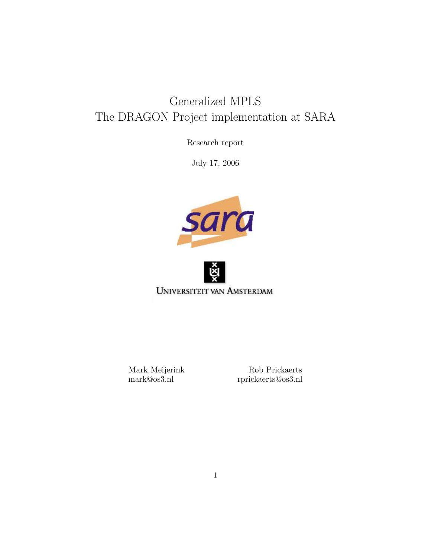# Generalized MPLS The DRAGON Project implementation at SARA

Research report

July 17, 2006





Mark Meijerink Rob Prickaerts mark@os3.nl rprickaerts@os3.nl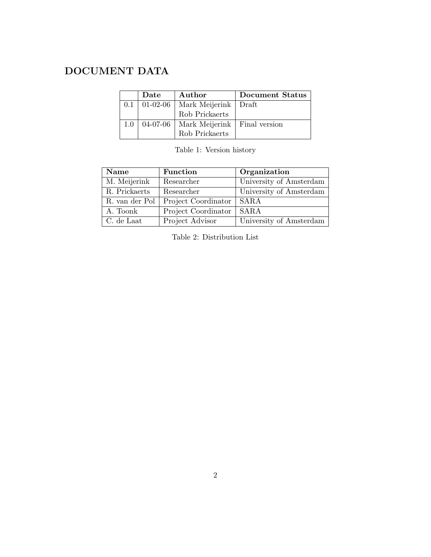# DOCUMENT DATA

|     | Date       | Author                         | Document Status |
|-----|------------|--------------------------------|-----------------|
| 0.1 | $01-02-06$ | Mark Meijerink   Draft         |                 |
|     |            | Rob Prickaerts                 |                 |
| 1.0 | $04-07-06$ | Mark Meijerink   Final version |                 |
|     |            | Rob Prickaerts                 |                 |

Table 1: Version history

| Name           | Function            | Organization            |
|----------------|---------------------|-------------------------|
| M. Meijerink   | Researcher          | University of Amsterdam |
| R. Prickaerts  | Researcher          | University of Amsterdam |
| R. van der Pol | Project Coordinator | <b>SARA</b>             |
| A. Toonk       | Project Coordinator | <b>SARA</b>             |
| C. de Laat     | Project Advisor     | University of Amsterdam |

Table 2: Distribution List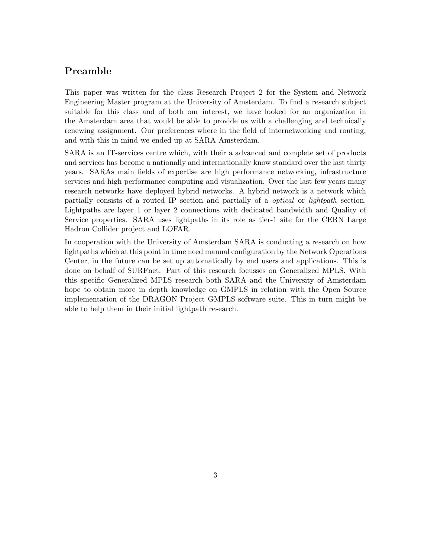# Preamble

This paper was written for the class Research Project 2 for the System and Network Engineering Master program at the University of Amsterdam. To find a research subject suitable for this class and of both our interest, we have looked for an organization in the Amsterdam area that would be able to provide us with a challenging and technically renewing assignment. Our preferences where in the field of internetworking and routing, and with this in mind we ended up at SARA Amsterdam.

SARA is an IT-services centre which, with their a advanced and complete set of products and services has become a nationally and internationally know standard over the last thirty years. SARAs main fields of expertise are high performance networking, infrastructure services and high performance computing and visualization. Over the last few years many research networks have deployed hybrid networks. A hybrid network is a network which partially consists of a routed IP section and partially of a optical or lightpath section. Lightpaths are layer 1 or layer 2 connections with dedicated bandwidth and Quality of Service properties. SARA uses lightpaths in its role as tier-1 site for the CERN Large Hadron Collider project and LOFAR.

In cooperation with the University of Amsterdam SARA is conducting a research on how lightpaths which at this point in time need manual configuration by the Network Operations Center, in the future can be set up automatically by end users and applications. This is done on behalf of SURFnet. Part of this research focusses on Generalized MPLS. With this specific Generalized MPLS research both SARA and the University of Amsterdam hope to obtain more in depth knowledge on GMPLS in relation with the Open Source implementation of the DRAGON Project GMPLS software suite. This in turn might be able to help them in their initial lightpath research.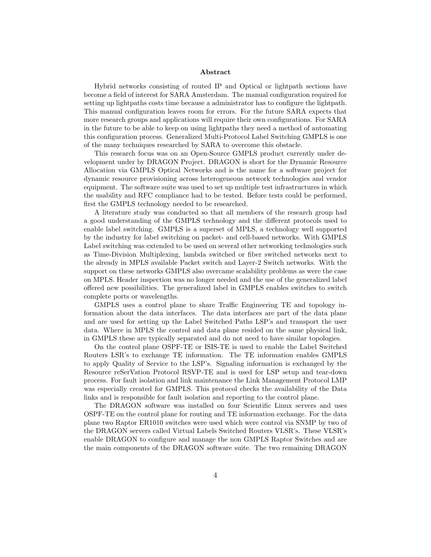#### Abstract

Hybrid networks consisting of routed IP and Optical or lightpath sections have become a field of interest for SARA Amsterdam. The manual configuration required for setting up lightpaths costs time because a administrator has to configure the lightpath. This manual configuration leaves room for errors. For the future SARA expects that more research groups and applications will require their own configurations. For SARA in the future to be able to keep on using lightpaths they need a method of automating this configuration process. Generalized Multi-Protocol Label Switching GMPLS is one of the many techniques researched by SARA to overcome this obstacle.

This research focus was on an Open-Source GMPLS product currently under development under by DRAGON Project. DRAGON is short for the Dynamic Resource Allocation via GMPLS Optical Networks and is the name for a software project for dynamic resource provisioning across heterogeneous network technologies and vendor equipment. The software suite was used to set up multiple test infrastructures in which the usability and RFC compliance had to be tested. Before tests could be performed, first the GMPLS technology needed to be researched.

A literature study was conducted so that all members of the research group had a good understanding of the GMPLS technology and the different protocols used to enable label switching. GMPLS is a superset of MPLS, a technology well supported by the industry for label switching on packet- and cell-based networks. With GMPLS Label switching was extended to be used on several other networking technologies such as Time-Division Multiplexing, lambda switched or fiber switched networks next to the already in MPLS available Packet switch and Layer-2 Switch networks. With the support on these networks GMPLS also overcame scalability problems as were the case on MPLS. Header inspection was no longer needed and the use of the generalized label offered new possibilities. The generalized label in GMPLS enables switches to switch complete ports or wavelengths.

GMPLS uses a control plane to share Traffic Engineering TE and topology information about the data interfaces. The data interfaces are part of the data plane and are used for setting up the Label Switched Paths LSP's and transport the user data. Where in MPLS the control and data plane resided on the same physical link, in GMPLS these are typically separated and do not need to have similar topologies.

On the control plane OSPF-TE or ISIS-TE is used to enable the Label Switched Routers LSR's to exchange TE information. The TE information enables GMPLS to apply Quality of Service to the LSP's. Signaling information is exchanged by the Resource reSerVation Protocol RSVP-TE and is used for LSP setup and tear-down process. For fault isolation and link maintenance the Link Management Protocol LMP was especially created for GMPLS. This protocol checks the availability of the Data links and is responsible for fault isolation and reporting to the control plane.

The DRAGON software was installed on four Scientific Linux servers and uses OSPF-TE on the control plane for routing and TE information exchange. For the data plane two Raptor ER1010 switches were used which were control via SNMP by two of the DRAGON servers called Virtual Labels Switched Routers VLSR's. These VLSR's enable DRAGON to configure and manage the non GMPLS Raptor Switches and are the main components of the DRAGON software suite. The two remaining DRAGON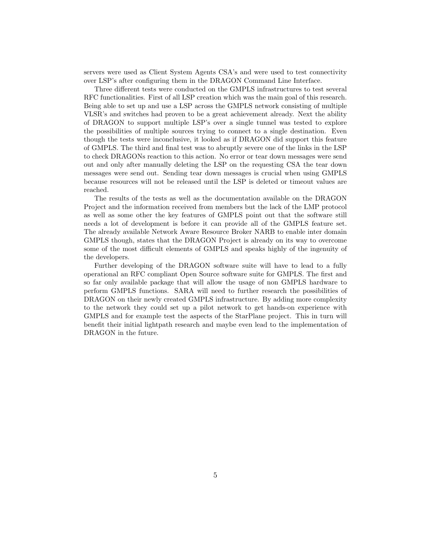servers were used as Client System Agents CSA's and were used to test connectivity over LSP's after configuring them in the DRAGON Command Line Interface.

Three different tests were conducted on the GMPLS infrastructures to test several RFC functionalities. First of all LSP creation which was the main goal of this research. Being able to set up and use a LSP across the GMPLS network consisting of multiple VLSR's and switches had proven to be a great achievement already. Next the ability of DRAGON to support multiple LSP's over a single tunnel was tested to explore the possibilities of multiple sources trying to connect to a single destination. Even though the tests were inconclusive, it looked as if DRAGON did support this feature of GMPLS. The third and final test was to abruptly severe one of the links in the LSP to check DRAGONs reaction to this action. No error or tear down messages were send out and only after manually deleting the LSP on the requesting CSA the tear down messages were send out. Sending tear down messages is crucial when using GMPLS because resources will not be released until the LSP is deleted or timeout values are reached.

The results of the tests as well as the documentation available on the DRAGON Project and the information received from members but the lack of the LMP protocol as well as some other the key features of GMPLS point out that the software still needs a lot of development is before it can provide all of the GMPLS feature set. The already available Network Aware Resource Broker NARB to enable inter domain GMPLS though, states that the DRAGON Project is already on its way to overcome some of the most difficult elements of GMPLS and speaks highly of the ingenuity of the developers.

Further developing of the DRAGON software suite will have to lead to a fully operational an RFC compliant Open Source software suite for GMPLS. The first and so far only available package that will allow the usage of non GMPLS hardware to perform GMPLS functions. SARA will need to further research the possibilities of DRAGON on their newly created GMPLS infrastructure. By adding more complexity to the network they could set up a pilot network to get hands-on experience with GMPLS and for example test the aspects of the StarPlane project. This in turn will benefit their initial lightpath research and maybe even lead to the implementation of DRAGON in the future.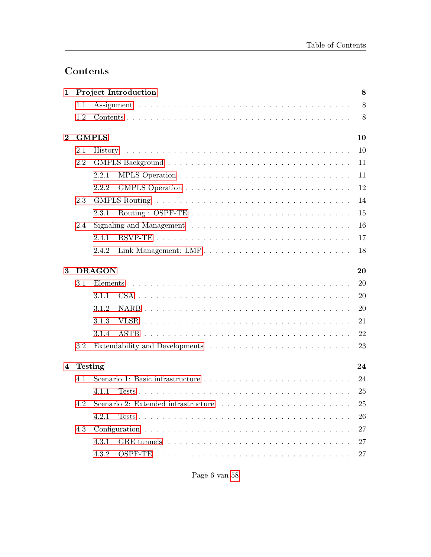# Contents

| 1        |                | <b>Project Introduction</b><br>$\bf 8$ |                |  |  |  |  |  |  |
|----------|----------------|----------------------------------------|----------------|--|--|--|--|--|--|
|          | 1.1            |                                        | $8\phantom{.}$ |  |  |  |  |  |  |
|          | 1.2            |                                        | 8              |  |  |  |  |  |  |
| $\bf{2}$ |                | <b>GMPLS</b>                           | 10             |  |  |  |  |  |  |
|          | 2.1            |                                        | 10             |  |  |  |  |  |  |
|          | 2.2            |                                        | 11             |  |  |  |  |  |  |
|          |                | 2.2.1                                  | 11             |  |  |  |  |  |  |
|          |                | 2.2.2                                  | 12             |  |  |  |  |  |  |
|          | 2.3            |                                        | 14             |  |  |  |  |  |  |
|          |                | 2.3.1                                  | 15             |  |  |  |  |  |  |
|          | 2.4            |                                        | 16             |  |  |  |  |  |  |
|          |                | 2.4.1                                  | 17             |  |  |  |  |  |  |
|          |                | 2.4.2                                  | 18             |  |  |  |  |  |  |
| 3        |                | <b>DRAGON</b>                          | 20             |  |  |  |  |  |  |
|          | 3.1            | Elements                               | 20             |  |  |  |  |  |  |
|          |                | 3.1.1                                  | 20             |  |  |  |  |  |  |
|          |                | 3.1.2                                  | 20             |  |  |  |  |  |  |
|          |                | 3.1.3                                  | 21             |  |  |  |  |  |  |
|          |                | 3.1.4                                  | 22             |  |  |  |  |  |  |
|          | 3.2            |                                        | 23             |  |  |  |  |  |  |
| 4        | <b>Testing</b> |                                        | 24             |  |  |  |  |  |  |
|          | 4.1            |                                        | 24             |  |  |  |  |  |  |
|          |                | 4.1.1                                  | 25             |  |  |  |  |  |  |
|          | 4.2            |                                        | 25             |  |  |  |  |  |  |
|          |                | 4.2.1                                  | 26             |  |  |  |  |  |  |
|          | 4.3            |                                        | 27             |  |  |  |  |  |  |
|          |                | 4.3.1                                  | 27             |  |  |  |  |  |  |
|          |                | 4.3.2                                  | 27             |  |  |  |  |  |  |
|          |                |                                        |                |  |  |  |  |  |  |

Page 6 van [58](#page-57-0)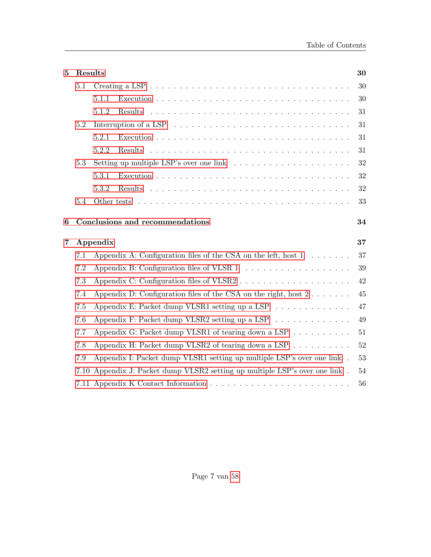| 5                | Results |                                                                                                      | 30 |  |  |  |  |  |  |
|------------------|---------|------------------------------------------------------------------------------------------------------|----|--|--|--|--|--|--|
|                  | 5.1     | Creating a LSP $\ldots \ldots \ldots \ldots \ldots \ldots \ldots \ldots \ldots \ldots \ldots \ldots$ | 30 |  |  |  |  |  |  |
|                  |         | 5.1.1                                                                                                | 30 |  |  |  |  |  |  |
|                  |         | 5.1.2<br>Results                                                                                     | 31 |  |  |  |  |  |  |
|                  | 5.2     | Interruption of a LSP $\ldots \ldots \ldots \ldots \ldots \ldots \ldots \ldots \ldots \ldots$<br>31  |    |  |  |  |  |  |  |
|                  |         | 5.2.1                                                                                                | 31 |  |  |  |  |  |  |
|                  |         | 5.2.2                                                                                                | 31 |  |  |  |  |  |  |
|                  | 5.3     | Setting up multiple LSP's over one link $\ldots \ldots \ldots \ldots \ldots \ldots$                  | 32 |  |  |  |  |  |  |
|                  |         | 5.3.1                                                                                                | 32 |  |  |  |  |  |  |
|                  |         | 5.3.2                                                                                                | 32 |  |  |  |  |  |  |
|                  | 5.4     |                                                                                                      | 33 |  |  |  |  |  |  |
| $\boldsymbol{6}$ |         | Conclusions and recommendations                                                                      | 34 |  |  |  |  |  |  |
| $\overline{7}$   |         | Appendix                                                                                             | 37 |  |  |  |  |  |  |
|                  | 7.1     | Appendix A: Configuration files of the CSA on the left, host $1 \dots \dots$                         |    |  |  |  |  |  |  |
|                  |         |                                                                                                      | 37 |  |  |  |  |  |  |
|                  | 7.2     | Appendix B: Configuration files of VLSR $1 \ldots \ldots \ldots \ldots \ldots \ldots$                | 39 |  |  |  |  |  |  |
|                  | 7.3     |                                                                                                      | 42 |  |  |  |  |  |  |
|                  | 7.4     | Appendix D: Configuration files of the CSA on the right, host $2 \ldots \ldots$                      | 45 |  |  |  |  |  |  |
|                  | 7.5     | Appendix E: Packet dump VLSR1 setting up a LSP                                                       | 47 |  |  |  |  |  |  |
|                  | 7.6     | Appendix F: Packet dump VLSR2 setting up a LSP                                                       | 49 |  |  |  |  |  |  |
|                  | 7.7     | Appendix G: Packet dump VLSR1 of tearing down a LSP                                                  | 51 |  |  |  |  |  |  |
|                  | 7.8     | Appendix H: Packet dump VLSR2 of tearing down a LSP $\ldots \ldots \ldots$                           | 52 |  |  |  |  |  |  |
|                  | 7.9     | Appendix I: Packet dump VLSR1 setting up multiple LSP's over one link.                               | 53 |  |  |  |  |  |  |
|                  | 7.10    | Appendix J: Packet dump VLSR2 setting up multiple LSP's over one link.                               | 54 |  |  |  |  |  |  |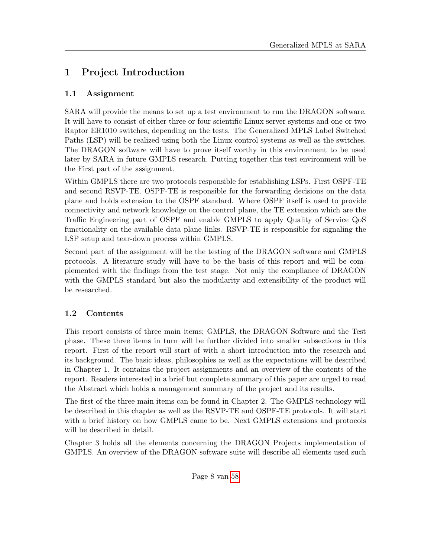# <span id="page-7-0"></span>1 Project Introduction

# <span id="page-7-1"></span>1.1 Assignment

SARA will provide the means to set up a test environment to run the DRAGON software. It will have to consist of either three or four scientific Linux server systems and one or two Raptor ER1010 switches, depending on the tests. The Generalized MPLS Label Switched Paths (LSP) will be realized using both the Linux control systems as well as the switches. The DRAGON software will have to prove itself worthy in this environment to be used later by SARA in future GMPLS research. Putting together this test environment will be the First part of the assignment.

Within GMPLS there are two protocols responsible for establishing LSPs. First OSPF-TE and second RSVP-TE. OSPF-TE is responsible for the forwarding decisions on the data plane and holds extension to the OSPF standard. Where OSPF itself is used to provide connectivity and network knowledge on the control plane, the TE extension which are the Traffic Engineering part of OSPF and enable GMPLS to apply Quality of Service QoS functionality on the available data plane links. RSVP-TE is responsible for signaling the LSP setup and tear-down process within GMPLS.

Second part of the assignment will be the testing of the DRAGON software and GMPLS protocols. A literature study will have to be the basis of this report and will be complemented with the findings from the test stage. Not only the compliance of DRAGON with the GMPLS standard but also the modularity and extensibility of the product will be researched.

# <span id="page-7-2"></span>1.2 Contents

This report consists of three main items; GMPLS, the DRAGON Software and the Test phase. These three items in turn will be further divided into smaller subsections in this report. First of the report will start of with a short introduction into the research and its background. The basic ideas, philosophies as well as the expectations will be described in Chapter 1. It contains the project assignments and an overview of the contents of the report. Readers interested in a brief but complete summary of this paper are urged to read the Abstract which holds a management summary of the project and its results.

The first of the three main items can be found in Chapter 2. The GMPLS technology will be described in this chapter as well as the RSVP-TE and OSPF-TE protocols. It will start with a brief history on how GMPLS came to be. Next GMPLS extensions and protocols will be described in detail.

Chapter 3 holds all the elements concerning the DRAGON Projects implementation of GMPLS. An overview of the DRAGON software suite will describe all elements used such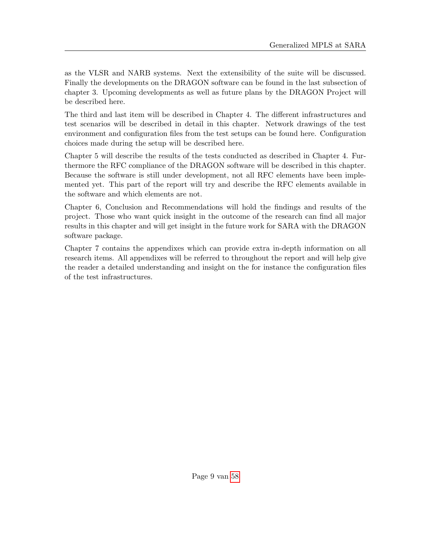as the VLSR and NARB systems. Next the extensibility of the suite will be discussed. Finally the developments on the DRAGON software can be found in the last subsection of chapter 3. Upcoming developments as well as future plans by the DRAGON Project will be described here.

The third and last item will be described in Chapter 4. The different infrastructures and test scenarios will be described in detail in this chapter. Network drawings of the test environment and configuration files from the test setups can be found here. Configuration choices made during the setup will be described here.

Chapter 5 will describe the results of the tests conducted as described in Chapter 4. Furthermore the RFC compliance of the DRAGON software will be described in this chapter. Because the software is still under development, not all RFC elements have been implemented yet. This part of the report will try and describe the RFC elements available in the software and which elements are not.

Chapter 6, Conclusion and Recommendations will hold the findings and results of the project. Those who want quick insight in the outcome of the research can find all major results in this chapter and will get insight in the future work for SARA with the DRAGON software package.

Chapter 7 contains the appendixes which can provide extra in-depth information on all research items. All appendixes will be referred to throughout the report and will help give the reader a detailed understanding and insight on the for instance the configuration files of the test infrastructures.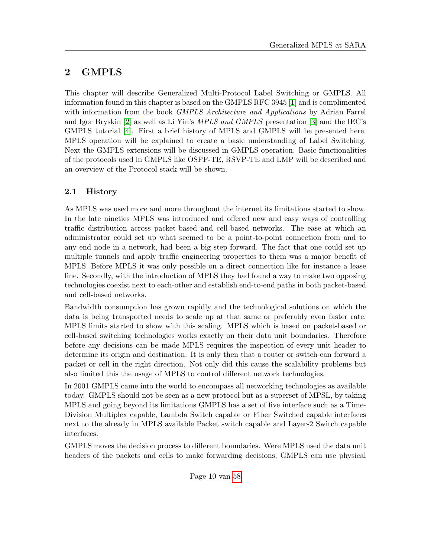# <span id="page-9-0"></span>2 GMPLS

This chapter will describe Generalized Multi-Protocol Label Switching or GMPLS. All information found in this chapter is based on the GMPLS RFC 3945 [\[1\]](#page-56-0) and is complimented with information from the book *GMPLS Architecture and Applications* by Adrian Farrel and Igor Bryskin [\[2\]](#page-56-1) as well as Li Yin's MPLS and GMPLS presentation [\[3\]](#page-56-2) and the IEC's GMPLS tutorial [\[4\]](#page-56-3). First a brief history of MPLS and GMPLS will be presented here. MPLS operation will be explained to create a basic understanding of Label Switching. Next the GMPLS extensions will be discussed in GMPLS operation. Basic functionalities of the protocols used in GMPLS like OSPF-TE, RSVP-TE and LMP will be described and an overview of the Protocol stack will be shown.

# <span id="page-9-1"></span>2.1 History

As MPLS was used more and more throughout the internet its limitations started to show. In the late nineties MPLS was introduced and offered new and easy ways of controlling traffic distribution across packet-based and cell-based networks. The ease at which an administrator could set up what seemed to be a point-to-point connection from and to any end node in a network, had been a big step forward. The fact that one could set up multiple tunnels and apply traffic engineering properties to them was a major benefit of MPLS. Before MPLS it was only possible on a direct connection like for instance a lease line. Secondly, with the introduction of MPLS they had found a way to make two opposing technologies coexist next to each-other and establish end-to-end paths in both packet-based and cell-based networks.

Bandwidth consumption has grown rapidly and the technological solutions on which the data is being transported needs to scale up at that same or preferably even faster rate. MPLS limits started to show with this scaling. MPLS which is based on packet-based or cell-based switching technologies works exactly on their data unit boundaries. Therefore before any decisions can be made MPLS requires the inspection of every unit header to determine its origin and destination. It is only then that a router or switch can forward a packet or cell in the right direction. Not only did this cause the scalability problems but also limited this the usage of MPLS to control different network technologies.

In 2001 GMPLS came into the world to encompass all networking technologies as available today. GMPLS should not be seen as a new protocol but as a superset of MPSL, by taking MPLS and going beyond its limitations GMPLS has a set of five interface such as a Time-Division Multiplex capable, Lambda Switch capable or Fiber Switched capable interfaces next to the already in MPLS available Packet switch capable and Layer-2 Switch capable interfaces.

GMPLS moves the decision process to different boundaries. Were MPLS used the data unit headers of the packets and cells to make forwarding decisions, GMPLS can use physical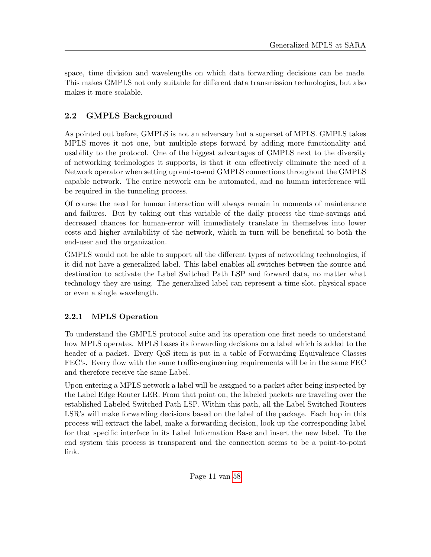space, time division and wavelengths on which data forwarding decisions can be made. This makes GMPLS not only suitable for different data transmission technologies, but also makes it more scalable.

# <span id="page-10-0"></span>2.2 GMPLS Background

As pointed out before, GMPLS is not an adversary but a superset of MPLS. GMPLS takes MPLS moves it not one, but multiple steps forward by adding more functionality and usability to the protocol. One of the biggest advantages of GMPLS next to the diversity of networking technologies it supports, is that it can effectively eliminate the need of a Network operator when setting up end-to-end GMPLS connections throughout the GMPLS capable network. The entire network can be automated, and no human interference will be required in the tunneling process.

Of course the need for human interaction will always remain in moments of maintenance and failures. But by taking out this variable of the daily process the time-savings and decreased chances for human-error will immediately translate in themselves into lower costs and higher availability of the network, which in turn will be beneficial to both the end-user and the organization.

GMPLS would not be able to support all the different types of networking technologies, if it did not have a generalized label. This label enables all switches between the source and destination to activate the Label Switched Path LSP and forward data, no matter what technology they are using. The generalized label can represent a time-slot, physical space or even a single wavelength.

# <span id="page-10-1"></span>2.2.1 MPLS Operation

To understand the GMPLS protocol suite and its operation one first needs to understand how MPLS operates. MPLS bases its forwarding decisions on a label which is added to the header of a packet. Every QoS item is put in a table of Forwarding Equivalence Classes FEC's. Every flow with the same traffic-engineering requirements will be in the same FEC and therefore receive the same Label.

Upon entering a MPLS network a label will be assigned to a packet after being inspected by the Label Edge Router LER. From that point on, the labeled packets are traveling over the established Labeled Switched Path LSP. Within this path, all the Label Switched Routers LSR's will make forwarding decisions based on the label of the package. Each hop in this process will extract the label, make a forwarding decision, look up the corresponding label for that specific interface in its Label Information Base and insert the new label. To the end system this process is transparent and the connection seems to be a point-to-point link.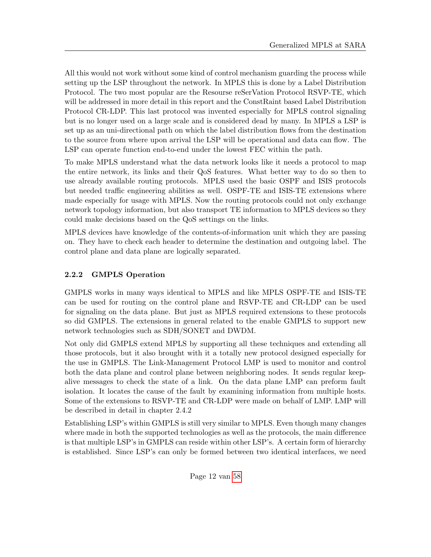All this would not work without some kind of control mechanism guarding the process while setting up the LSP throughout the network. In MPLS this is done by a Label Distribution Protocol. The two most popular are the Resourse reSerVation Protocol RSVP-TE, which will be addressed in more detail in this report and the ConstRaint based Label Distribution Protocol CR-LDP. This last protocol was invented especially for MPLS control signaling but is no longer used on a large scale and is considered dead by many. In MPLS a LSP is set up as an uni-directional path on which the label distribution flows from the destination to the source from where upon arrival the LSP will be operational and data can flow. The LSP can operate function end-to-end under the lowest FEC within the path.

To make MPLS understand what the data network looks like it needs a protocol to map the entire network, its links and their QoS features. What better way to do so then to use already available routing protocols. MPLS used the basic OSPF and ISIS protocols but needed traffic engineering abilities as well. OSPF-TE and ISIS-TE extensions where made especially for usage with MPLS. Now the routing protocols could not only exchange network topology information, but also transport TE information to MPLS devices so they could make decisions based on the QoS settings on the links.

MPLS devices have knowledge of the contents-of-information unit which they are passing on. They have to check each header to determine the destination and outgoing label. The control plane and data plane are logically separated.

# <span id="page-11-0"></span>2.2.2 GMPLS Operation

GMPLS works in many ways identical to MPLS and like MPLS OSPF-TE and ISIS-TE can be used for routing on the control plane and RSVP-TE and CR-LDP can be used for signaling on the data plane. But just as MPLS required extensions to these protocols so did GMPLS. The extensions in general related to the enable GMPLS to support new network technologies such as SDH/SONET and DWDM.

Not only did GMPLS extend MPLS by supporting all these techniques and extending all those protocols, but it also brought with it a totally new protocol designed especially for the use in GMPLS. The Link-Management Protocol LMP is used to monitor and control both the data plane and control plane between neighboring nodes. It sends regular keepalive messages to check the state of a link. On the data plane LMP can preform fault isolation. It locates the cause of the fault by examining information from multiple hosts. Some of the extensions to RSVP-TE and CR-LDP were made on behalf of LMP. LMP will be described in detail in chapter 2.4.2

Establishing LSP's within GMPLS is still very similar to MPLS. Even though many changes where made in both the supported technologies as well as the protocols, the main difference is that multiple LSP's in GMPLS can reside within other LSP's. A certain form of hierarchy is established. Since LSP's can only be formed between two identical interfaces, we need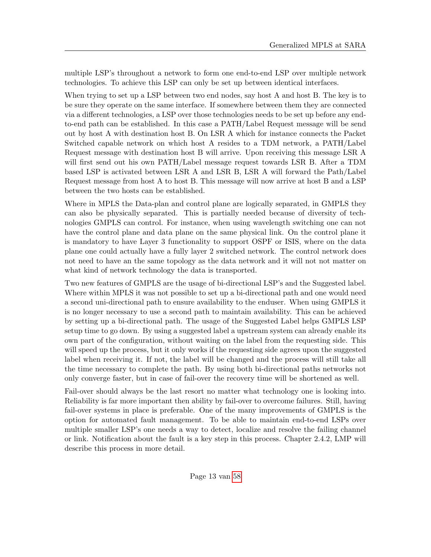multiple LSP's throughout a network to form one end-to-end LSP over multiple network technologies. To achieve this LSP can only be set up between identical interfaces.

When trying to set up a LSP between two end nodes, say host A and host B. The key is to be sure they operate on the same interface. If somewhere between them they are connected via a different technologies, a LSP over those technologies needs to be set up before any endto-end path can be established. In this case a PATH/Label Request message will be send out by host A with destination host B. On LSR A which for instance connects the Packet Switched capable network on which host A resides to a TDM network, a PATH/Label Request message with destination host B will arrive. Upon receiving this message LSR A will first send out his own PATH/Label message request towards LSR B. After a TDM based LSP is activated between LSR A and LSR B, LSR A will forward the Path/Label Request message from host A to host B. This message will now arrive at host B and a LSP between the two hosts can be established.

Where in MPLS the Data-plan and control plane are logically separated, in GMPLS they can also be physically separated. This is partially needed because of diversity of technologies GMPLS can control. For instance, when using wavelength switching one can not have the control plane and data plane on the same physical link. On the control plane it is mandatory to have Layer 3 functionality to support OSPF or ISIS, where on the data plane one could actually have a fully layer 2 switched network. The control network does not need to have an the same topology as the data network and it will not not matter on what kind of network technology the data is transported.

Two new features of GMPLS are the usage of bi-directional LSP's and the Suggested label. Where within MPLS it was not possible to set up a bi-directional path and one would need a second uni-directional path to ensure availability to the enduser. When using GMPLS it is no longer necessary to use a second path to maintain availability. This can be achieved by setting up a bi-directional path. The usage of the Suggested Label helps GMPLS LSP setup time to go down. By using a suggested label a upstream system can already enable its own part of the configuration, without waiting on the label from the requesting side. This will speed up the process, but it only works if the requesting side agrees upon the suggested label when receiving it. If not, the label will be changed and the process will still take all the time necessary to complete the path. By using both bi-directional paths networks not only converge faster, but in case of fail-over the recovery time will be shortened as well.

Fail-over should always be the last resort no matter what technology one is looking into. Reliability is far more important then ability by fail-over to overcome failures. Still, having fail-over systems in place is preferable. One of the many improvements of GMPLS is the option for automated fault management. To be able to maintain end-to-end LSPs over multiple smaller LSP's one needs a way to detect, localize and resolve the failing channel or link. Notification about the fault is a key step in this process. Chapter 2.4.2, LMP will describe this process in more detail.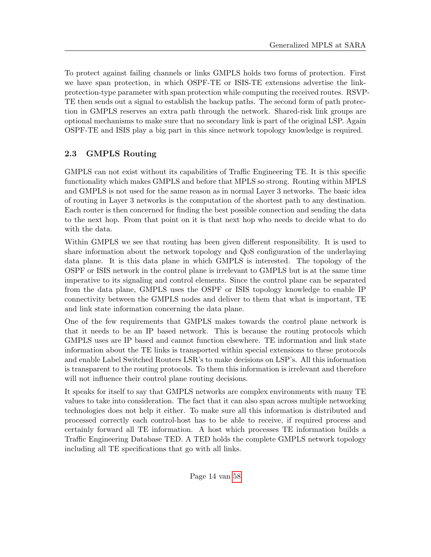To protect against failing channels or links GMPLS holds two forms of protection. First we have span protection, in which OSPF-TE or ISIS-TE extensions advertise the linkprotection-type parameter with span protection while computing the received routes. RSVP-TE then sends out a signal to establish the backup paths. The second form of path protection in GMPLS reserves an extra path through the network. Shared-risk link groups are optional mechanisms to make sure that no secondary link is part of the original LSP. Again OSPF-TE and ISIS play a big part in this since network topology knowledge is required.

# <span id="page-13-0"></span>2.3 GMPLS Routing

GMPLS can not exist without its capabilities of Traffic Engineering TE. It is this specific functionality which makes GMPLS and before that MPLS so strong. Routing within MPLS and GMPLS is not used for the same reason as in normal Layer 3 networks. The basic idea of routing in Layer 3 networks is the computation of the shortest path to any destination. Each router is then concerned for finding the best possible connection and sending the data to the next hop. From that point on it is that next hop who needs to decide what to do with the data.

Within GMPLS we see that routing has been given different responsibility. It is used to share information about the network topology and QoS configuration of the underlaying data plane. It is this data plane in which GMPLS is interested. The topology of the OSPF or ISIS network in the control plane is irrelevant to GMPLS but is at the same time imperative to its signaling and control elements. Since the control plane can be separated from the data plane, GMPLS uses the OSPF or ISIS topology knowledge to enable IP connectivity between the GMPLS nodes and deliver to them that what is important, TE and link state information concerning the data plane.

One of the few requirements that GMPLS makes towards the control plane network is that it needs to be an IP based network. This is because the routing protocols which GMPLS uses are IP based and cannot function elsewhere. TE information and link state information about the TE links is transported within special extensions to these protocols and enable Label Switched Routers LSR's to make decisions on LSP's. All this information is transparent to the routing protocols. To them this information is irrelevant and therefore will not influence their control plane routing decisions.

It speaks for itself to say that GMPLS networks are complex environments with many TE values to take into consideration. The fact that it can also span across multiple networking technologies does not help it either. To make sure all this information is distributed and processed correctly each control-host has to be able to receive, if required process and certainly forward all TE information. A host which processes TE information builds a Traffic Engineering Database TED. A TED holds the complete GMPLS network topology including all TE specifications that go with all links.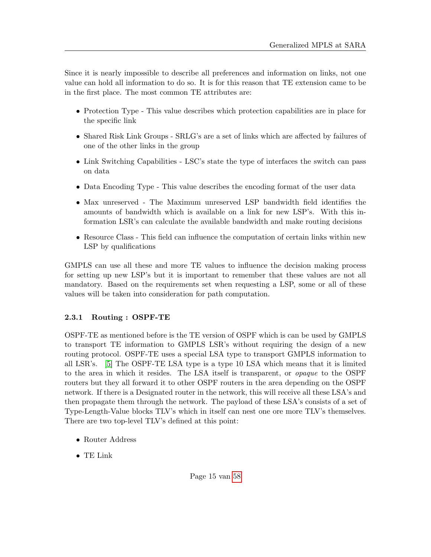Since it is nearly impossible to describe all preferences and information on links, not one value can hold all information to do so. It is for this reason that TE extension came to be in the first place. The most common TE attributes are:

- Protection Type This value describes which protection capabilities are in place for the specific link
- Shared Risk Link Groups SRLG's are a set of links which are affected by failures of one of the other links in the group
- Link Switching Capabilities LSC's state the type of interfaces the switch can pass on data
- Data Encoding Type This value describes the encoding format of the user data
- Max unreserved The Maximum unreserved LSP bandwidth field identifies the amounts of bandwidth which is available on a link for new LSP's. With this information LSR's can calculate the available bandwidth and make routing decisions
- Resource Class This field can influence the computation of certain links within new LSP by qualifications

GMPLS can use all these and more TE values to influence the decision making process for setting up new LSP's but it is important to remember that these values are not all mandatory. Based on the requirements set when requesting a LSP, some or all of these values will be taken into consideration for path computation.

# <span id="page-14-0"></span>2.3.1 Routing : OSPF-TE

OSPF-TE as mentioned before is the TE version of OSPF which is can be used by GMPLS to transport TE information to GMPLS LSR's without requiring the design of a new routing protocol. OSPF-TE uses a special LSA type to transport GMPLS information to all LSR's. [\[5\]](#page-56-4) The OSPF-TE LSA type is a type 10 LSA which means that it is limited to the area in which it resides. The LSA itself is transparent, or opaque to the OSPF routers but they all forward it to other OSPF routers in the area depending on the OSPF network. If there is a Designated router in the network, this will receive all these LSA's and then propagate them through the network. The payload of these LSA's consists of a set of Type-Length-Value blocks TLV's which in itself can nest one ore more TLV's themselves. There are two top-level TLV's defined at this point:

- Router Address
- TE Link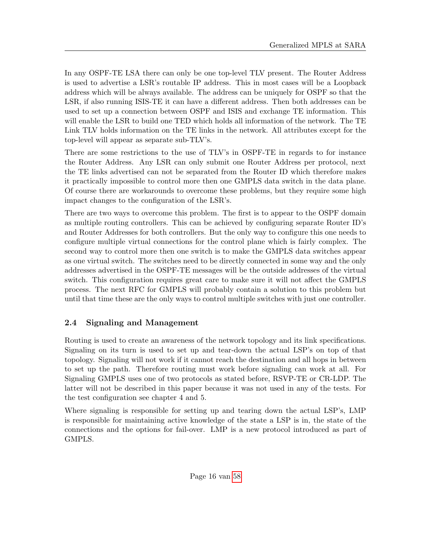In any OSPF-TE LSA there can only be one top-level TLV present. The Router Address is used to advertise a LSR's routable IP address. This in most cases will be a Loopback address which will be always available. The address can be uniquely for OSPF so that the LSR, if also running ISIS-TE it can have a different address. Then both addresses can be used to set up a connection between OSPF and ISIS and exchange TE information. This will enable the LSR to build one TED which holds all information of the network. The TE Link TLV holds information on the TE links in the network. All attributes except for the top-level will appear as separate sub-TLV's.

There are some restrictions to the use of TLV's in OSPF-TE in regards to for instance the Router Address. Any LSR can only submit one Router Address per protocol, next the TE links advertised can not be separated from the Router ID which therefore makes it practically impossible to control more then one GMPLS data switch in the data plane. Of course there are workarounds to overcome these problems, but they require some high impact changes to the configuration of the LSR's.

There are two ways to overcome this problem. The first is to appear to the OSPF domain as multiple routing controllers. This can be achieved by configuring separate Router ID's and Router Addresses for both controllers. But the only way to configure this one needs to configure multiple virtual connections for the control plane which is fairly complex. The second way to control more then one switch is to make the GMPLS data switches appear as one virtual switch. The switches need to be directly connected in some way and the only addresses advertised in the OSPF-TE messages will be the outside addresses of the virtual switch. This configuration requires great care to make sure it will not affect the GMPLS process. The next RFC for GMPLS will probably contain a solution to this problem but until that time these are the only ways to control multiple switches with just one controller.

# <span id="page-15-0"></span>2.4 Signaling and Management

Routing is used to create an awareness of the network topology and its link specifications. Signaling on its turn is used to set up and tear-down the actual LSP's on top of that topology. Signaling will not work if it cannot reach the destination and all hops in between to set up the path. Therefore routing must work before signaling can work at all. For Signaling GMPLS uses one of two protocols as stated before, RSVP-TE or CR-LDP. The latter will not be described in this paper because it was not used in any of the tests. For the test configuration see chapter 4 and 5.

Where signaling is responsible for setting up and tearing down the actual LSP's, LMP is responsible for maintaining active knowledge of the state a LSP is in, the state of the connections and the options for fail-over. LMP is a new protocol introduced as part of GMPLS.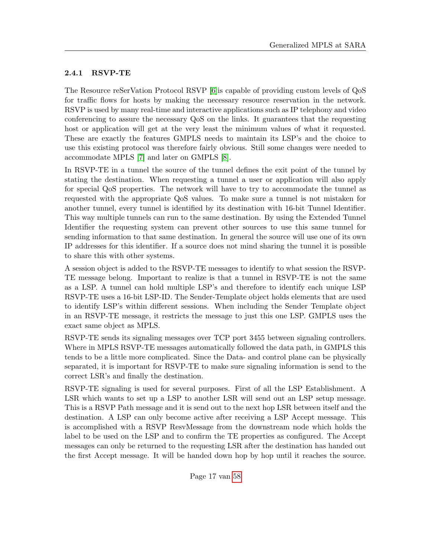### <span id="page-16-0"></span>2.4.1 RSVP-TE

The Resource reSerVation Protocol RSVP [\[6\]](#page-56-5)is capable of providing custom levels of QoS for traffic flows for hosts by making the necessary resource reservation in the network. RSVP is used by many real-time and interactive applications such as IP telephony and video conferencing to assure the necessary QoS on the links. It guarantees that the requesting host or application will get at the very least the minimum values of what it requested. These are exactly the features GMPLS needs to maintain its LSP's and the choice to use this existing protocol was therefore fairly obvious. Still some changes were needed to accommodate MPLS [\[7\]](#page-56-6) and later on GMPLS [\[8\]](#page-56-7).

In RSVP-TE in a tunnel the source of the tunnel defines the exit point of the tunnel by stating the destination. When requesting a tunnel a user or application will also apply for special QoS properties. The network will have to try to accommodate the tunnel as requested with the appropriate QoS values. To make sure a tunnel is not mistaken for another tunnel, every tunnel is identified by its destination with 16-bit Tunnel Identifier. This way multiple tunnels can run to the same destination. By using the Extended Tunnel Identifier the requesting system can prevent other sources to use this same tunnel for sending information to that same destination. In general the source will use one of its own IP addresses for this identifier. If a source does not mind sharing the tunnel it is possible to share this with other systems.

A session object is added to the RSVP-TE messages to identify to what session the RSVP-TE message belong. Important to realize is that a tunnel in RSVP-TE is not the same as a LSP. A tunnel can hold multiple LSP's and therefore to identify each unique LSP RSVP-TE uses a 16-bit LSP-ID. The Sender-Template object holds elements that are used to identify LSP's within different sessions. When including the Sender Template object in an RSVP-TE message, it restricts the message to just this one LSP. GMPLS uses the exact same object as MPLS.

RSVP-TE sends its signaling messages over TCP port 3455 between signaling controllers. Where in MPLS RSVP-TE messages automatically followed the data path, in GMPLS this tends to be a little more complicated. Since the Data- and control plane can be physically separated, it is important for RSVP-TE to make sure signaling information is send to the correct LSR's and finally the destination.

RSVP-TE signaling is used for several purposes. First of all the LSP Establishment. A LSR which wants to set up a LSP to another LSR will send out an LSP setup message. This is a RSVP Path message and it is send out to the next hop LSR between itself and the destination. A LSP can only become active after receiving a LSP Accept message. This is accomplished with a RSVP ResvMessage from the downstream node which holds the label to be used on the LSP and to confirm the TE properties as configured. The Accept messages can only be returned to the requesting LSR after the destination has handed out the first Accept message. It will be handed down hop by hop until it reaches the source.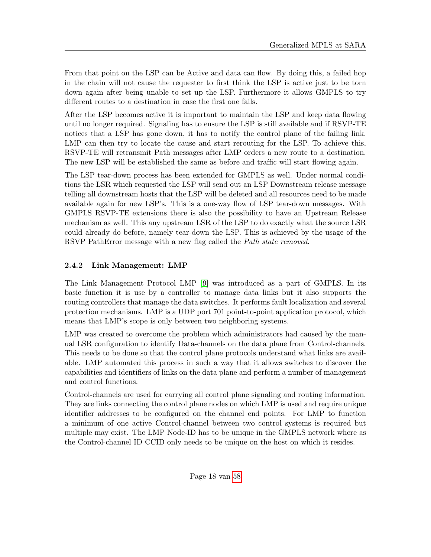From that point on the LSP can be Active and data can flow. By doing this, a failed hop in the chain will not cause the requester to first think the LSP is active just to be torn down again after being unable to set up the LSP. Furthermore it allows GMPLS to try different routes to a destination in case the first one fails.

After the LSP becomes active it is important to maintain the LSP and keep data flowing until no longer required. Signaling has to ensure the LSP is still available and if RSVP-TE notices that a LSP has gone down, it has to notify the control plane of the failing link. LMP can then try to locate the cause and start rerouting for the LSP. To achieve this, RSVP-TE will retransmit Path messages after LMP orders a new route to a destination. The new LSP will be established the same as before and traffic will start flowing again.

The LSP tear-down process has been extended for GMPLS as well. Under normal conditions the LSR which requested the LSP will send out an LSP Downstream release message telling all downstream hosts that the LSP will be deleted and all resources need to be made available again for new LSP's. This is a one-way flow of LSP tear-down messages. With GMPLS RSVP-TE extensions there is also the possibility to have an Upstream Release mechanism as well. This any upstream LSR of the LSP to do exactly what the source LSR could already do before, namely tear-down the LSP. This is achieved by the usage of the RSVP PathError message with a new flag called the *Path state removed*.

# <span id="page-17-0"></span>2.4.2 Link Management: LMP

The Link Management Protocol LMP [\[9\]](#page-56-8) was introduced as a part of GMPLS. In its basic function it is use by a controller to manage data links but it also supports the routing controllers that manage the data switches. It performs fault localization and several protection mechanisms. LMP is a UDP port 701 point-to-point application protocol, which means that LMP's scope is only between two neighboring systems.

LMP was created to overcome the problem which administrators had caused by the manual LSR configuration to identify Data-channels on the data plane from Control-channels. This needs to be done so that the control plane protocols understand what links are available. LMP automated this process in such a way that it allows switches to discover the capabilities and identifiers of links on the data plane and perform a number of management and control functions.

Control-channels are used for carrying all control plane signaling and routing information. They are links connecting the control plane nodes on which LMP is used and require unique identifier addresses to be configured on the channel end points. For LMP to function a minimum of one active Control-channel between two control systems is required but multiple may exist. The LMP Node-ID has to be unique in the GMPLS network where as the Control-channel ID CCID only needs to be unique on the host on which it resides.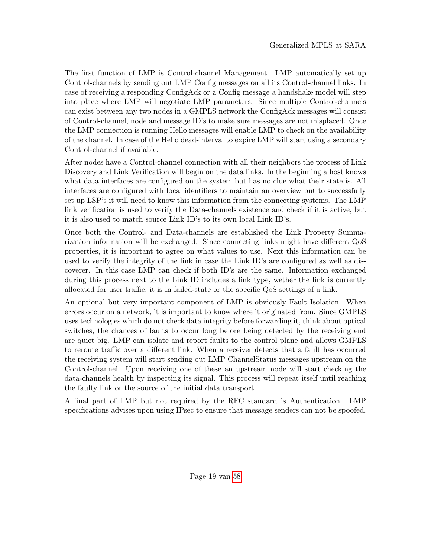The first function of LMP is Control-channel Management. LMP automatically set up Control-channels by sending out LMP Config messages on all its Control-channel links. In case of receiving a responding ConfigAck or a Config message a handshake model will step into place where LMP will negotiate LMP parameters. Since multiple Control-channels can exist between any two nodes in a GMPLS network the ConfigAck messages will consist of Control-channel, node and message ID's to make sure messages are not misplaced. Once the LMP connection is running Hello messages will enable LMP to check on the availability of the channel. In case of the Hello dead-interval to expire LMP will start using a secondary Control-channel if available.

After nodes have a Control-channel connection with all their neighbors the process of Link Discovery and Link Verification will begin on the data links. In the beginning a host knows what data interfaces are configured on the system but has no clue what their state is. All interfaces are configured with local identifiers to maintain an overview but to successfully set up LSP's it will need to know this information from the connecting systems. The LMP link verification is used to verify the Data-channels existence and check if it is active, but it is also used to match source Link ID's to its own local Link ID's.

Once both the Control- and Data-channels are established the Link Property Summarization information will be exchanged. Since connecting links might have different QoS properties, it is important to agree on what values to use. Next this information can be used to verify the integrity of the link in case the Link ID's are configured as well as discoverer. In this case LMP can check if both ID's are the same. Information exchanged during this process next to the Link ID includes a link type, wether the link is currently allocated for user traffic, it is in failed-state or the specific QoS settings of a link.

An optional but very important component of LMP is obviously Fault Isolation. When errors occur on a network, it is important to know where it originated from. Since GMPLS uses technologies which do not check data integrity before forwarding it, think about optical switches, the chances of faults to occur long before being detected by the receiving end are quiet big. LMP can isolate and report faults to the control plane and allows GMPLS to reroute traffic over a different link. When a receiver detects that a fault has occurred the receiving system will start sending out LMP ChannelStatus messages upstream on the Control-channel. Upon receiving one of these an upstream node will start checking the data-channels health by inspecting its signal. This process will repeat itself until reaching the faulty link or the source of the initial data transport.

A final part of LMP but not required by the RFC standard is Authentication. LMP specifications advises upon using IPsec to ensure that message senders can not be spoofed.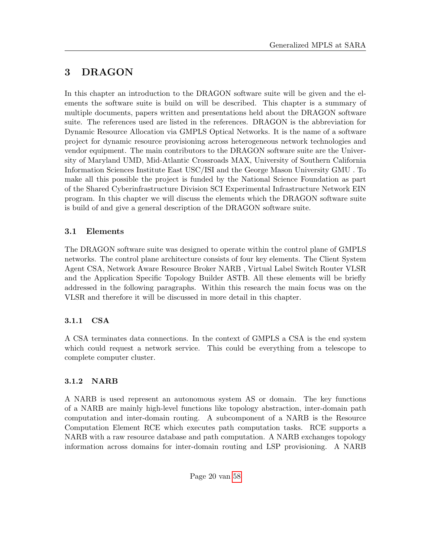# <span id="page-19-0"></span>3 DRAGON

In this chapter an introduction to the DRAGON software suite will be given and the elements the software suite is build on will be described. This chapter is a summary of multiple documents, papers written and presentations held about the DRAGON software suite. The references used are listed in the references. DRAGON is the abbreviation for Dynamic Resource Allocation via GMPLS Optical Networks. It is the name of a software project for dynamic resource provisioning across heterogeneous network technologies and vendor equipment. The main contributors to the DRAGON software suite are the University of Maryland UMD, Mid-Atlantic Crossroads MAX, University of Southern California Information Sciences Institute East USC/ISI and the George Mason University GMU . To make all this possible the project is funded by the National Science Foundation as part of the Shared Cyberinfrastructure Division SCI Experimental Infrastructure Network EIN program. In this chapter we will discuss the elements which the DRAGON software suite is build of and give a general description of the DRAGON software suite.

# <span id="page-19-1"></span>3.1 Elements

The DRAGON software suite was designed to operate within the control plane of GMPLS networks. The control plane architecture consists of four key elements. The Client System Agent CSA, Network Aware Resource Broker NARB , Virtual Label Switch Router VLSR and the Application Specific Topology Builder ASTB. All these elements will be briefly addressed in the following paragraphs. Within this research the main focus was on the VLSR and therefore it will be discussed in more detail in this chapter.

# <span id="page-19-2"></span>3.1.1 CSA

A CSA terminates data connections. In the context of GMPLS a CSA is the end system which could request a network service. This could be everything from a telescope to complete computer cluster.

# <span id="page-19-3"></span>3.1.2 NARB

A NARB is used represent an autonomous system AS or domain. The key functions of a NARB are mainly high-level functions like topology abstraction, inter-domain path computation and inter-domain routing. A subcomponent of a NARB is the Resource Computation Element RCE which executes path computation tasks. RCE supports a NARB with a raw resource database and path computation. A NARB exchanges topology information across domains for inter-domain routing and LSP provisioning. A NARB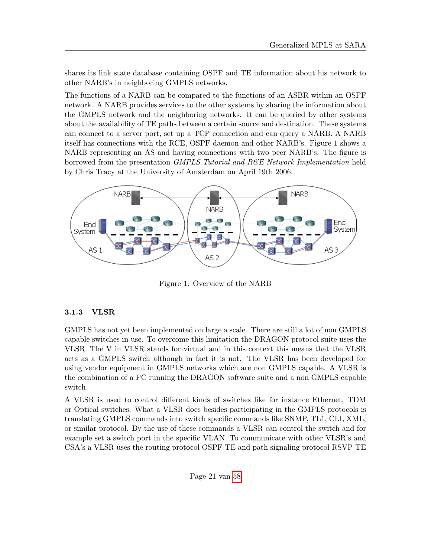shares its link state database containing OSPF and TE information about his network to other NARB's in neighboring GMPLS networks.

The functions of a NARB can be compared to the functions of an ASBR within an OSPF network. A NARB provides services to the other systems by sharing the information about the GMPLS network and the neighboring networks. It can be queried by other systems about the availability of TE paths between a certain source and destination. These systems can connect to a server port, set up a TCP connection and can query a NARB. A NARB itself has connections with the RCE, OSPF daemon and other NARB's. Figure 1 shows a NARB representing an AS and having connections with two peer NARB's. The figure is borrowed from the presentation GMPLS Tutorial and R&E Network Implementation held by Chris Tracy at the University of Amsterdam on April 19th 2006.



Figure 1: Overview of the NARB

## <span id="page-20-0"></span>3.1.3 VLSR

GMPLS has not yet been implemented on large a scale. There are still a lot of non GMPLS capable switches in use. To overcome this limitation the DRAGON protocol suite uses the VLSR. The V in VLSR stands for virtual and in this context this means that the VLSR acts as a GMPLS switch although in fact it is not. The VLSR has been developed for using vendor equipment in GMPLS networks which are non GMPLS capable. A VLSR is the combination of a PC running the DRAGON software suite and a non GMPLS capable switch.

A VLSR is used to control different kinds of switches like for instance Ethernet, TDM or Optical switches. What a VLSR does besides participating in the GMPLS protocols is translating GMPLS commands into switch specific commands like SNMP, TL1, CLI, XML, or similar protocol. By the use of these commands a VLSR can control the switch and for example set a switch port in the specific VLAN. To communicate with other VLSR's and CSA's a VLSR uses the routing protocol OSPF-TE and path signaling protocol RSVP-TE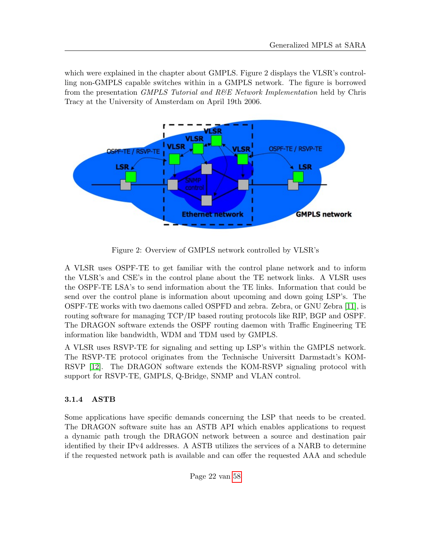which were explained in the chapter about GMPLS. Figure 2 displays the VLSR's controlling non-GMPLS capable switches within in a GMPLS network. The figure is borrowed from the presentation *GMPLS Tutorial and R&E Network Implementation* held by Chris Tracy at the University of Amsterdam on April 19th 2006.



Figure 2: Overview of GMPLS network controlled by VLSR's

A VLSR uses OSPF-TE to get familiar with the control plane network and to inform the VLSR's and CSE's in the control plane about the TE network links. A VLSR uses the OSPF-TE LSA's to send information about the TE links. Information that could be send over the control plane is information about upcoming and down going LSP's. The OSPF-TE works with two daemons called OSPFD and zebra. Zebra, or GNU Zebra [\[11\]](#page-56-9), is routing software for managing TCP/IP based routing protocols like RIP, BGP and OSPF. The DRAGON software extends the OSPF routing daemon with Traffic Engineering TE information like bandwidth, WDM and TDM used by GMPLS.

A VLSR uses RSVP-TE for signaling and setting up LSP's within the GMPLS network. The RSVP-TE protocol originates from the Technische Universitt Darmstadt's KOM-RSVP [\[12\]](#page-56-10). The DRAGON software extends the KOM-RSVP signaling protocol with support for RSVP-TE, GMPLS, Q-Bridge, SNMP and VLAN control.

## <span id="page-21-0"></span>3.1.4 ASTB

Some applications have specific demands concerning the LSP that needs to be created. The DRAGON software suite has an ASTB API which enables applications to request a dynamic path trough the DRAGON network between a source and destination pair identified by their IPv4 addresses. A ASTB utilizes the services of a NARB to determine if the requested network path is available and can offer the requested AAA and schedule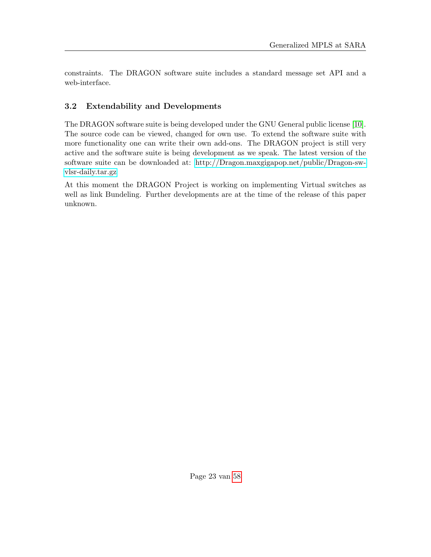constraints. The DRAGON software suite includes a standard message set API and a web-interface.

# <span id="page-22-0"></span>3.2 Extendability and Developments

The DRAGON software suite is being developed under the GNU General public license [\[10\]](#page-56-11). The source code can be viewed, changed for own use. To extend the software suite with more functionality one can write their own add-ons. The DRAGON project is still very active and the software suite is being development as we speak. The latest version of the software suite can be downloaded at: [http://Dragon.maxgigapop.net/public/Dragon-sw](http://Dragon.maxgigapop.net/public/Dragon-sw-vlsr-daily.tar.gz)[vlsr-daily.tar.gz](http://Dragon.maxgigapop.net/public/Dragon-sw-vlsr-daily.tar.gz)

At this moment the DRAGON Project is working on implementing Virtual switches as well as link Bundeling. Further developments are at the time of the release of this paper unknown.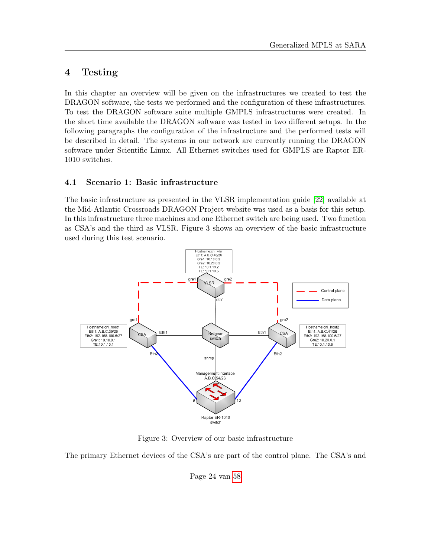# <span id="page-23-0"></span>4 Testing

In this chapter an overview will be given on the infrastructures we created to test the DRAGON software, the tests we performed and the configuration of these infrastructures. To test the DRAGON software suite multiple GMPLS infrastructures were created. In the short time available the DRAGON software was tested in two different setups. In the following paragraphs the configuration of the infrastructure and the performed tests will be described in detail. The systems in our network are currently running the DRAGON software under Scientific Linux. All Ethernet switches used for GMPLS are Raptor ER-1010 switches.

### <span id="page-23-1"></span>4.1 Scenario 1: Basic infrastructure

The basic infrastructure as presented in the VLSR implementation guide [\[22\]](#page-57-1) available at the Mid-Atlantic Crossroads DRAGON Project website was used as a basis for this setup. In this infrastructure three machines and one Ethernet switch are being used. Two function as CSA's and the third as VLSR. Figure 3 shows an overview of the basic infrastructure used during this test scenario.



Figure 3: Overview of our basic infrastructure

The primary Ethernet devices of the CSA's are part of the control plane. The CSA's and

Page 24 van [58](#page-57-0)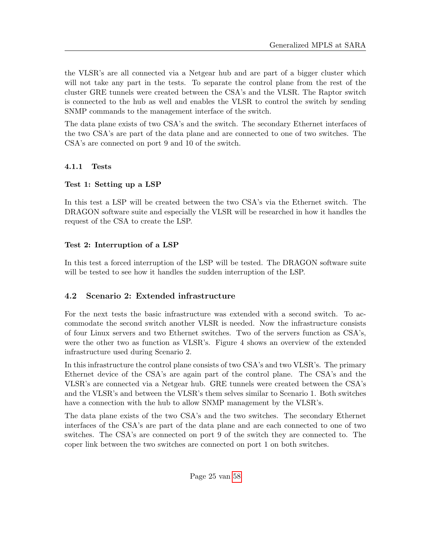the VLSR's are all connected via a Netgear hub and are part of a bigger cluster which will not take any part in the tests. To separate the control plane from the rest of the cluster GRE tunnels were created between the CSA's and the VLSR. The Raptor switch is connected to the hub as well and enables the VLSR to control the switch by sending SNMP commands to the management interface of the switch.

The data plane exists of two CSA's and the switch. The secondary Ethernet interfaces of the two CSA's are part of the data plane and are connected to one of two switches. The CSA's are connected on port 9 and 10 of the switch.

### <span id="page-24-0"></span>4.1.1 Tests

### Test 1: Setting up a LSP

In this test a LSP will be created between the two CSA's via the Ethernet switch. The DRAGON software suite and especially the VLSR will be researched in how it handles the request of the CSA to create the LSP.

### Test 2: Interruption of a LSP

In this test a forced interruption of the LSP will be tested. The DRAGON software suite will be tested to see how it handles the sudden interruption of the LSP.

## <span id="page-24-1"></span>4.2 Scenario 2: Extended infrastructure

For the next tests the basic infrastructure was extended with a second switch. To accommodate the second switch another VLSR is needed. Now the infrastructure consists of four Linux servers and two Ethernet switches. Two of the servers function as CSA's, were the other two as function as VLSR's. Figure 4 shows an overview of the extended infrastructure used during Scenario 2.

In this infrastructure the control plane consists of two CSA's and two VLSR's. The primary Ethernet device of the CSA's are again part of the control plane. The CSA's and the VLSR's are connected via a Netgear hub. GRE tunnels were created between the CSA's and the VLSR's and between the VLSR's them selves similar to Scenario 1. Both switches have a connection with the hub to allow SNMP management by the VLSR's.

The data plane exists of the two CSA's and the two switches. The secondary Ethernet interfaces of the CSA's are part of the data plane and are each connected to one of two switches. The CSA's are connected on port 9 of the switch they are connected to. The coper link between the two switches are connected on port 1 on both switches.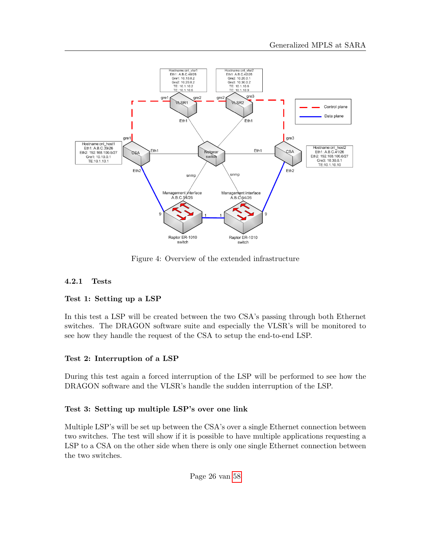

Figure 4: Overview of the extended infrastructure

### <span id="page-25-0"></span>4.2.1 Tests

#### Test 1: Setting up a LSP

In this test a LSP will be created between the two CSA's passing through both Ethernet switches. The DRAGON software suite and especially the VLSR's will be monitored to see how they handle the request of the CSA to setup the end-to-end LSP.

### Test 2: Interruption of a LSP

During this test again a forced interruption of the LSP will be performed to see how the DRAGON software and the VLSR's handle the sudden interruption of the LSP.

#### Test 3: Setting up multiple LSP's over one link

Multiple LSP's will be set up between the CSA's over a single Ethernet connection between two switches. The test will show if it is possible to have multiple applications requesting a LSP to a CSA on the other side when there is only one single Ethernet connection between the two switches.

Page 26 van [58](#page-57-0)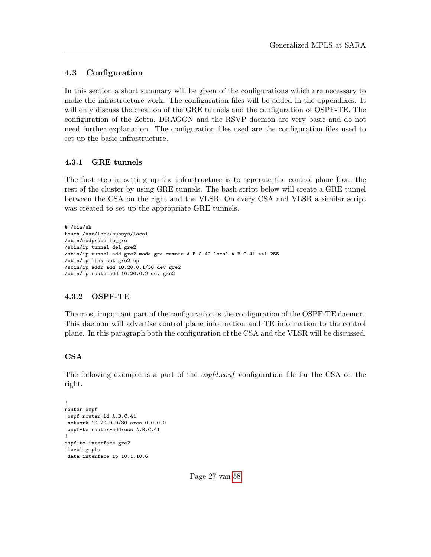### <span id="page-26-0"></span>4.3 Configuration

In this section a short summary will be given of the configurations which are necessary to make the infrastructure work. The configuration files will be added in the appendixes. It will only discuss the creation of the GRE tunnels and the configuration of OSPF-TE. The configuration of the Zebra, DRAGON and the RSVP daemon are very basic and do not need further explanation. The configuration files used are the configuration files used to set up the basic infrastructure.

### <span id="page-26-1"></span>4.3.1 GRE tunnels

The first step in setting up the infrastructure is to separate the control plane from the rest of the cluster by using GRE tunnels. The bash script below will create a GRE tunnel between the CSA on the right and the VLSR. On every CSA and VLSR a similar script was created to set up the appropriate GRE tunnels.

```
#!/bin/sh
touch /var/lock/subsys/local
/sbin/modprobe ip_gre
/sbin/ip tunnel del gre2
/sbin/ip tunnel add gre2 mode gre remote A.B.C.40 local A.B.C.41 ttl 255
/sbin/ip link set gre2 up
/sbin/ip addr add 10.20.0.1/30 dev gre2
/sbin/ip route add 10.20.0.2 dev gre2
```
### <span id="page-26-2"></span>4.3.2 OSPF-TE

The most important part of the configuration is the configuration of the OSPF-TE daemon. This daemon will advertise control plane information and TE information to the control plane. In this paragraph both the configuration of the CSA and the VLSR will be discussed.

#### CSA

The following example is a part of the *ospfd.conf* configuration file for the CSA on the right.

```
!
router ospf
ospf router-id A.B.C.41
network 10.20.0.0/30 area 0.0.0.0
ospf-te router-address A.B.C.41
!
ospf-te interface gre2
level gmpls
data-interface ip 10.1.10.6
```
Page 27 van [58](#page-57-0)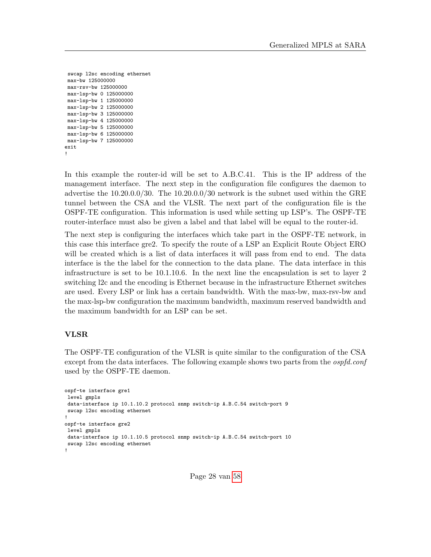```
swcap l2sc encoding ethernet
max-bw 125000000
max-rsv-bw 125000000
max-lsp-bw 0 125000000
max-lsp-bw 1 125000000
max-lsp-bw 2 125000000
max-lsp-bw 3 125000000
max-lsp-bw 4 125000000
max-lsp-bw 5 125000000
max-lsp-bw 6 125000000
max-lsp-bw 7 125000000
exit
!
```
In this example the router-id will be set to A.B.C.41. This is the IP address of the management interface. The next step in the configuration file configures the daemon to advertise the 10.20.0.0/30. The 10.20.0.0/30 network is the subnet used within the GRE tunnel between the CSA and the VLSR. The next part of the configuration file is the OSPF-TE configuration. This information is used while setting up LSP's. The OSPF-TE router-interface must also be given a label and that label will be equal to the router-id.

The next step is configuring the interfaces which take part in the OSPF-TE network, in this case this interface gre2. To specify the route of a LSP an Explicit Route Object ERO will be created which is a list of data interfaces it will pass from end to end. The data interface is the the label for the connection to the data plane. The data interface in this infrastructure is set to be 10.1.10.6. In the next line the encapsulation is set to layer 2 switching l2c and the encoding is Ethernet because in the infrastructure Ethernet switches are used. Every LSP or link has a certain bandwidth. With the max-bw, max-rsv-bw and the max-lsp-bw configuration the maximum bandwidth, maximum reserved bandwidth and the maximum bandwidth for an LSP can be set.

### VLSR

The OSPF-TE configuration of the VLSR is quite similar to the configuration of the CSA except from the data interfaces. The following example shows two parts from the *ospfd.conf* used by the OSPF-TE daemon.

```
ospf-te interface gre1
level gmpls
data-interface ip 10.1.10.2 protocol snmp switch-ip A.B.C.54 switch-port 9
swcap l2sc encoding ethernet
!
ospf-te interface gre2
level gmpls
data-interface ip 10.1.10.5 protocol snmp switch-ip A.B.C.54 switch-port 10
swcap l2sc encoding ethernet
!
```
Page 28 van [58](#page-57-0)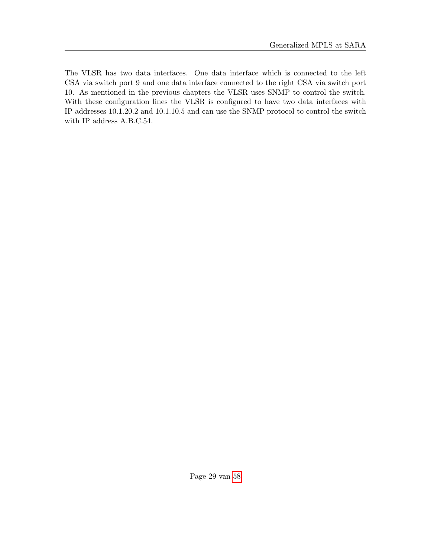The VLSR has two data interfaces. One data interface which is connected to the left CSA via switch port 9 and one data interface connected to the right CSA via switch port 10. As mentioned in the previous chapters the VLSR uses SNMP to control the switch. With these configuration lines the VLSR is configured to have two data interfaces with IP addresses 10.1.20.2 and 10.1.10.5 and can use the SNMP protocol to control the switch with IP address A.B.C.54.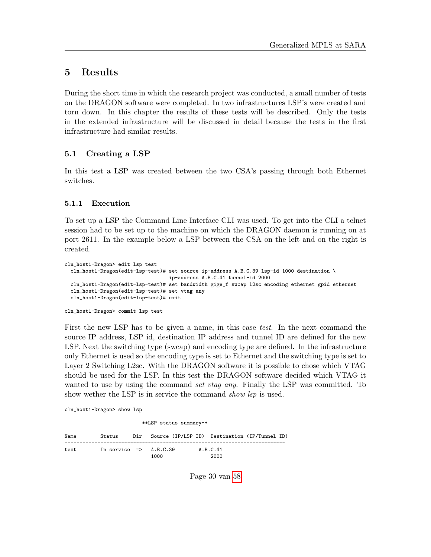# <span id="page-29-0"></span>5 Results

During the short time in which the research project was conducted, a small number of tests on the DRAGON software were completed. In two infrastructures LSP's were created and torn down. In this chapter the results of these tests will be described. Only the tests in the extended infrastructure will be discussed in detail because the tests in the first infrastructure had similar results.

### <span id="page-29-1"></span>5.1 Creating a LSP

In this test a LSP was created between the two CSA's passing through both Ethernet switches.

### <span id="page-29-2"></span>5.1.1 Execution

To set up a LSP the Command Line Interface CLI was used. To get into the CLI a telnet session had to be set up to the machine on which the DRAGON daemon is running on at port 2611. In the example below a LSP between the CSA on the left and on the right is created.

```
cln_host1-Dragon> edit lsp test
 cln_host1-Dragon(edit-lsp-test)# set source ip-address A.B.C.39 lsp-id 1000 destination \
                                   ip-address A.B.C.41 tunnel-id 2000
 cln_host1-Dragon(edit-lsp-test)# set bandwidth gige_f swcap l2sc encoding ethernet gpid ethernet
 cln_host1-Dragon(edit-lsp-test)# set vtag any
 cln_host1-Dragon(edit-lsp-test)# exit
cln_host1-Dragon> commit lsp test
```
First the new LSP has to be given a name, in this case test. In the next command the source IP address, LSP id, destination IP address and tunnel ID are defined for the new LSP. Next the switching type (swcap) and encoding type are defined. In the infrastructure only Ethernet is used so the encoding type is set to Ethernet and the switching type is set to Layer 2 Switching L2sc. With the DRAGON software it is possible to chose which VTAG should be used for the LSP. In this test the DRAGON software decided which VTAG it wanted to use by using the command set vtag any. Finally the LSP was committed. To show wether the LSP is in service the command show lsp is used.

cln\_host1-Dragon> show lsp

\*\*LSP status summary\*\*

| Name | Status                            | Dir Source (IP/LSP ID) Destination (IP/Tunnel ID) |                  |  |
|------|-----------------------------------|---------------------------------------------------|------------------|--|
| test | In service $\Rightarrow$ A.B.C.39 | 1000                                              | A.B.C.41<br>2000 |  |

Page 30 van [58](#page-57-0)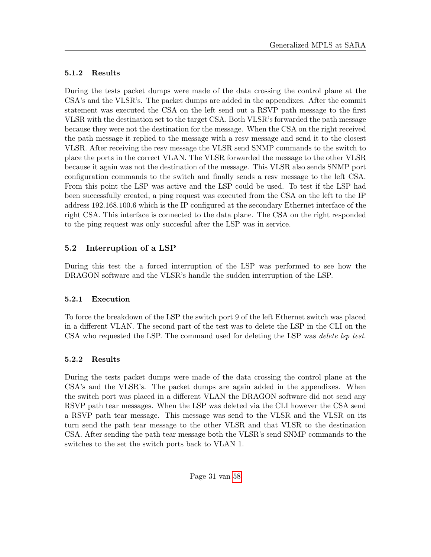### <span id="page-30-0"></span>5.1.2 Results

During the tests packet dumps were made of the data crossing the control plane at the CSA's and the VLSR's. The packet dumps are added in the appendixes. After the commit statement was executed the CSA on the left send out a RSVP path message to the first VLSR with the destination set to the target CSA. Both VLSR's forwarded the path message because they were not the destination for the message. When the CSA on the right received the path message it replied to the message with a resv message and send it to the closest VLSR. After receiving the resv message the VLSR send SNMP commands to the switch to place the ports in the correct VLAN. The VLSR forwarded the message to the other VLSR because it again was not the destination of the message. This VLSR also sends SNMP port configuration commands to the switch and finally sends a resv message to the left CSA. From this point the LSP was active and the LSP could be used. To test if the LSP had been successfully created, a ping request was executed from the CSA on the left to the IP address 192.168.100.6 which is the IP configured at the secondary Ethernet interface of the right CSA. This interface is connected to the data plane. The CSA on the right responded to the ping request was only succesful after the LSP was in service.

# <span id="page-30-1"></span>5.2 Interruption of a LSP

During this test the a forced interruption of the LSP was performed to see how the DRAGON software and the VLSR's handle the sudden interruption of the LSP.

## <span id="page-30-2"></span>5.2.1 Execution

To force the breakdown of the LSP the switch port 9 of the left Ethernet switch was placed in a different VLAN. The second part of the test was to delete the LSP in the CLI on the CSA who requested the LSP. The command used for deleting the LSP was *delete lsp test*.

## <span id="page-30-3"></span>5.2.2 Results

During the tests packet dumps were made of the data crossing the control plane at the CSA's and the VLSR's. The packet dumps are again added in the appendixes. When the switch port was placed in a different VLAN the DRAGON software did not send any RSVP path tear messages. When the LSP was deleted via the CLI however the CSA send a RSVP path tear message. This message was send to the VLSR and the VLSR on its turn send the path tear message to the other VLSR and that VLSR to the destination CSA. After sending the path tear message both the VLSR's send SNMP commands to the switches to the set the switch ports back to VLAN 1.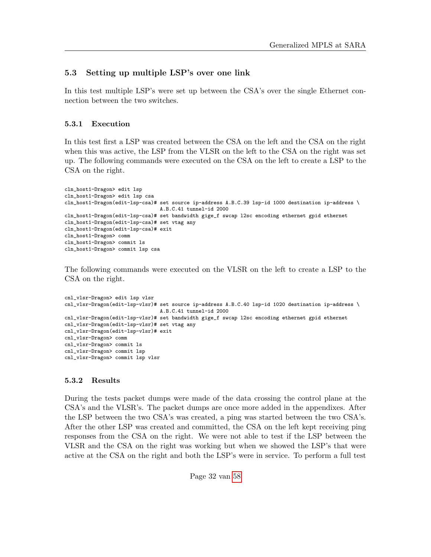### <span id="page-31-0"></span>5.3 Setting up multiple LSP's over one link

In this test multiple LSP's were set up between the CSA's over the single Ethernet connection between the two switches.

#### <span id="page-31-1"></span>5.3.1 Execution

In this test first a LSP was created between the CSA on the left and the CSA on the right when this was active, the LSP from the VLSR on the left to the CSA on the right was set up. The following commands were executed on the CSA on the left to create a LSP to the CSA on the right.

```
cln_host1-Dragon> edit lsp
cln_host1-Dragon> edit lsp csa
cln_host1-Dragon(edit-lsp-csa)# set source ip-address A.B.C.39 lsp-id 1000 destination ip-address \
                                A.B.C.41 tunnel-id 2000
cln_host1-Dragon(edit-lsp-csa)# set bandwidth gige_f swcap l2sc encoding ethernet gpid ethernet
cln_host1-Dragon(edit-lsp-csa)# set vtag any
cln_host1-Dragon(edit-lsp-csa)# exit
cln_host1-Dragon> comm
cln_host1-Dragon> commit ls
cln_host1-Dragon> commit lsp csa
```
The following commands were executed on the VLSR on the left to create a LSP to the CSA on the right.

```
cnl_vlsr-Dragon> edit lsp vlsr
cnl_vlsr-Dragon(edit-lsp-vlsr)# set source ip-address A.B.C.40 lsp-id 1020 destination ip-address \
                               A.B.C.41 tunnel-id 2000
cnl_vlsr-Dragon(edit-lsp-vlsr)# set bandwidth gige_f swcap l2sc encoding ethernet gpid ethernet
cnl_vlsr-Dragon(edit-lsp-vlsr)# set vtag any
cnl_vlsr-Dragon(edit-lsp-vlsr)# exit
cnl_vlsr-Dragon> comm
cnl_vlsr-Dragon> commit ls
cnl_vlsr-Dragon> commit lsp
cnl_vlsr-Dragon> commit lsp vlsr
```
#### <span id="page-31-2"></span>5.3.2 Results

During the tests packet dumps were made of the data crossing the control plane at the CSA's and the VLSR's. The packet dumps are once more added in the appendixes. After the LSP between the two CSA's was created, a ping was started between the two CSA's. After the other LSP was created and committed, the CSA on the left kept receiving ping responses from the CSA on the right. We were not able to test if the LSP between the VLSR and the CSA on the right was working but when we showed the LSP's that were active at the CSA on the right and both the LSP's were in service. To perform a full test

Page 32 van [58](#page-57-0)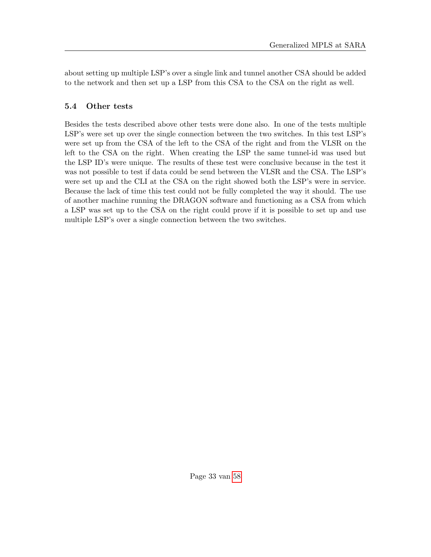about setting up multiple LSP's over a single link and tunnel another CSA should be added to the network and then set up a LSP from this CSA to the CSA on the right as well.

### <span id="page-32-0"></span>5.4 Other tests

Besides the tests described above other tests were done also. In one of the tests multiple LSP's were set up over the single connection between the two switches. In this test LSP's were set up from the CSA of the left to the CSA of the right and from the VLSR on the left to the CSA on the right. When creating the LSP the same tunnel-id was used but the LSP ID's were unique. The results of these test were conclusive because in the test it was not possible to test if data could be send between the VLSR and the CSA. The LSP's were set up and the CLI at the CSA on the right showed both the LSP's were in service. Because the lack of time this test could not be fully completed the way it should. The use of another machine running the DRAGON software and functioning as a CSA from which a LSP was set up to the CSA on the right could prove if it is possible to set up and use multiple LSP's over a single connection between the two switches.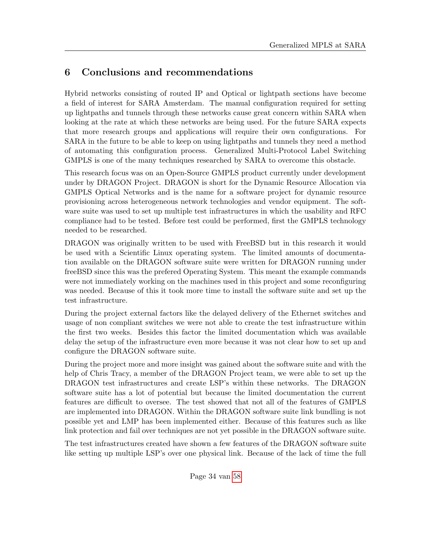# <span id="page-33-0"></span>6 Conclusions and recommendations

Hybrid networks consisting of routed IP and Optical or lightpath sections have become a field of interest for SARA Amsterdam. The manual configuration required for setting up lightpaths and tunnels through these networks cause great concern within SARA when looking at the rate at which these networks are being used. For the future SARA expects that more research groups and applications will require their own configurations. For SARA in the future to be able to keep on using lightpaths and tunnels they need a method of automating this configuration process. Generalized Multi-Protocol Label Switching GMPLS is one of the many techniques researched by SARA to overcome this obstacle.

This research focus was on an Open-Source GMPLS product currently under development under by DRAGON Project. DRAGON is short for the Dynamic Resource Allocation via GMPLS Optical Networks and is the name for a software project for dynamic resource provisioning across heterogeneous network technologies and vendor equipment. The software suite was used to set up multiple test infrastructures in which the usability and RFC compliance had to be tested. Before test could be performed, first the GMPLS technology needed to be researched.

DRAGON was originally written to be used with FreeBSD but in this research it would be used with a Scientific Linux operating system. The limited amounts of documentation available on the DRAGON software suite were written for DRAGON running under freeBSD since this was the prefered Operating System. This meant the example commands were not immediately working on the machines used in this project and some reconfiguring was needed. Because of this it took more time to install the software suite and set up the test infrastructure.

During the project external factors like the delayed delivery of the Ethernet switches and usage of non compliant switches we were not able to create the test infrastructure within the first two weeks. Besides this factor the limited documentation which was available delay the setup of the infrastructure even more because it was not clear how to set up and configure the DRAGON software suite.

During the project more and more insight was gained about the software suite and with the help of Chris Tracy, a member of the DRAGON Project team, we were able to set up the DRAGON test infrastructures and create LSP's within these networks. The DRAGON software suite has a lot of potential but because the limited documentation the current features are difficult to oversee. The test showed that not all of the features of GMPLS are implemented into DRAGON. Within the DRAGON software suite link bundling is not possible yet and LMP has been implemented either. Because of this features such as like link protection and fail over techniques are not yet possible in the DRAGON software suite.

The test infrastructures created have shown a few features of the DRAGON software suite like setting up multiple LSP's over one physical link. Because of the lack of time the full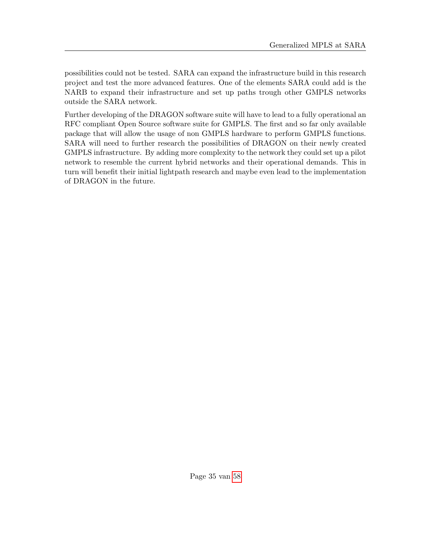possibilities could not be tested. SARA can expand the infrastructure build in this research project and test the more advanced features. One of the elements SARA could add is the NARB to expand their infrastructure and set up paths trough other GMPLS networks outside the SARA network.

Further developing of the DRAGON software suite will have to lead to a fully operational an RFC compliant Open Source software suite for GMPLS. The first and so far only available package that will allow the usage of non GMPLS hardware to perform GMPLS functions. SARA will need to further research the possibilities of DRAGON on their newly created GMPLS infrastructure. By adding more complexity to the network they could set up a pilot network to resemble the current hybrid networks and their operational demands. This in turn will benefit their initial lightpath research and maybe even lead to the implementation of DRAGON in the future.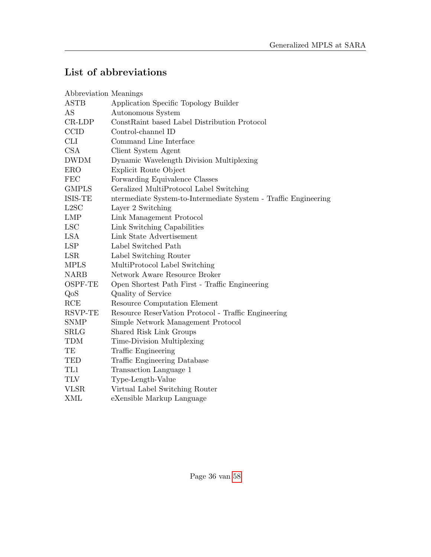# List of abbreviations

| Abbreviation Meanings |                                                                 |
|-----------------------|-----------------------------------------------------------------|
| <b>ASTB</b>           | Application Specific Topology Builder                           |
| AS                    | Autonomous System                                               |
| $CR-LDP$              | ConstRaint based Label Distribution Protocol                    |
| <b>CCID</b>           | Control-channel ID                                              |
| CLI                   | Command Line Interface                                          |
| <b>CSA</b>            | Client System Agent                                             |
| <b>DWDM</b>           | Dynamic Wavelength Division Multiplexing                        |
| <b>ERO</b>            | Explicit Route Object                                           |
| <b>FEC</b>            | Forwarding Equivalence Classes                                  |
| <b>GMPLS</b>          | Geralized MultiProtocol Label Switching                         |
| ISIS-TE               | ntermediate System-to-Intermediate System - Traffic Engineering |
| L2SC                  | Layer 2 Switching                                               |
| <b>LMP</b>            | Link Management Protocol                                        |
| <b>LSC</b>            | Link Switching Capabilities                                     |
| <b>LSA</b>            | Link State Advertisement                                        |
| <b>LSP</b>            | Label Switched Path                                             |
| <b>LSR</b>            | Label Switching Router                                          |
| <b>MPLS</b>           | MultiProtocol Label Switching                                   |
| <b>NARB</b>           | Network Aware Resource Broker                                   |
| OSPF-TE               | Open Shortest Path First - Traffic Engineering                  |
| QoS                   | Quality of Service                                              |
| RCE                   | Resource Computation Element                                    |
| RSVP-TE               | Resource ReserVation Protocol - Traffic Engineering             |
| <b>SNMP</b>           | Simple Network Management Protocol                              |
| <b>SRLG</b>           | Shared Risk Link Groups                                         |
| <b>TDM</b>            | Time-Division Multiplexing                                      |
| TE                    | Traffic Engineering                                             |
| TED                   | Traffic Engineering Database                                    |
| TL1                   | Transaction Language 1                                          |
| TLV                   | Type-Length-Value                                               |
| <b>VLSR</b>           | Virtual Label Switching Router                                  |
| <b>XML</b>            | eXensible Markup Language                                       |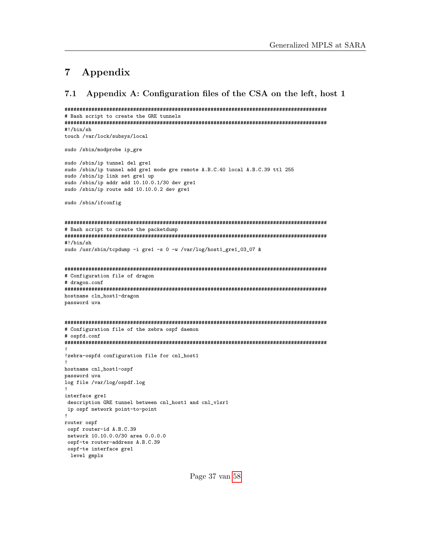# <span id="page-36-0"></span>7 Appendix

```
7.1 Appendix A: Configuration files of the CSA on the left, host 1
```
######################################################################################## # Bash script to create the GRE tunnels ######################################################################################## #!/bin/sh

touch /var/lock/subsys/local

sudo /sbin/modprobe ip\_gre

sudo /sbin/ip tunnel del gre1 sudo /sbin/ip tunnel add gre1 mode gre remote A.B.C.40 local A.B.C.39 ttl 255 sudo /sbin/ip link set gre1 up sudo /sbin/ip addr add 10.10.0.1/30 dev gre1 sudo /sbin/ip route add 10.10.0.2 dev gre1

sudo /sbin/ifconfig

```
########################################################################################
# Bash script to create the packetdump
########################################################################################
#!/bin/sh
sudo /usr/sbin/tcpdump -i gre1 -s 0 -w /var/log/host1_gre1_03_07 &
```

```
########################################################################################
# Configuration file of dragon
# dragon.conf
########################################################################################
hostname cln_host1-dragon
password uva
########################################################################################
```

```
# Configuration file of the zebra ospf daemon
# ospfd.conf
########################################################################################
!
!zebra-ospfd configuration file for cnl_host1
!
hostname cnl_host1-ospf
password uva
log file /var/log/ospdf.log
!
interface gre1
description GRE tunnel between cnl_host1 and cnl_vlsr1
ip ospf network point-to-point
!
router ospf
ospf router-id A.B.C.39
network 10.10.0.0/30 area 0.0.0.0
ospf-te router-address A.B.C.39
 ospf-te interface gre1
 level gmpls
```
Page 37 van [58](#page-57-0)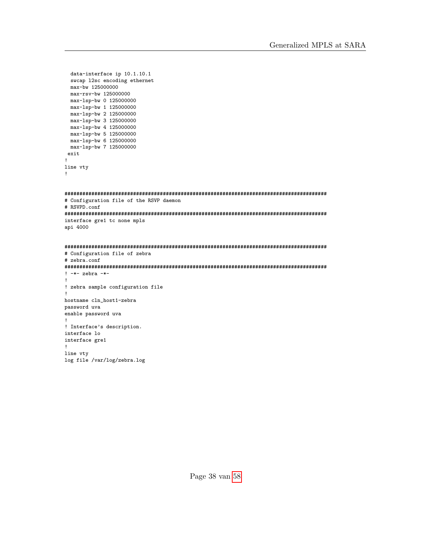```
data-interface ip 10.1.10.1
  swcap l2sc encoding ethernet
 max-bw 125000000
 max-rsv-bw 125000000
 max-lsp-bw 0 125000000
 max-lsp-bw 1 125000000
 max-lsp-bw 2 125000000
 max-lsp-bw 3 125000000
 max-lsp-bw 4 125000000
 max-lsp-bw 5 125000000
 max-lsp-bw 6 125000000
 max-lsp-bw 7 125000000
 exit
!
line vty
!
########################################################################################
# Configuration file of the RSVP daemon
# RSVPD.conf
########################################################################################
interface gre1 tc none mpls
api 4000
########################################################################################
# Configuration file of zebra
# zebra.conf
########################################################################################
! -*- zebra -*-
!
! zebra sample configuration file
!
hostname cln_host1-zebra
password uva
enable password uva
!
! Interface's description.
interface lo
interface gre1
!
line vty
log file /var/log/zebra.log
```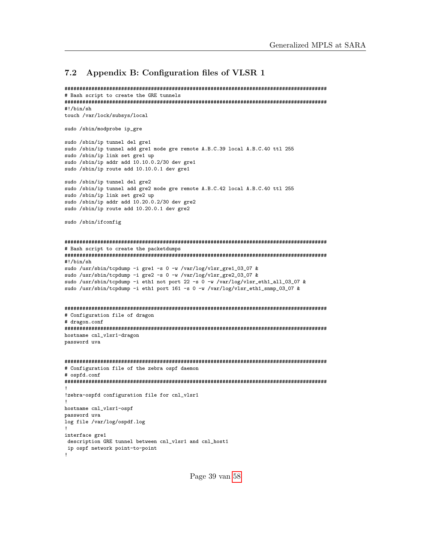#### <span id="page-38-0"></span>7.2 Appendix B: Configuration files of VLSR 1

```
########################################################################################
# Bash script to create the GRE tunnels
########################################################################################
```
#!/bin/sh touch /var/lock/subsys/local

sudo /sbin/modprobe ip\_gre

sudo /sbin/ip tunnel del gre1 sudo /sbin/ip tunnel add gre1 mode gre remote A.B.C.39 local A.B.C.40 ttl 255 sudo /sbin/ip link set gre1 up sudo /sbin/ip addr add 10.10.0.2/30 dev gre1 sudo /sbin/ip route add 10.10.0.1 dev gre1

sudo /sbin/ip tunnel del gre2 sudo /sbin/ip tunnel add gre2 mode gre remote A.B.C.42 local A.B.C.40 ttl 255 sudo /sbin/ip link set gre2 up sudo /sbin/ip addr add 10.20.0.2/30 dev gre2 sudo /sbin/ip route add 10.20.0.1 dev gre2

sudo /sbin/ifconfig

```
########################################################################################
# Bash script to create the packetdumps
########################################################################################
#!/bin/sh
sudo /usr/sbin/tcpdump -i gre1 -s 0 -w /var/log/vlsr_gre1_03_07 &
sudo /usr/sbin/tcpdump -i gre2 -s 0 -w /var/log/vlsr_gre2_03_07 &
sudo /usr/sbin/tcpdump -i eth1 not port 22 -s 0 -w /var/log/vlsr_eth1_all_03_07 &
sudo /usr/sbin/tcpdump -i eth1 port 161 -s 0 -w /var/log/vlsr_eth1_snmp_03_07 &
########################################################################################
# Configuration file of dragon
# dragon.conf
########################################################################################
hostname cnl_vlsr1-dragon
password uva
########################################################################################
# Configuration file of the zebra ospf daemon
# ospfd.conf
########################################################################################
!
!zebra-ospfd configuration file for cnl_vlsr1
!
hostname cnl_vlsr1-ospf
password uva
log file /var/log/ospdf.log
!
interface gre1
 description GRE tunnel between cnl_vlsr1 and cnl_host1
 ip ospf network point-to-point
!
```
Page 39 van [58](#page-57-0)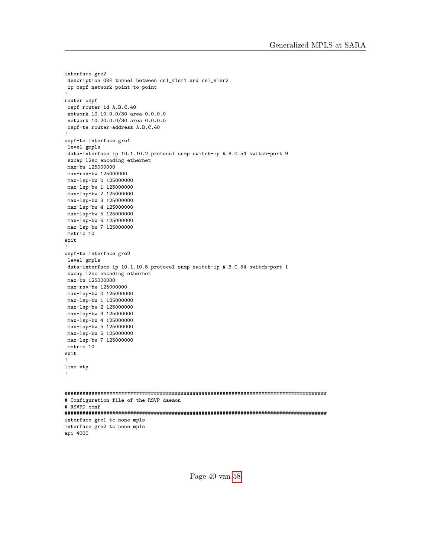```
interface gre2
description GRE tunnel between cnl_vlsr1 and cnl_vlsr2
ip ospf network point-to-point
!
router ospf
 ospf router-id A.B.C.40
network 10.10.0.0/30 area 0.0.0.0
network 10.20.0.0/30 area 0.0.0.0
ospf-te router-address A.B.C.40
!
ospf-te interface gre1
level gmpls
data-interface ip 10.1.10.2 protocol snmp switch-ip A.B.C.54 switch-port 9
swcap l2sc encoding ethernet
max-bw 125000000
max-rsv-bw 125000000
max-lsp-bw 0 125000000
max-lsp-bw 1 125000000
max-lsp-bw 2 125000000
max-lsp-bw 3 125000000
max-lsp-bw 4 125000000
max-lsp-bw 5 125000000
max-lsp-bw 6 125000000
max-lsp-bw 7 125000000
metric 10
exit
!
ospf-te interface gre2
level gmpls
data-interface ip 10.1.10.5 protocol snmp switch-ip A.B.C.54 switch-port 1
swcap l2sc encoding ethernet
max-bw 125000000
max-rsv-bw 125000000
max-lsp-bw 0 125000000
max-lsp-bw 1 125000000
max-lsp-bw 2 125000000
max-lsp-bw 3 125000000
max-lsp-bw 4 125000000
max-lsp-bw 5 125000000
max-lsp-bw 6 125000000
max-lsp-bw 7 125000000
metric 10
exit
!
line vty
!
########################################################################################
# Configuration file of the RSVP daemon
# RSVPD.conf
########################################################################################
interface gre1 tc none mpls
interface gre2 tc none mpls
api 4000
```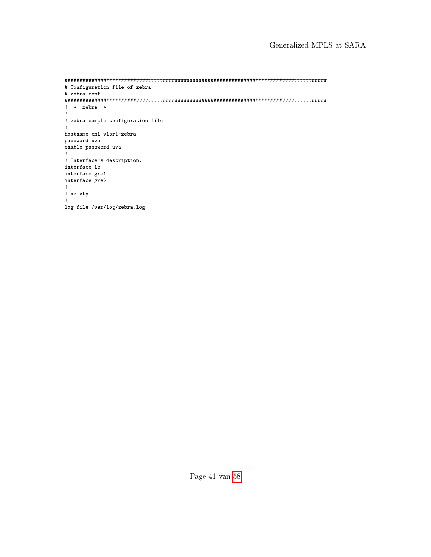```
########################################################################################
# Configuration file of zebra
# zebra.conf
########################################################################################
! -*- zebra -*-
!
! zebra sample configuration file
!
hostname cnl_vlsr1-zebra
password uva
enable password uva
!
! Interface's description.
interface lo
interface gre1
interface gre2
!
line vty
!
log file /var/log/zebra.log
```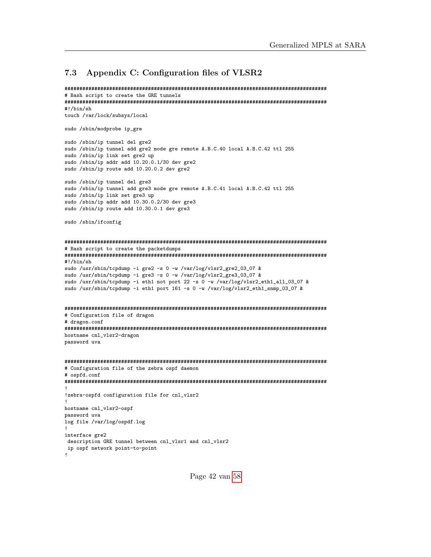#### <span id="page-41-0"></span>7.3 Appendix C: Configuration files of VLSR2

```
########################################################################################
# Bash script to create the GRE tunnels
########################################################################################
```
#!/bin/sh touch /var/lock/subsys/local

sudo /sbin/modprobe ip\_gre

sudo /sbin/ip tunnel del gre2 sudo /sbin/ip tunnel add gre2 mode gre remote A.B.C.40 local A.B.C.42 ttl 255 sudo /sbin/ip link set gre2 up sudo /sbin/ip addr add 10.20.0.1/30 dev gre2 sudo /sbin/ip route add 10.20.0.2 dev gre2

sudo /sbin/ip tunnel del gre3 sudo /sbin/ip tunnel add gre3 mode gre remote A.B.C.41 local A.B.C.42 ttl 255 sudo /sbin/ip link set gre3 up sudo /sbin/ip addr add 10.30.0.2/30 dev gre3 sudo /sbin/ip route add 10.30.0.1 dev gre3

sudo /sbin/ifconfig

```
########################################################################################
# Bash script to create the packetdumps
########################################################################################
#!/bin/sh
sudo /usr/sbin/tcpdump -i gre2 -s 0 -w /var/log/vlsr2_gre2_03_07 &
sudo /usr/sbin/tcpdump -i gre3 -s 0 -w /var/log/vlsr2_gre3_03_07 &
sudo /usr/sbin/tcpdump -i eth1 not port 22 -s 0 -w /var/log/vlsr2_eth1_all_03_07 &
sudo /usr/sbin/tcpdump -i eth1 port 161 -s 0 -w /var/log/vlsr2_eth1_snmp_03_07 &
########################################################################################
# Configuration file of dragon
# dragon.conf
########################################################################################
hostname cnl_vlsr2-dragon
password uva
########################################################################################
# Configuration file of the zebra ospf daemon
# ospfd.conf
########################################################################################
!
!zebra-ospfd configuration file for cnl_vlsr2
!
hostname cnl_vlsr2-ospf
password uva
log file /var/log/ospdf.log
!
interface gre2
 description GRE tunnel between cnl_vlsr1 and cnl_vlsr2
 ip ospf network point-to-point
!
```
Page 42 van [58](#page-57-0)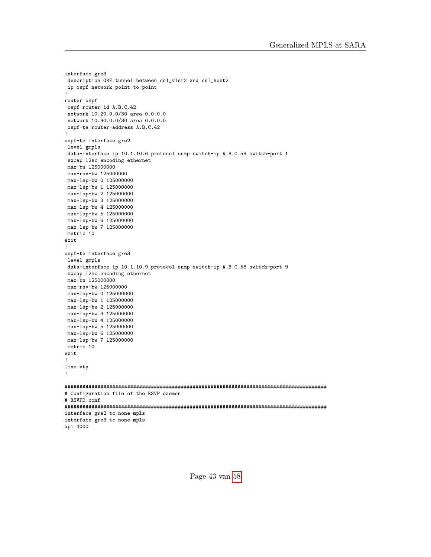```
interface gre3
description GRE tunnel between cnl_vlsr2 and cnl_host2
ip ospf network point-to-point
!
router ospf
 ospf router-id A.B.C.42
network 10.20.0.0/30 area 0.0.0.0
network 10.30.0.0/30 area 0.0.0.0
ospf-te router-address A.B.C.42
!
ospf-te interface gre2
level gmpls
data-interface ip 10.1.10.6 protocol snmp switch-ip A.B.C.58 switch-port 1
swcap l2sc encoding ethernet
max-bw 125000000
max-rsv-bw 125000000
max-lsp-bw 0 125000000
max-lsp-bw 1 125000000
max-lsp-bw 2 125000000
max-lsp-bw 3 125000000
max-lsp-bw 4 125000000
max-lsp-bw 5 125000000
max-lsp-bw 6 125000000
max-lsp-bw 7 125000000
metric 10
exit
!
ospf-te interface gre3
level gmpls
data-interface ip 10.1.10.9 protocol snmp switch-ip A.B.C.58 switch-port 9
swcap l2sc encoding ethernet
max-bw 125000000
max-rsv-bw 125000000
max-lsp-bw 0 125000000
max-lsp-bw 1 125000000
max-lsp-bw 2 125000000
max-lsp-bw 3 125000000
max-lsp-bw 4 125000000
max-lsp-bw 5 125000000
max-lsp-bw 6 125000000
max-lsp-bw 7 125000000
metric 10
exit
!
line vty
!
########################################################################################
# Configuration file of the RSVP daemon
# RSVPD.conf
########################################################################################
interface gre2 tc none mpls
interface gre3 tc none mpls
api 4000
```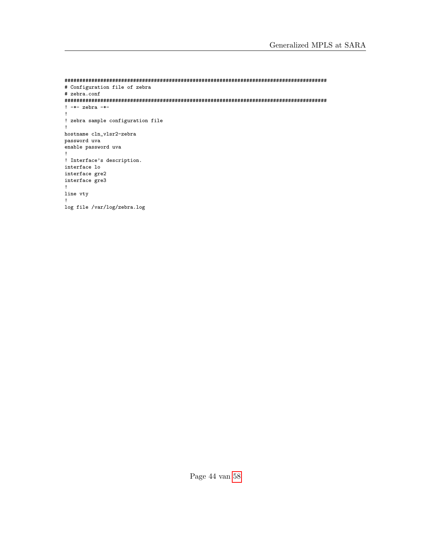```
########################################################################################
# Configuration file of zebra
# zebra.conf
########################################################################################
! -*- zebra -*-
!
! zebra sample configuration file
!
hostname cln_vlsr2-zebra
password uva
enable password uva
!
! Interface's description.
interface lo
interface gre2
interface gre3
!
line vty
!
log file /var/log/zebra.log
```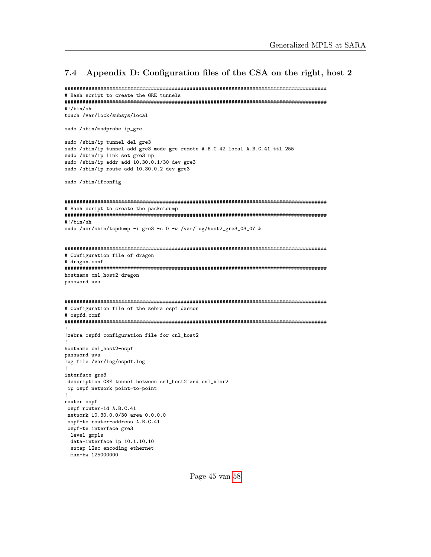#### <span id="page-44-0"></span>7.4 Appendix D: Configuration files of the CSA on the right, host 2

```
########################################################################################
# Bash script to create the GRE tunnels
########################################################################################
#!/bin/sh
touch /var/lock/subsys/local
sudo /sbin/modprobe ip_gre
sudo /sbin/ip tunnel del gre3
sudo /sbin/ip tunnel add gre3 mode gre remote A.B.C.42 local A.B.C.41 ttl 255
sudo /sbin/ip link set gre3 up
sudo /sbin/ip addr add 10.30.0.1/30 dev gre3
sudo /sbin/ip route add 10.30.0.2 dev gre3
sudo /sbin/ifconfig
########################################################################################
# Bash script to create the packetdump
########################################################################################
#!/bin/sh
sudo /usr/sbin/tcpdump -i gre3 -s 0 -w /var/log/host2_gre3_03_07 &
########################################################################################
# Configuration file of dragon
# dragon.conf
########################################################################################
hostname cnl_host2-dragon
password uva
########################################################################################
# Configuration file of the zebra ospf daemon
# ospfd.conf
########################################################################################
!
!zebra-ospfd configuration file for cnl_host2
!
hostname cnl_host2-ospf
password uva
log file /var/log/ospdf.log
!
interface gre3
description GRE tunnel between cnl_host2 and cnl_vlsr2
ip ospf network point-to-point
!
router ospf
ospf router-id A.B.C.41
network 10.30.0.0/30 area 0.0.0.0
ospf-te router-address A.B.C.41
 ospf-te interface gre3
 level gmpls
 data-interface ip 10.1.10.10
 swcap l2sc encoding ethernet
 max-bw 125000000
```
Page 45 van [58](#page-57-0)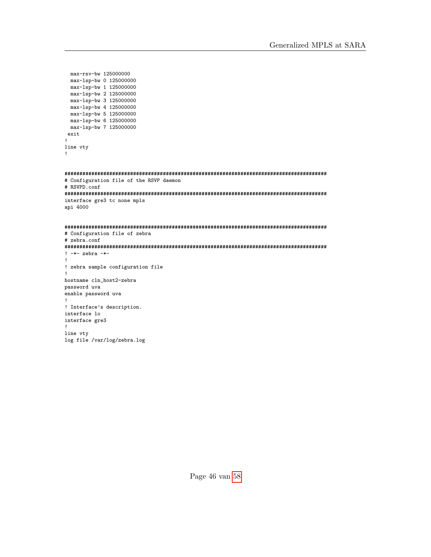```
max-rsv-bw 125000000
 max-lsp-bw 0 125000000
 max-lsp-bw 1 125000000
 max-lsp-bw 2 125000000
 max-lsp-bw 3 125000000
 max-lsp-bw 4 125000000
 max-lsp-bw 5 125000000
 max-lsp-bw 6 125000000
 max-1sp-bw 7 125000000
 exit
!
line vty
!
########################################################################################
# Configuration file of the RSVP daemon
# RSVPD.conf
########################################################################################
interface gre3 tc none mpls
api 4000
########################################################################################
# Configuration file of zebra
# zebra.conf
########################################################################################
! -*- zebra -*-
!
! zebra sample configuration file
!
hostname cln_host2-zebra
password uva
enable password uva
!
! Interface's description.
interface lo
interface gre3
!
line vty
log file /var/log/zebra.log
```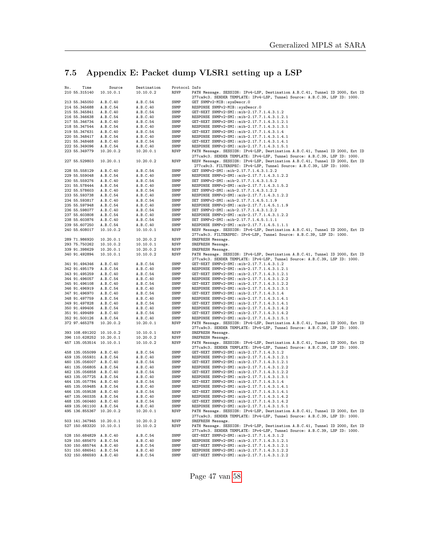# <span id="page-46-0"></span>7.5 Appendix E: Packet dump VLSR1 setting up a LSP

| No. | Time                                               | Source                | Destination           | Protocol Info |                                                                                                                                                              |
|-----|----------------------------------------------------|-----------------------|-----------------------|---------------|--------------------------------------------------------------------------------------------------------------------------------------------------------------|
|     | 210 55.315140                                      | 10.10.0.1             | 10.10.0.2             | RSVP          | PATH Message. SESSION: IPv4-LSP, Destination A.B.C.41, Tunnel ID 2000, Ext ID<br>277ca9c3. SENDER TEMPLATE: IPv4-LSP, Tunnel Source: A.B.C.39, LSP ID: 1000. |
|     | 213 55.345050                                      | A.B.C.40              | A.B.C.54              | SNMP          | GET SNMPv2-MIB::sysDescr.0                                                                                                                                   |
|     | 214 55.345688                                      | A.B.C.54              | A.B.C.40              | SNMP          | RESPONSE SNMPv2-MIB::sysDescr.0                                                                                                                              |
|     | 215 55.345841                                      | A.B.C.40              | A.B.C.54              | SNMP          | GET-NEXT SNMPv2-SMI::mib-2.17.7.1.4.3.1.2                                                                                                                    |
|     | 216 55.346638                                      | A.B.C.54              | A.B.C.40              | SNMP          | RESPONSE SNMPv2-SMI::mib-2.17.7.1.4.3.1.2.1                                                                                                                  |
|     | 217 55.346734                                      | A.B.C.40              | A.B.C.54              | SNMP          | GET-NEXT SNMPv2-SMI::mib-2.17.7.1.4.3.1.2.1                                                                                                                  |
|     | 218 55.347544                                      | A.B.C.54              | A.B.C.40              | SNMP          | RESPONSE SNMPv2-SMI::mib-2.17.7.1.4.3.1.3.1                                                                                                                  |
|     | 219 55.347631                                      | A.B.C.40              | A.B.C.54              | SNMP          | GET-NEXT SNMPv2-SMI::mib-2.17.7.1.4.3.1.4                                                                                                                    |
|     | 220 55.348417                                      | A.B.C.54              | A.B.C.40              | SNMP          | RESPONSE SNMPv2-SMI::mib-2.17.7.1.4.3.1.4.1                                                                                                                  |
|     | 221 55.348468                                      | A.B.C.40              | A.B.C.54              | SNMP          | GET-NEXT SNMPv2-SMI::mib-2.17.7.1.4.3.1.4.1                                                                                                                  |
|     | 222 55.349096                                      | A.B.C.54              | A.B.C.40              | SNMP          | RESPONSE SNMPv2-SMI::mib-2.17.7.1.4.3.1.5.1                                                                                                                  |
|     | 223 55.349779                                      | 10.20.0.2             | 10.20.0.1             | RSVP          | PATH Message. SESSION: IPv4-LSP, Destination A.B.C.41, Tunnel ID 2000, Ext ID<br>277ca9c3. SENDER TEMPLATE: IPv4-LSP, Tunnel Source: A.B.C.39, LSP ID: 1000. |
|     | 227 55.529803                                      | 10.20.0.1             | 10.20.0.2             | RSVP          | RESV Message. SESSION: IPv4-LSP, Destination A.B.C.41, Tunnel ID 2000, Ext ID<br>277ca9c3. FILTERSPEC: IPv4-LSP, Tunnel Source: A.B.C.39, LSP ID: 1000.      |
|     | 228 55.558129                                      | A.B.C.40              | A.B.C.54              | SNMP          | GET SNMPv2-SMI::mib-2.17.7.1.4.3.1.2.2                                                                                                                       |
|     | 229 55.559048                                      | A.B.C.54              | A.B.C.40              | SNMP          | RESPONSE SNMPv2-SMI::mib-2.17.7.1.4.3.1.2.2                                                                                                                  |
|     | 230 55.559276                                      | A.B.C.40              | A.B.C.54              | SNMP          | SET SNMPv2-SMI::mib-2.17.7.1.4.3.1.5.2                                                                                                                       |
|     | 231 55.578444                                      | A.B.C.54              | A.B.C.40              | SNMP          | RESPONSE SNMPv2-SMI::mib-2.17.7.1.4.3.1.5.2                                                                                                                  |
|     | 232 55.578603                                      | A.B.C.40              | A.B.C.54              | SNMP          | SET SNMPv2-SMI::mib-2.17.7.1.4.3.1.2.2                                                                                                                       |
|     | 233 55.593738                                      | A.B.C.54              | A.B.C.40              | SNMP          | RESPONSE SNMPv2-SMI::mib-2.17.7.1.4.3.1.2.2                                                                                                                  |
|     | 234 55.593817                                      | A.B.C.40              | A.B.C.54              | SNMP          | SET SNMPv2-SMI::mib-2.17.7.1.4.5.1.1.9                                                                                                                       |
|     | 235 55.597948                                      | A.B.C.54              | A.B.C.40              | SNMP          | RESPONSE SNMPv2-SMI::mib-2.17.7.1.4.5.1.1.9                                                                                                                  |
|     | 236 55.598077                                      | A.B.C.40              | A.B.C.54              | SNMP          | SET SNMPv2-SMI::mib-2.17.7.1.4.3.1.2.2                                                                                                                       |
|     | 237 55.603808                                      | A.B.C.54              | A.B.C.40              | SNMP          | RESPONSE SNMPv2-SMI::mib-2.17.7.1.4.3.1.2.2                                                                                                                  |
|     | 238 55.603876                                      | A.B.C.40              | A.B.C.54              | SNMP          | SET SNMPv2-SMI::mib-2.17.7.1.4.5.1.1.1                                                                                                                       |
|     | 239 55.607250<br>240 55.608017                     | A.B.C.54<br>10.10.0.2 | A.B.C.40<br>10.10.0.1 | SNMP<br>RSVP  | RESPONSE SNMPv2-SMI::mib-2.17.7.1.4.5.1.1.1<br>RESV Message. SESSION: IPv4-LSP, Destination A.B.C.41, Tunnel ID 2000, Ext ID                                 |
|     |                                                    |                       |                       |               | 277ca9c3. FILTERSPEC: IPv4-LSP, Tunnel Source: A.B.C.39, LSP ID: 1000.                                                                                       |
|     | 289 71.986920                                      | 10.20.0.1             | 10.20.0.2             | RSVP          | SREFRESH Message.                                                                                                                                            |
|     | 293 75.750262                                      | 10.10.0.2             | 10.10.0.1             | RSVP          | SREFRESH Message.                                                                                                                                            |
|     | 339 91.398629                                      | 10.20.0.1             | 10.20.0.2             | RSVP          | SREFRESH Message.                                                                                                                                            |
|     | 340 91.492894                                      | 10.10.0.1             | 10.10.0.2             | RSVP          | PATH Message. SESSION: IPv4-LSP, Destination A.B.C.41, Tunnel ID 2000, Ext ID                                                                                |
|     |                                                    |                       |                       |               | 277ca9c3. SENDER TEMPLATE: IPv4-LSP, Tunnel Source: A.B.C.39, LSP ID: 1000.                                                                                  |
|     | 341 91.494346                                      | A.B.C.40              | A.B.C.54              | SNMP          | GET-NEXT SNMPv2-SMI::mib-2.17.7.1.4.3.1.2                                                                                                                    |
|     | 342 91.495179                                      | A.B.C.54              | A.B.C.40              | SNMP          | RESPONSE SNMPv2-SMI::mib-2.17.7.1.4.3.1.2.1                                                                                                                  |
|     | 343 91.495259                                      | A.B.C.40              | A.B.C.54              | SNMP          | GET-NEXT SNMPv2-SMI::mib-2.17.7.1.4.3.1.2.1                                                                                                                  |
|     | 344 91.496057                                      | A.B.C.54              | A.B.C.40              | SNMP          | RESPONSE SNMPv2-SMI::mib-2.17.7.1.4.3.1.2.2                                                                                                                  |
|     | 345 91.496108                                      | A.B.C.40              | A.B.C.54              | SNMP          | GET-NEXT SNMPv2-SMI::mib-2.17.7.1.4.3.1.2.2                                                                                                                  |
|     | 346 91.496919                                      | A.B.C.54              | A.B.C.40              | SNMP          | RESPONSE SNMPv2-SMI::mib-2.17.7.1.4.3.1.3.1                                                                                                                  |
|     | 347 91.496970                                      | A.B.C.40              | A.B.C.54              | SNMP          | GET-NEXT SNMPv2-SMI::mib-2.17.7.1.4.3.1.4                                                                                                                    |
|     | 348 91.497759                                      | A.B.C.54              | A.B.C.40              | SNMP          | RESPONSE SNMPv2-SMI::mib-2.17.7.1.4.3.1.4.1                                                                                                                  |
|     | 349 91.497828                                      | A.B.C.40              | A.B.C.54              | SNMP          | GET-NEXT SNMPv2-SMI::mib-2.17.7.1.4.3.1.4.1                                                                                                                  |
|     | 350 91.499406                                      | A.B.C.54              | A.B.C.40              | SNMP          | RESPONSE SNMPv2-SMI::mib-2.17.7.1.4.3.1.4.2                                                                                                                  |
|     | 351 91.499489                                      | A.B.C.40              | A.B.C.54              | SNMP          | GET-NEXT SNMPv2-SMI::mib-2.17.7.1.4.3.1.4.2                                                                                                                  |
|     | 352 91.500126<br>372 97.465278                     | A.B.C.54<br>10.20.0.2 | A.B.C.40<br>10.20.0.1 | SNMP<br>RSVP  | RESPONSE SNMPv2-SMI::mib-2.17.7.1.4.3.1.5.1<br>PATH Message. SESSION: IPv4-LSP, Destination A.B.C.41, Tunnel ID 2000, Ext ID                                 |
|     |                                                    |                       |                       |               | 277ca9c3. SENDER TEMPLATE: IPv4-LSP, Tunnel Source: A.B.C.39, LSP ID: 1000.                                                                                  |
|     | 393 108.691202 10.10.0.2                           |                       | 10.10.0.1             | RSVP          | SREFRESH Message.                                                                                                                                            |
|     | 396 110.628252 10.20.0.1                           |                       | 10.20.0.2             | RSVP          | SREFRESH Message.                                                                                                                                            |
|     | 457 135.053514 10.10.0.1                           |                       | 10.10.0.2             | RSVP          | PATH Message. SESSION: IPv4-LSP, Destination A.B.C.41, Tunnel ID 2000, Ext ID                                                                                |
|     |                                                    |                       |                       |               | 277ca9c3. SENDER TEMPLATE: IPv4-LSP, Tunnel Source: A.B.C.39, LSP ID: 1000.                                                                                  |
|     | 458 135.055099 A.B.C.40                            |                       | A.B.C.54              | SNMP          | GET-NEXT SNMPv2-SMI::mib-2.17.7.1.4.3.1.2                                                                                                                    |
|     | 459 135.055931 A.B.C.54                            |                       | A.B.C.40              | SNMP          | RESPONSE SNMPv2-SMI::mib-2.17.7.1.4.3.1.2.1                                                                                                                  |
|     | 460 135.056007 A.B.C.40                            |                       | A.B.C.54              | SNMP          | GET-NEXT SNMPv2-SMI::mib-2.17.7.1.4.3.1.2.1                                                                                                                  |
|     | 461 135.056805 A.B.C.54                            |                       | A.B.C.40              | SNMP          | RESPONSE SNMPv2-SMI::mib-2.17.7.1.4.3.1.2.2                                                                                                                  |
|     | 462 135.056858 A.B.C.40                            |                       | A.B.C.54              | SNMP          | GET-NEXT SNMPv2-SMI::mib-2.17.7.1.4.3.1.2.2                                                                                                                  |
|     | 463 135.057725 A.B.C.54                            |                       | A.B.C.40              | SNMP          | RESPONSE SNMPv2-SMI::mib-2.17.7.1.4.3.1.3.1                                                                                                                  |
|     | 464 135.057784 A.B.C.40                            |                       | A.B.C.54              | SNMP          | GET-NEXT SNMPv2-SMI::mib-2.17.7.1.4.3.1.4                                                                                                                    |
|     | 465 135.059485 A.B.C.54                            |                       | A.B.C.40              | SNMP          | RESPONSE SNMPv2-SMI::mib-2.17.7.1.4.3.1.4.1                                                                                                                  |
|     | 466 135.059538 A.B.C.40<br>467 135.060335 A.B.C.54 |                       | A.B.C.54<br>A.B.C.40  | SNMP<br>SNMP  | GET-NEXT SNMPv2-SMI::mib-2.17.7.1.4.3.1.4.1<br>RESPONSE SNMPv2-SMI::mib-2.17.7.1.4.3.1.4.2                                                                   |
|     | 468 135.060460 A.B.C.40                            |                       | A.B.C.54              | SNMP          | GET-NEXT SNMPv2-SMI::mib-2.17.7.1.4.3.1.4.2                                                                                                                  |
|     | 469 135.061100 A.B.C.54                            |                       | A.B.C.40              | SNMP          | RESPONSE SNMPv2-SMI::mib-2.17.7.1.4.3.1.5.1                                                                                                                  |
|     | 495 136.855367 10.20.0.2                           |                       | 10.20.0.1             | RSVP          | PATH Message. SESSION: IPv4-LSP, Destination A.B.C.41, Tunnel ID 2000, Ext ID                                                                                |
|     |                                                    |                       |                       |               | 277ca9c3. SENDER TEMPLATE: IPv4-LSP, Tunnel Source: A.B.C.39, LSP ID: 1000.                                                                                  |
|     | 503 141.347945 10.20.0.1                           |                       | 10.20.0.2             | <b>RSVP</b>   | SREFRESH Message.                                                                                                                                            |
|     | 527 150.683320 10.10.0.1                           |                       | 10.10.0.2             | <b>RSVP</b>   | PATH Message. SESSION: IPv4-LSP, Destination A.B.C.41, Tunnel ID 2000, Ext ID                                                                                |
|     | 528 150.684829 A.B.C.40                            |                       |                       |               | 277ca9c3. SENDER TEMPLATE: IPv4-LSP, Tunnel Source: A.B.C.39, LSP ID: 1000.<br>GET-NEXT SNMPv2-SMI::mib-2.17.7.1.4.3.1.2                                     |
|     | 529 150.685670 A.B.C.54                            |                       | A.B.C.54<br>A.B.C.40  | SNMP<br>SNMP  | RESPONSE SNMPv2-SMI::mib-2.17.7.1.4.3.1.2.1                                                                                                                  |
|     | 530 150.685744 A.B.C.40                            |                       | A.B.C.54              | SNMP          | GET-NEXT SNMPv2-SMI::mib-2.17.7.1.4.3.1.2.1                                                                                                                  |
|     | 531 150.686541 A.B.C.54                            |                       | A.B.C.40              | SNMP          | RESPONSE SNMPv2-SMI::mib-2.17.7.1.4.3.1.2.2                                                                                                                  |
|     | 532 150.686593 A.B.C.40                            |                       | A.B.C.54              | SNMP          | GET-NEXT SNMPv2-SMI::mib-2.17.7.1.4.3.1.2.2                                                                                                                  |
|     |                                                    |                       |                       |               |                                                                                                                                                              |

Page 47 van [58](#page-57-0)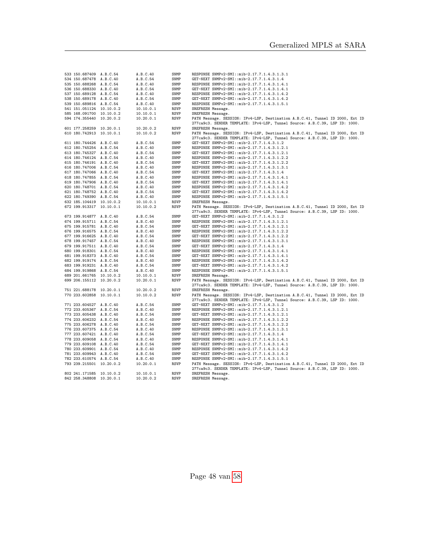| 533 150.687409 A.B.C.54  | A.B.C.40  | SNMP        | RESPONSE SNMPv2-SMI::mib-2.17.7.1.4.3.1.3.1                                   |
|--------------------------|-----------|-------------|-------------------------------------------------------------------------------|
| 534 150.687478 A.B.C.40  | A.B.C.54  | SNMP        | GET-NEXT SNMPv2-SMI::mib-2.17.7.1.4.3.1.4                                     |
| 535 150.688268 A.B.C.54  | A.B.C.40  | SNMP        | RESPONSE SNMPv2-SMI::mib-2.17.7.1.4.3.1.4.1                                   |
| 536 150.688330 A.B.C.40  | A.B.C.54  | SNMP        | GET-NEXT SNMPv2-SMI::mib-2.17.7.1.4.3.1.4.1                                   |
| 537 150.689128 A.B.C.54  | A.B.C.40  | SNMP        | RESPONSE SNMPv2-SMI::mib-2.17.7.1.4.3.1.4.2                                   |
| 538 150.689178 A.B.C.40  | A.B.C.54  | SNMP        | GET-NEXT SNMPv2-SMI::mib-2.17.7.1.4.3.1.4.2                                   |
| 539 150.689816 A.B.C.54  | A.B.C.40  | SNMP        | RESPONSE SNMPv2-SMI::mib-2.17.7.1.4.3.1.5.1                                   |
| 541 151.051124 10.10.0.2 | 10.10.0.1 | <b>RSVP</b> | SREFRESH Message.                                                             |
| 585 168.091700 10.10.0.2 | 10.10.0.1 | RSVP        | SREFRESH Message.                                                             |
| 594 174.355440 10.20.0.2 | 10.20.0.1 | <b>RSVP</b> | PATH Message. SESSION: IPv4-LSP, Destination A.B.C.41, Tunnel ID 2000, Ext ID |
|                          |           |             | 277ca9c3. SENDER TEMPLATE: IPv4-LSP, Tunnel Source: A.B.C.39, LSP ID: 1000.   |
| 601 177.258259 10.20.0.1 | 10.20.0.2 | <b>RSVP</b> | SREFRESH Message.                                                             |
| 610 180.742913 10.10.0.1 | 10.10.0.2 | <b>RSVP</b> | PATH Message. SESSION: IPv4-LSP, Destination A.B.C.41, Tunnel ID 2000, Ext ID |
|                          |           |             | 277ca9c3. SENDER TEMPLATE: IPv4-LSP, Tunnel Source: A.B.C.39, LSP ID: 1000.   |
| 611 180.744426 A.B.C.40  | A.B.C.54  | SNMP        | GET-NEXT SNMPv2-SMI::mib-2.17.7.1.4.3.1.2                                     |
| 612 180.745254 A.B.C.54  | A.B.C.40  | SNMP        | RESPONSE SNMPv2-SMI::mib-2.17.7.1.4.3.1.2.1                                   |
| 613 180.745327 A.B.C.40  | A.B.C.54  | SNMP        | GET-NEXT SNMPv2-SMI::mib-2.17.7.1.4.3.1.2.1                                   |
| 614 180.746124 A.B.C.54  | A.B.C.40  | SNMP        | RESPONSE SNMPv2-SMI::mib-2.17.7.1.4.3.1.2.2                                   |
| 615 180.746191 A.B.C.40  | A.B.C.54  | SNMP        | GET-NEXT SNMPv2-SMI::mib-2.17.7.1.4.3.1.2.2                                   |
| 616 180.747006 A.B.C.54  | A.B.C.40  | SNMP        | RESPONSE SNMPv2-SMI::mib-2.17.7.1.4.3.1.3.1                                   |
| 617 180.747066 A.B.C.40  | A.B.C.54  | SNMP        | GET-NEXT SNMPv2-SMI::mib-2.17.7.1.4.3.1.4                                     |
| 618 180.747855 A.B.C.54  | A.B.C.40  | SNMP        | RESPONSE SNMPv2-SMI::mib-2.17.7.1.4.3.1.4.1                                   |
| 619 180.747906 A.B.C.40  | A.B.C.54  | SNMP        | GET-NEXT SNMPv2-SMI::mib-2.17.7.1.4.3.1.4.1                                   |
| 620 180.748701 A.B.C.54  | A.B.C.40  | SNMP        | RESPONSE SNMPv2-SMI::mib-2.17.7.1.4.3.1.4.2                                   |
| 621 180.748752 A.B.C.40  | A.B.C.54  | SNMP        | GET-NEXT SNMPv2-SMI::mib-2.17.7.1.4.3.1.4.2                                   |
| 622 180.749390 A.B.C.54  | A.B.C.40  | SNMP        | RESPONSE SNMPv2-SMI::mib-2.17.7.1.4.3.1.5.1                                   |
| 632 185.104419 10.10.0.2 | 10.10.0.1 | <b>RSVP</b> | SREFRESH Message.                                                             |
| 672 199.913317 10.10.0.1 | 10.10.0.2 | <b>RSVP</b> | PATH Message. SESSION: IPv4-LSP, Destination A.B.C.41, Tunnel ID 2000, Ext ID |
|                          |           |             | 277ca9c3. SENDER TEMPLATE: IPv4-LSP, Tunnel Source: A.B.C.39, LSP ID: 1000.   |
| 673 199.914877 A.B.C.40  | A.B.C.54  | SNMP        | GET-NEXT SNMPv2-SMI::mib-2.17.7.1.4.3.1.2                                     |
| 674 199.915711 A.B.C.54  | A.B.C.40  | SNMP        | RESPONSE SNMPv2-SMI::mib-2.17.7.1.4.3.1.2.1                                   |
| 675 199.915781 A.B.C.40  | A.B.C.54  | SNMP        | GET-NEXT SNMPv2-SMI::mib-2.17.7.1.4.3.1.2.1                                   |
| 676 199.916575 A.B.C.54  | A.B.C.40  | SNMP        | RESPONSE SNMPv2-SMI::mib-2.17.7.1.4.3.1.2.2                                   |
| 677 199.916625 A.B.C.40  | A.B.C.54  | SNMP        | GET-NEXT SNMPv2-SMI::mib-2.17.7.1.4.3.1.2.2                                   |
| 678 199.917457 A.B.C.54  | A.B.C.40  | SNMP        | RESPONSE SNMPv2-SMI::mib-2.17.7.1.4.3.1.3.1                                   |
| 679 199.917511 A.B.C.40  | A.B.C.54  | SNMP        | GET-NEXT SNMPv2-SMI::mib-2.17.7.1.4.3.1.4                                     |
| 680 199.918301 A.B.C.54  | A.B.C.40  | SNMP        | RESPONSE SNMPv2-SMI::mib-2.17.7.1.4.3.1.4.1                                   |
| 681 199.918373 A.B.C.40  | A.B.C.54  | SNMP        | GET-NEXT SNMPv2-SMI::mib-2.17.7.1.4.3.1.4.1                                   |
| 682 199.919174 A.B.C.54  | A.B.C.40  | SNMP        | RESPONSE SNMPv2-SMI::mib-2.17.7.1.4.3.1.4.2                                   |
| 683 199.919231 A.B.C.40  | A.B.C.54  | SNMP        | GET-NEXT SNMPv2-SMI::mib-2.17.7.1.4.3.1.4.2                                   |
| 684 199.919868 A.B.C.54  | A.B.C.40  | SNMP        | RESPONSE SNMPv2-SMI::mib-2.17.7.1.4.3.1.5.1                                   |
| 689 201.661765 10.10.0.2 | 10.10.0.1 | RSVP        | SREFRESH Message.                                                             |
| 699 206.155112 10.20.0.2 | 10.20.0.1 | <b>RSVP</b> | PATH Message. SESSION: IPv4-LSP, Destination A.B.C.41, Tunnel ID 2000, Ext ID |
|                          |           |             | 277ca9c3. SENDER TEMPLATE: IPv4-LSP, Tunnel Source: A.B.C.39, LSP ID: 1000.   |
| 751 221.688178 10.20.0.1 | 10.20.0.2 | <b>RSVP</b> | SREFRESH Message.                                                             |
| 770 233.602858 10.10.0.1 | 10.10.0.2 | RSVP        | PATH Message. SESSION: IPv4-LSP, Destination A.B.C.41, Tunnel ID 2000, Ext ID |
|                          |           |             | 277ca9c3. SENDER TEMPLATE: IPv4-LSP, Tunnel Source: A.B.C.39, LSP ID: 1000.   |
| 771 233.604527 A.B.C.40  | A.B.C.54  | SNMP        | GET-NEXT SNMPv2-SMI::mib-2.17.7.1.4.3.1.2                                     |
| 772 233.605367 A.B.C.54  | A.B.C.40  | SNMP        | RESPONSE SNMPv2-SMI::mib-2.17.7.1.4.3.1.2.1                                   |
| 773 233.605438 A.B.C.40  | A.B.C.54  | SNMP        | GET-NEXT SNMPv2-SMI::mib-2.17.7.1.4.3.1.2.1                                   |
| 774 233.606232 A.B.C.54  | A.B.C.40  | SNMP        | RESPONSE SNMPv2-SMI::mib-2.17.7.1.4.3.1.2.2                                   |
| 775 233.606278 A.B.C.40  | A.B.C.54  | SNMP        | GET-NEXT SNMPv2-SMI::mib-2.17.7.1.4.3.1.2.2                                   |
| 776 233.607375 A.B.C.54  | A.B.C.40  | SNMP        | RESPONSE SNMPv2-SMI::mib-2.17.7.1.4.3.1.3.1                                   |
| 777 233.607421 A.B.C.40  | A.B.C.54  | SNMP        | GET-NEXT SNMPv2-SMI::mib-2.17.7.1.4.3.1.4                                     |
| 778 233.609058 A.B.C.54  | A.B.C.40  | SNMP        | RESPONSE SNMPv2-SMI::mib-2.17.7.1.4.3.1.4.1                                   |
| 779 233.609108 A.B.C.40  | A.B.C.54  | SNMP        | GET-NEXT SNMPv2-SMI::mib-2.17.7.1.4.3.1.4.1                                   |
| 780 233.609901 A.B.C.54  | A.B.C.40  | SNMP        | RESPONSE SNMPv2-SMI::mib-2.17.7.1.4.3.1.4.2                                   |
| 781 233.609943 A.B.C.40  | A.B.C.54  | SNMP        | GET-NEXT SNMPv2-SMI::mib-2.17.7.1.4.3.1.4.2                                   |
| 782 233.610574 A.B.C.54  | A.B.C.40  | SNMP        | RESPONSE SNMPv2-SMI::mib-2.17.7.1.4.3.1.5.1                                   |
| 793 239.215501 10.20.0.2 | 10.20.0.1 | <b>RSVP</b> | PATH Message. SESSION: IPv4-LSP, Destination A.B.C.41, Tunnel ID 2000, Ext ID |
|                          |           |             | 277ca9c3. SENDER TEMPLATE: IPv4-LSP, Tunnel Source: A.B.C.39, LSP ID: 1000.   |
| 802 241.171585 10.10.0.2 | 10.10.0.1 | <b>RSVP</b> | SREFRESH Message.                                                             |
| 842 258.348808 10.20.0.1 | 10.20.0.2 | <b>RSVP</b> | SREFRESH Message.                                                             |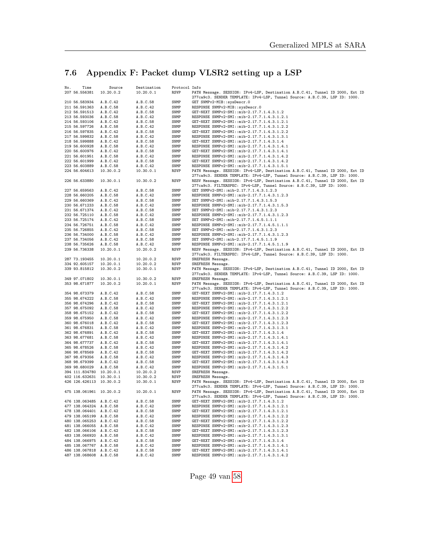# <span id="page-48-0"></span>7.6 Appendix F: Packet dump VLSR2 setting up a LSP

| No. | Time<br>207 56.556381          | Source<br>10.20.0.2  | Destination<br>10.20.0.1 | Protocol Info<br>RSVP | PATH Message. SESSION: IPv4-LSP, Destination A.B.C.41, Tunnel ID 2000, Ext ID                                                                                |
|-----|--------------------------------|----------------------|--------------------------|-----------------------|--------------------------------------------------------------------------------------------------------------------------------------------------------------|
|     |                                |                      |                          |                       | 277ca9c3. SENDER TEMPLATE: IPv4-LSP, Tunnel Source: A.B.C.39, LSP ID: 1000.                                                                                  |
|     | 210 56.583934                  | A.B.C.42             | A.B.C.58                 | SNMP                  | GET SNMPv2-MIB::sysDescr.0                                                                                                                                   |
|     | 211 56.591363                  | A.B.C.58             | A.B.C.42                 | SNMP                  | RESPONSE SNMPv2-MIB::sysDescr.0                                                                                                                              |
|     | 212 56.591513                  | A.B.C.42             | A.B.C.58                 | SNMP                  | GET-NEXT SNMPv2-SMI::mib-2.17.7.1.4.3.1.2                                                                                                                    |
|     | 213 56.593036                  | A.B.C.58             | A.B.C.42                 | SNMP                  | RESPONSE SNMPv2-SMI::mib-2.17.7.1.4.3.1.2.1                                                                                                                  |
|     | 214 56.593106                  | A.B.C.42             | A.B.C.58                 | SNMP                  | GET-NEXT SNMPv2-SMI::mib-2.17.7.1.4.3.1.2.1                                                                                                                  |
|     | 215 56.597726                  | A.B.C.58             | A.B.C.42                 | SNMP                  | RESPONSE SNMPv2-SMI::mib-2.17.7.1.4.3.1.2.2                                                                                                                  |
|     | 216 56.597835                  | A.B.C.42             | A.B.C.58                 | SNMP                  | GET-NEXT SNMPv2-SMI::mib-2.17.7.1.4.3.1.2.2                                                                                                                  |
|     | 217 56.599832                  | A.B.C.58             | A.B.C.42                 | SNMP                  | RESPONSE SNMPv2-SMI::mib-2.17.7.1.4.3.1.3.1                                                                                                                  |
|     | 218 56.599888                  | A.B.C.42             | A.B.C.58                 | SNMP                  | GET-NEXT SNMPv2-SMI::mib-2.17.7.1.4.3.1.4                                                                                                                    |
|     | 219 56.600928                  | A.B.C.58             | A.B.C.42                 | SNMP                  | RESPONSE SNMPv2-SMI::mib-2.17.7.1.4.3.1.4.1                                                                                                                  |
|     | 220 56.600976                  | A.B.C.42             | A.B.C.58                 | SNMP                  | GET-NEXT SNMPv2-SMI::mib-2.17.7.1.4.3.1.4.1<br>RESPONSE SNMPv2-SMI::mib-2.17.7.1.4.3.1.4.2                                                                   |
|     | 221 56.601951<br>222 56.601999 | A.B.C.58<br>A.B.C.42 | A.B.C.42<br>A.B.C.58     | SNMP<br>SNMP          | GET-NEXT SNMPv2-SMI::mib-2.17.7.1.4.3.1.4.2                                                                                                                  |
|     | 223 56.603889                  | A.B.C.58             | A.B.C.42                 | SNMP                  | RESPONSE SNMPv2-SMI::mib-2.17.7.1.4.3.1.5.1                                                                                                                  |
|     | 224 56.604613                  | 10.30.0.2            | 10.30.0.1                | RSVP                  | PATH Message. SESSION: IPv4-LSP, Destination A.B.C.41, Tunnel ID 2000, Ext ID                                                                                |
|     |                                |                      |                          |                       | 277ca9c3. SENDER TEMPLATE: IPv4-LSP, Tunnel Source: A.B.C.39, LSP ID: 1000.                                                                                  |
|     | 226 56.633880                  | 10.30.0.1            | 10.30.0.2                | <b>RSVP</b>           | RESV Message. SESSION: IPv4-LSP, Destination A.B.C.41, Tunnel ID 2000, Ext ID                                                                                |
|     |                                |                      |                          |                       | 277ca9c3. FILTERSPEC: IPv4-LSP, Tunnel Source: A.B.C.39, LSP ID: 1000.                                                                                       |
|     | 227 56.659563                  | A.B.C.42             | A.B.C.58                 | SNMP                  | GET SNMPv2-SMI::mib-2.17.7.1.4.3.1.2.3                                                                                                                       |
|     | 228 56.660205                  | A.B.C.58             | A.B.C.42                 | SNMP                  | RESPONSE SNMPv2-SMI::mib-2.17.7.1.4.3.1.2.3                                                                                                                  |
|     | 229 56.660369                  | A.B.C.42             | A.B.C.58                 | SNMP                  | SET SNMPv2-SMI::mib-2.17.7.1.4.3.1.5.3                                                                                                                       |
|     | 230 56.671233                  | A.B.C.58             | A.B.C.42                 | SNMP                  | RESPONSE SNMPv2-SMI::mib-2.17.7.1.4.3.1.5.3                                                                                                                  |
|     | 231 56.671374                  | A.B.C.42             | A.B.C.58                 | SNMP                  | SET SNMPv2-SMI::mib-2.17.7.1.4.3.1.2.3                                                                                                                       |
|     | 232 56.725110                  | A.B.C.58             | A.B.C.42                 | SNMP                  | RESPONSE SNMPv2-SMI::mib-2.17.7.1.4.3.1.2.3                                                                                                                  |
|     | 233 56.725174<br>234 56.726751 | A.B.C.42<br>A.B.C.58 | A.B.C.58<br>A.B.C.42     | SNMP<br>SNMP          | SET SNMPv2-SMI::mib-2.17.7.1.4.5.1.1.1<br>RESPONSE SNMPv2-SMI::mib-2.17.7.1.4.5.1.1.1                                                                        |
|     | 235 56.726855                  | A.B.C.42             | A.B.C.58                 | SNMP                  | SET SNMPv2-SMI::mib-2.17.7.1.4.3.1.2.3                                                                                                                       |
|     | 236 56.734000                  | A.B.C.58             | A.B.C.42                 | SNMP                  | RESPONSE SNMPv2-SMI::mib-2.17.7.1.4.3.1.2.3                                                                                                                  |
|     | 237 56.734056                  | A.B.C.42             | A.B.C.58                 | SNMP                  | SET SNMPv2-SMI::mib-2.17.7.1.4.5.1.1.9                                                                                                                       |
|     | 238 56.735626                  | A.B.C.58             | A.B.C.42                 | SNMP                  | RESPONSE SNMPv2-SMI::mib-2.17.7.1.4.5.1.1.9                                                                                                                  |
|     | 239 56.736338                  | 10.20.0.1            | 10.20.0.2                | RSVP                  | RESV Message. SESSION: IPv4-LSP, Destination A.B.C.41, Tunnel ID 2000, Ext ID                                                                                |
|     |                                |                      |                          |                       | 277ca9c3. FILTERSPEC: IPv4-LSP, Tunnel Source: A.B.C.39, LSP ID: 1000.                                                                                       |
|     | 287 73.193455                  | 10.20.0.1            | 10.20.0.2                | RSVP                  | SREFRESH Message.                                                                                                                                            |
|     | 334 92.605157                  | 10.20.0.1            | 10.20.0.2                | RSVP                  | SREFRESH Message.                                                                                                                                            |
|     | 339 93.815812                  | 10.30.0.2            | 10.30.0.1                | <b>RSVP</b>           | PATH Message. SESSION: IPv4-LSP, Destination A.B.C.41, Tunnel ID 2000, Ext ID                                                                                |
|     |                                |                      |                          |                       | 277ca9c3. SENDER TEMPLATE: IPv4-LSP, Tunnel Source: A.B.C.39, LSP ID: 1000.                                                                                  |
|     | 349 97.071802                  | 10.30.0.1            | 10.30.0.2                | RSVP                  | SREFRESH Message.                                                                                                                                            |
|     | 353 98.671877                  | 10.20.0.2            | 10.20.0.1                | RSVP                  | PATH Message. SESSION: IPv4-LSP, Destination A.B.C.41, Tunnel ID 2000, Ext ID                                                                                |
|     |                                |                      |                          |                       | 277ca9c3. SENDER TEMPLATE: IPv4-LSP, Tunnel Source: A.B.C.39, LSP ID: 1000.                                                                                  |
|     | 354 98.673379                  | A.B.C.42             | A.B.C.58                 | SNMP                  | GET-NEXT SNMPv2-SMI::mib-2.17.7.1.4.3.1.2                                                                                                                    |
|     | 355 98.674222                  | A.B.C.58             | A.B.C.42                 | SNMP                  | RESPONSE SNMPv2-SMI::mib-2.17.7.1.4.3.1.2.1                                                                                                                  |
|     | 356 98.674296                  | A.B.C.42             | A.B.C.58                 | SNMP                  | GET-NEXT SNMPv2-SMI::mib-2.17.7.1.4.3.1.2.1                                                                                                                  |
|     | 357 98.675092                  | A.B.C.58             | A.B.C.42                 | SNMP                  | RESPONSE SNMPv2-SMI::mib-2.17.7.1.4.3.1.2.2                                                                                                                  |
|     | 358 98.675152                  | A.B.C.42             | A.B.C.58                 | SNMP                  | GET-NEXT SNMPv2-SMI::mib-2.17.7.1.4.3.1.2.2                                                                                                                  |
|     | 359 98.675950                  | A.B.C.58             | A.B.C.42                 | SNMP<br>SNMP          | RESPONSE SNMPv2-SMI::mib-2.17.7.1.4.3.1.2.3                                                                                                                  |
|     | 360 98.676018<br>361 98.676831 | A.B.C.42<br>A.B.C.58 | A.B.C.58<br>A.B.C.42     | SNMP                  | GET-NEXT SNMPv2-SMI::mib-2.17.7.1.4.3.1.2.3<br>RESPONSE SNMPv2-SMI::mib-2.17.7.1.4.3.1.3.1                                                                   |
|     | 362 98.676891                  | A.B.C.42             | A.B.C.58                 | SNMP                  | GET-NEXT SNMPv2-SMI::mib-2.17.7.1.4.3.1.4                                                                                                                    |
|     | 363 98.677681                  | A.B.C.58             | A.B.C.42                 | SNMP                  | RESPONSE SNMPv2-SMI::mib-2.17.7.1.4.3.1.4.1                                                                                                                  |
|     | 364 98.677737                  | A.B.C.42             | A.B.C.58                 | SNMP                  | GET-NEXT SNMPv2-SMI::mib-2.17.7.1.4.3.1.4.1                                                                                                                  |
|     | 365 98.678526                  | A.B.C.58             | A.B.C.42                 | SNMP                  | RESPONSE SNMPv2-SMI::mib-2.17.7.1.4.3.1.4.2                                                                                                                  |
|     | 366 98.678569                  | A.B.C.42             | A.B.C.58                 | SNMP                  | GET-NEXT SNMPv2-SMI::mib-2.17.7.1.4.3.1.4.2                                                                                                                  |
|     | 367 98.679356                  | A.B.C.58             | A.B.C.42                 | SNMP                  | RESPONSE SNMPv2-SMI::mib-2.17.7.1.4.3.1.4.3                                                                                                                  |
|     | 368 98.679399                  | A.B.C.42             | A.B.C.58                 | SNMP                  | GET-NEXT SNMPv2-SMI::mib-2.17.7.1.4.3.1.4.3                                                                                                                  |
|     | 369 98.680029                  | A.B.C.58             | A.B.C.42                 | SNMP                  | RESPONSE SNMPv2-SMI::mib-2.17.7.1.4.3.1.5.1                                                                                                                  |
|     | 394 111.834780 10.20.0.1       |                      | 10.20.0.2                | RSVP                  | SREFRESH Message.                                                                                                                                            |
|     | 402 116.632631 10.30.0.1       |                      | 10.30.0.2                | RSVP                  | SREFRESH Message.                                                                                                                                            |
|     | 426 126.426113 10.30.0.2       |                      | 10.30.0.1                | RSVP                  | PATH Message. SESSION: IPv4-LSP, Destination A.B.C.41, Tunnel ID 2000, Ext ID                                                                                |
|     | 475 138.061961 10.20.0.2       |                      | 10.20.0.1                | RSVP                  | 277ca9c3. SENDER TEMPLATE: IPv4-LSP, Tunnel Source: A.B.C.39, LSP ID: 1000.<br>PATH Message. SESSION: IPv4-LSP, Destination A.B.C.41, Tunnel ID 2000, Ext ID |
|     |                                |                      |                          |                       | 277ca9c3. SENDER TEMPLATE: IPv4-LSP, Tunnel Source: A.B.C.39, LSP ID: 1000.                                                                                  |
|     | 476 138.063485 A.B.C.42        |                      | A.B.C.58                 | SNMP                  | GET-NEXT SNMPv2-SMI::mib-2.17.7.1.4.3.1.2                                                                                                                    |
|     | 477 138.064324 A.B.C.58        |                      | A.B.C.42                 | SNMP                  | RESPONSE SNMPv2-SMI::mib-2.17.7.1.4.3.1.2.1                                                                                                                  |
|     | 478 138.064401 A.B.C.42        |                      | A.B.C.58                 | SNMP                  | GET-NEXT SNMPv2-SMI::mib-2.17.7.1.4.3.1.2.1                                                                                                                  |
|     | 479 138.065199 A.B.C.58        |                      | A.B.C.42                 | SNMP                  | RESPONSE SNMPv2-SMI::mib-2.17.7.1.4.3.1.2.2                                                                                                                  |
|     | 480 138.065253 A.B.C.42        |                      | A.B.C.58                 | ${\tt{SNMP}}$         | GET-NEXT SNMPv2-SMI::mib-2.17.7.1.4.3.1.2.2                                                                                                                  |
|     | 481 138.066055 A.B.C.58        |                      | A.B.C.42                 | SNMP                  | RESPONSE SNMPv2-SMI::mib-2.17.7.1.4.3.1.2.3                                                                                                                  |
|     | 482 138.066106 A.B.C.42        |                      | A.B.C.58                 | SNMP                  | GET-NEXT SNMPv2-SMI::mib-2.17.7.1.4.3.1.2.3                                                                                                                  |
|     | 483 138.066920 A.B.C.58        |                      | A.B.C.42                 | SNMP                  | RESPONSE SNMPv2-SMI::mib-2.17.7.1.4.3.1.3.1                                                                                                                  |
|     | 484 138.066975 A.B.C.42        |                      | A.B.C.58                 | SNMP                  | GET-NEXT SNMPv2-SMI::mib-2.17.7.1.4.3.1.4                                                                                                                    |
|     | 485 138.067767 A.B.C.58        |                      | A.B.C.42                 | SNMP                  | RESPONSE SNMPv2-SMI::mib-2.17.7.1.4.3.1.4.1                                                                                                                  |
|     | 486 138.067818 A.B.C.42        |                      | A.B.C.58                 | SNMP                  | GET-NEXT SNMPv2-SMI::mib-2.17.7.1.4.3.1.4.1                                                                                                                  |
|     | 487 138.068608 A.B.C.58        |                      | A.B.C.42                 | SNMP                  | RESPONSE SNMPv2-SMI::mib-2.17.7.1.4.3.1.4.2                                                                                                                  |

Page 49 van [58](#page-57-0)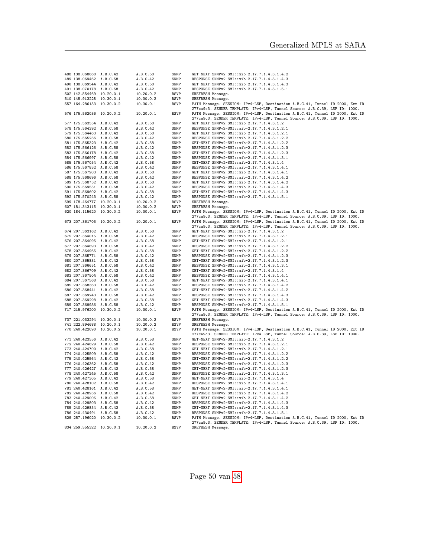| 488 138.068668 A.B.C.42  |                          | A.B.C.58               | SNMP                       | GET-NEXT SNMPv2-SMI::mib-2.17.7.1.4.3.1.4.2                                                                                                                                       |
|--------------------------|--------------------------|------------------------|----------------------------|-----------------------------------------------------------------------------------------------------------------------------------------------------------------------------------|
| 489 138.069462 A.B.C.58  |                          | A.B.C.42               | <b>SNMP</b>                | RESPONSE SNMPv2-SMI::mib-2.17.7.1.4.3.1.4.3                                                                                                                                       |
| 490 138.069544 A.B.C.42  |                          | A.B.C.58               | SNMP                       | GET-NEXT SNMPv2-SMI::mib-2.17.7.1.4.3.1.4.3                                                                                                                                       |
| 491 138.070178 A.B.C.58  |                          | A.B.C.42               | SNMP                       | RESPONSE SNMPv2-SMI::mib-2.17.7.1.4.3.1.5.1                                                                                                                                       |
|                          |                          |                        |                            |                                                                                                                                                                                   |
| 502 142.554469 10.20.0.1 |                          | 10.20.0.2              | <b>RSVP</b>                | SREFRESH Message.                                                                                                                                                                 |
| 510 145.913228 10.30.0.1 |                          | 10.30.0.2              | <b>RSVP</b>                | SREFRESH Message.                                                                                                                                                                 |
| 557 164.286153 10.30.0.2 |                          | 10.30.0.1              | <b>RSVP</b>                | PATH Message. SESSION: IPv4-LSP, Destination A.B.C.41, Tunnel ID 2000, Ext ID<br>277ca9c3. SENDER TEMPLATE: IPv4-LSP, Tunnel Source: A.B.C.39, LSP ID: 1000.                      |
| 576 175.562036 10.20.0.2 |                          | 10.20.0.1              | <b>RSVP</b>                | PATH Message. SESSION: IPv4-LSP, Destination A.B.C.41, Tunnel ID 2000, Ext ID<br>277ca9c3. SENDER TEMPLATE: IPv4-LSP, Tunnel Source: A.B.C.39, LSP ID: 1000.                      |
| 577 175.563554 A.B.C.42  |                          | A.B.C.58               | SNMP                       | GET-NEXT SNMPv2-SMI::mib-2.17.7.1.4.3.1.2                                                                                                                                         |
| 578 175.564392 A.B.C.58  |                          | A.B.C.42               | SNMP                       | RESPONSE SNMPv2-SMI::mib-2.17.7.1.4.3.1.2.1                                                                                                                                       |
| 579 175.564463 A.B.C.42  |                          | A.B.C.58               | SNMP                       | GET-NEXT SNMPv2-SMI::mib-2.17.7.1.4.3.1.2.1                                                                                                                                       |
|                          |                          |                        |                            |                                                                                                                                                                                   |
| 580 175.565256 A.B.C.58  |                          | A.B.C.42               | ${\tt{SNMP}}$              | RESPONSE SNMPv2-SMI::mib-2.17.7.1.4.3.1.2.2                                                                                                                                       |
| 581 175.565323 A.B.C.42  |                          | A.B.C.58               | SNMP                       | GET-NEXT SNMPv2-SMI::mib-2.17.7.1.4.3.1.2.2                                                                                                                                       |
| 582 175.566126 A.B.C.58  |                          | A.B.C.42               | SNMP                       | RESPONSE SNMPv2-SMI::mib-2.17.7.1.4.3.1.2.3                                                                                                                                       |
| 583 175.566178 A.B.C.42  |                          | A.B.C.58               | SNMP                       | GET-NEXT SNMPv2-SMI::mib-2.17.7.1.4.3.1.2.3                                                                                                                                       |
| 584 175.566997 A.B.C.58  |                          | A.B.C.42               | SNMP                       | RESPONSE SNMPv2-SMI::mib-2.17.7.1.4.3.1.3.1                                                                                                                                       |
| 585 175.567054 A.B.C.42  |                          | A.B.C.58               | SNMP                       | GET-NEXT SNMPv2-SMI::mib-2.17.7.1.4.3.1.4                                                                                                                                         |
| 586 175.567852 A.B.C.58  |                          | A.B.C.42               | SNMP                       | RESPONSE SNMPv2-SMI::mib-2.17.7.1.4.3.1.4.1                                                                                                                                       |
| 587 175.567903 A.B.C.42  |                          | A.B.C.58               | SNMP                       | GET-NEXT SNMPv2-SMI::mib-2.17.7.1.4.3.1.4.1                                                                                                                                       |
|                          |                          |                        |                            |                                                                                                                                                                                   |
| 588 175.568696 A.B.C.58  |                          | A.B.C.42               | SNMP                       | RESPONSE SNMPv2-SMI::mib-2.17.7.1.4.3.1.4.2                                                                                                                                       |
| 589 175.568752 A.B.C.42  |                          | A.B.C.58               | SNMP                       | GET-NEXT SNMPv2-SMI::mib-2.17.7.1.4.3.1.4.2                                                                                                                                       |
| 590 175.569551 A.B.C.58  |                          | A.B.C.42               | SNMP                       | RESPONSE SNMPv2-SMI::mib-2.17.7.1.4.3.1.4.3                                                                                                                                       |
| 591 175.569602 A.B.C.42  |                          | A.B.C.58               | SNMP                       | GET-NEXT SNMPv2-SMI::mib-2.17.7.1.4.3.1.4.3                                                                                                                                       |
| 592 175.570243 A.B.C.58  |                          | A.B.C.42               | SNMP                       | RESPONSE SNMPv2-SMI::mib-2.17.7.1.4.3.1.5.1                                                                                                                                       |
| 599 178.464777 10.20.0.1 |                          | 10.20.0.2              | <b>RSVP</b>                | SREFRESH Message.                                                                                                                                                                 |
| 607 181.343115 10.30.0.1 |                          | 10.30.0.2              | <b>RSVP</b>                | SREFRESH Message.                                                                                                                                                                 |
| 620 184.115620 10.30.0.2 |                          | 10.30.0.1              | <b>RSVP</b>                | PATH Message. SESSION: IPv4-LSP, Destination A.B.C.41, Tunnel ID 2000, Ext ID<br>277ca9c3. SENDER TEMPLATE: IPv4-LSP, Tunnel Source: A.B.C.39, LSP ID: 1000.                      |
| 673 207.361703 10.20.0.2 |                          | 10.20.0.1              | <b>RSVP</b>                | PATH Message. SESSION: IPv4-LSP, Destination A.B.C.41, Tunnel ID 2000, Ext ID                                                                                                     |
|                          |                          |                        |                            | 277ca9c3. SENDER TEMPLATE: IPv4-LSP, Tunnel Source: A.B.C.39, LSP ID: 1000.                                                                                                       |
| 674 207.363162 A.B.C.42  |                          | A.B.C.58               | SNMP                       | GET-NEXT SNMPv2-SMI::mib-2.17.7.1.4.3.1.2                                                                                                                                         |
| 675 207.364015 A.B.C.58  |                          | A.B.C.42               | SNMP                       | RESPONSE SNMPv2-SMI::mib-2.17.7.1.4.3.1.2.1                                                                                                                                       |
| 676 207.364095 A.B.C.42  |                          | A.B.C.58               | SNMP                       | GET-NEXT SNMPv2-SMI::mib-2.17.7.1.4.3.1.2.1                                                                                                                                       |
| 677 207.364893 A.B.C.58  |                          | A.B.C.42               | SNMP                       | RESPONSE SNMPv2-SMI::mib-2.17.7.1.4.3.1.2.2                                                                                                                                       |
| 678 207.364965 A.B.C.42  |                          | A.B.C.58               | SNMP                       | GET-NEXT SNMPv2-SMI::mib-2.17.7.1.4.3.1.2.2                                                                                                                                       |
| 679 207.365771 A.B.C.58  |                          | A.B.C.42               | SNMP                       | RESPONSE SNMPv2-SMI::mib-2.17.7.1.4.3.1.2.3                                                                                                                                       |
| 680 207.365831 A.B.C.42  |                          | A.B.C.58               | SNMP                       | GET-NEXT SNMPv2-SMI::mib-2.17.7.1.4.3.1.2.3                                                                                                                                       |
| 681 207.366651 A.B.C.58  |                          | A.B.C.42               | SNMP                       | RESPONSE SNMPv2-SMI::mib-2.17.7.1.4.3.1.3.1                                                                                                                                       |
| 682 207.366709 A.B.C.42  |                          |                        | SNMP                       |                                                                                                                                                                                   |
|                          |                          | A.B.C.58               |                            | GET-NEXT SNMPv2-SMI::mib-2.17.7.1.4.3.1.4                                                                                                                                         |
| 683 207.367504 A.B.C.58  |                          | A.B.C.42               | SNMP                       | RESPONSE SNMPv2-SMI::mib-2.17.7.1.4.3.1.4.1                                                                                                                                       |
| 684 207.367568 A.B.C.42  |                          | A.B.C.58               | SNMP                       | GET-NEXT SNMPv2-SMI::mib-2.17.7.1.4.3.1.4.1                                                                                                                                       |
| 685 207.368363 A.B.C.58  |                          | A.B.C.42               | SNMP                       | RESPONSE SNMPv2-SMI::mib-2.17.7.1.4.3.1.4.2                                                                                                                                       |
| 686 207.368441 A.B.C.42  |                          | A.B.C.58               | SNMP                       | GET-NEXT SNMPv2-SMI::mib-2.17.7.1.4.3.1.4.2                                                                                                                                       |
| 687 207.369243 A.B.C.58  |                          | A.B.C.42               | SNMP                       | RESPONSE SNMPv2-SMI::mib-2.17.7.1.4.3.1.4.3                                                                                                                                       |
| 688 207.369298 A.B.C.42  |                          | A.B.C.58               | SNMP                       | GET-NEXT SNMPv2-SMI::mib-2.17.7.1.4.3.1.4.3                                                                                                                                       |
| 689 207.369936 A.B.C.58  |                          | A.B.C.42               | SNMP                       | RESPONSE SNMPv2-SMI::mib-2.17.7.1.4.3.1.5.1                                                                                                                                       |
| 717 215.976200 10.30.0.2 |                          | 10.30.0.1              | <b>RSVP</b>                | PATH Message. SESSION: IPv4-LSP, Destination A.B.C.41, Tunnel ID 2000, Ext ID                                                                                                     |
|                          |                          |                        |                            | 277ca9c3. SENDER TEMPLATE: IPv4-LSP, Tunnel Source: A.B.C.39, LSP ID: 1000.                                                                                                       |
| 737 221.033294 10.30.0.1 |                          | 10.30.0.2              | <b>RSVP</b>                | SREFRESH Message.                                                                                                                                                                 |
| 741 222.894688 10.20.0.1 |                          | 10.20.0.2              | <b>RSVP</b>                | SREFRESH Message.                                                                                                                                                                 |
| 770 240.422090 10.20.0.2 |                          | 10.20.0.1              | <b>RSVP</b>                | PATH Message. SESSION: IPv4-LSP, Destination A.B.C.41, Tunnel ID 2000, Ext ID<br>277ca9c3. SENDER TEMPLATE: IPv4-LSP, Tunnel Source: A.B.C.39, LSP ID: 1000.                      |
| 771 240.423556 A.B.C.42  |                          | A.B.C.58               | SNMP                       | GET-NEXT SNMPv2-SMI::mib-2.17.7.1.4.3.1.2                                                                                                                                         |
| 772 240.424629 A.B.C.58  |                          | A.B.C.42               | SNMP                       | RESPONSE SNMPv2-SMI::mib-2.17.7.1.4.3.1.2.1                                                                                                                                       |
| 773 240.424709 A.B.C.42  |                          | A.B.C.58               | SNMP                       | GET-NEXT SNMPv2-SMI::mib-2.17.7.1.4.3.1.2.1                                                                                                                                       |
| 774 240.425509 A.B.C.58  |                          | A.B.C.42               | SNMP                       | RESPONSE SNMPv2-SMI::mib-2.17.7.1.4.3.1.2.2                                                                                                                                       |
| 775 240.425564 A.B.C.42  |                          | A.B.C.58               | SNMP                       | GET-NEXT SNMPv2-SMI::mib-2.17.7.1.4.3.1.2.2                                                                                                                                       |
| 776 240.426362 A.B.C.58  |                          | A.B.C.42               | SNMP                       | RESPONSE SNMPv2-SMI::mib-2.17.7.1.4.3.1.2.3                                                                                                                                       |
| 777 240.426427 A.B.C.42  |                          | A.B.C.58               | SNMP                       | GET-NEXT SNMPv2-SMI::mib-2.17.7.1.4.3.1.2.3                                                                                                                                       |
|                          |                          |                        |                            |                                                                                                                                                                                   |
| 778 240.427245 A.B.C.58  |                          | A.B.C.42               | SNMP                       | RESPONSE SNMPv2-SMI::mib-2.17.7.1.4.3.1.3.1                                                                                                                                       |
| 779 240.427305 A.B.C.42  |                          | A.B.C.58               | SNMP                       | GET-NEXT SNMPv2-SMI::mib-2.17.7.1.4.3.1.4                                                                                                                                         |
| 780 240.428102 A.B.C.58  |                          | A.B.C.42               | SNMP                       | RESPONSE SNMPv2-SMI::mib-2.17.7.1.4.3.1.4.1                                                                                                                                       |
| 781 240.428161 A.B.C.42  |                          | A.B.C.58               | SNMP                       | GET-NEXT SNMPv2-SMI::mib-2.17.7.1.4.3.1.4.1                                                                                                                                       |
| 782 240.428956 A.B.C.58  |                          | A.B.C.42               | SNMP                       | RESPONSE SNMPv2-SMI::mib-2.17.7.1.4.3.1.4.2                                                                                                                                       |
| 783 240.429006 A.B.C.42  |                          | A.B.C.58               | SNMP                       | GET-NEXT SNMPv2-SMI::mib-2.17.7.1.4.3.1.4.2                                                                                                                                       |
| 784 240.429803 A.B.C.58  |                          | A.B.C.42               | SNMP                       | RESPONSE SNMPv2-SMI::mib-2.17.7.1.4.3.1.4.3                                                                                                                                       |
| 785 240.429854 A.B.C.42  |                          | A.B.C.58               | SNMP                       | GET-NEXT SNMPv2-SMI::mib-2.17.7.1.4.3.1.4.3                                                                                                                                       |
| 786 240.430491 A.B.C.58  |                          | A.B.C.42               | SNMP                       | RESPONSE SNMPv2-SMI::mib-2.17.7.1.4.3.1.5.1                                                                                                                                       |
|                          |                          |                        |                            |                                                                                                                                                                                   |
|                          |                          |                        |                            |                                                                                                                                                                                   |
| 834 259.555322 10.20.0.1 | 829 257.196020 10.30.0.2 | 10.30.0.1<br>10.20.0.2 | <b>RSVP</b><br><b>RSVP</b> | PATH Message. SESSION: IPv4-LSP, Destination A.B.C.41, Tunnel ID 2000, Ext ID<br>277ca9c3. SENDER TEMPLATE: IPv4-LSP, Tunnel Source: A.B.C.39, LSP ID: 1000.<br>SREFRESH Message. |

Page 50 van [58](#page-57-0)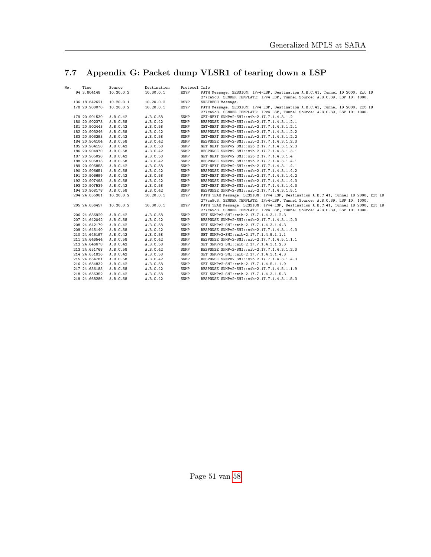# <span id="page-50-0"></span>7.7 Appendix G: Packet dump VLSR1 of tearing down a LSP

| No. | Time          | Source    | Destination | Protocol Info |                                                                                    |
|-----|---------------|-----------|-------------|---------------|------------------------------------------------------------------------------------|
|     | 94 3.804148   | 10.30.0.2 | 10.30.0.1   | <b>RSVP</b>   | PATH Message. SESSION: IPv4-LSP, Destination A.B.C.41, Tunnel ID 2000, Ext ID      |
|     |               |           |             |               | 277ca9c3. SENDER TEMPLATE: IPv4-LSP, Tunnel Source: A.B.C.39, LSP ID: 1000.        |
|     | 136 18.642621 | 10.20.0.1 | 10.20.0.2   | <b>RSVP</b>   | SREFRESH Message.                                                                  |
|     | 178 20.900070 | 10.20.0.2 | 10.20.0.1   | <b>RSVP</b>   | PATH Message. SESSION: IPv4-LSP, Destination A.B.C.41, Tunnel ID 2000, Ext ID      |
|     |               |           |             |               | 277ca9c3. SENDER TEMPLATE: IPv4-LSP, Tunnel Source: A.B.C.39, LSP ID: 1000.        |
|     | 179 20.901530 | A.B.C.42  | A.B.C.58    | SNMP          | GET-NEXT SNMPv2-SMI::mib-2.17.7.1.4.3.1.2                                          |
|     | 180 20.902373 | A.B.C.58  | A.B.C.42    | SNMP          | RESPONSE SNMPv2-SMI::mib-2.17.7.1.4.3.1.2.1                                        |
|     | 181 20.902443 | A.B.C.42  | A.B.C.58    | SNMP          | GET-NEXT SNMPv2-SMI::mib-2.17.7.1.4.3.1.2.1                                        |
|     | 182 20.903246 | A.B.C.58  | A.B.C.42    | SNMP          | RESPONSE SNMPv2-SMI::mib-2.17.7.1.4.3.1.2.2                                        |
|     | 183 20.903293 | A.B.C.42  | A.B.C.58    | SNMP          | GET-NEXT SNMPv2-SMI::mib-2.17.7.1.4.3.1.2.2                                        |
|     | 184 20.904104 | A.B.C.58  | A.B.C.42    | SNMP          | RESPONSE SNMPv2-SMI::mib-2.17.7.1.4.3.1.2.3                                        |
|     | 185 20.904150 | A.B.C.42  | A.B.C.58    | SNMP          | GET-NEXT SNMPv2-SMI::mib-2.17.7.1.4.3.1.2.3                                        |
|     | 186 20.904970 | A.B.C.58  | A.B.C.42    | SNMP          | RESPONSE SNMPv2-SMI::mib-2.17.7.1.4.3.1.3.1                                        |
|     | 187 20.905020 | A.B.C.42  | A.B.C.58    | SNMP          | GET-NEXT SNMPv2-SMI::mib-2.17.7.1.4.3.1.4                                          |
|     | 188 20.905813 | A.B.C.58  | A.B.C.42    | SNMP          | RESPONSE SNMPv2-SMI::mib-2.17.7.1.4.3.1.4.1                                        |
|     | 189 20.905858 | A.B.C.42  | A.B.C.58    | SNMP          | GET-NEXT SNMPv2-SMI::mib-2.17.7.1.4.3.1.4.1                                        |
|     | 190 20.906651 | A.B.C.58  | A.B.C.42    | SNMP          | RESPONSE SNMPv2-SMI::mib-2.17.7.1.4.3.1.4.2                                        |
|     | 191 20.906699 | A.B.C.42  | A.B.C.58    | SNMP          | GET-NEXT SNMPv2-SMI::mib-2.17.7.1.4.3.1.4.2                                        |
|     | 192 20.907493 | A.B.C.58  | A.B.C.42    | SNMP          | RESPONSE SNMPv2-SMI::mib-2.17.7.1.4.3.1.4.3                                        |
|     | 193 20.907539 | A.B.C.42  | A.B.C.58    | SNMP          | GET-NEXT SNMPv2-SMI::mib-2.17.7.1.4.3.1.4.3                                        |
|     | 194 20.908178 | A.B.C.58  | A.B.C.42    | SNMP          | RESPONSE SNMPv2-SMI::mib-2.17.7.1.4.3.1.5.1                                        |
|     | 204 24.635961 | 10.20.0.2 | 10.20.0.1   | <b>RSVP</b>   | PATH TEAR Message. SESSION: IPv4-LSP, Destination A.B.C.41, Tunnel ID 2000, Ext ID |
|     |               |           |             |               | 277ca9c3. SENDER TEMPLATE: IPv4-LSP, Tunnel Source: A.B.C.39, LSP ID: 1000.        |
|     | 205 24.636457 | 10.30.0.2 | 10.30.0.1   | <b>RSVP</b>   | PATH TEAR Message. SESSION: IPv4-LSP, Destination A.B.C.41, Tunnel ID 2000, Ext ID |
|     |               |           |             |               | 277ca9c3. SENDER TEMPLATE: IPv4-LSP, Tunnel Source: A.B.C.39, LSP ID: 1000.        |
|     | 206 24.636929 | A.B.C.42  | A.B.C.58    | SNMP          | SET SNMPv2-SMI::mib-2.17.7.1.4.3.1.2.3                                             |
|     | 207 24.642042 | A.B.C.58  | A.B.C.42    | SNMP          | RESPONSE SNMPv2-SMI::mib-2.17.7.1.4.3.1.2.3                                        |
|     | 208 24.642179 | A.B.C.42  | A.B.C.58    | SNMP          | SET SNMPv2-SMI::mib-2.17.7.1.4.3.1.4.3                                             |
|     | 209 24.645140 | A.B.C.58  | A.B.C.42    | SNMP          | RESPONSE SNMPv2-SMI::mib-2.17.7.1.4.3.1.4.3                                        |
|     | 210 24.645197 | A.B.C.42  | A.B.C.58    | SNMP          | SET SNMPv2-SMI::mib-2.17.7.1.4.5.1.1.1                                             |
|     | 211 24.646544 | A.B.C.58  | A.B.C.42    | SNMP          | RESPONSE SNMPv2-SMI::mib-2.17.7.1.4.5.1.1.1                                        |
|     | 212 24.646678 | A.B.C.42  | A.B.C.58    | SNMP          | SET SNMPv2-SMI::mib-2.17.7.1.4.3.1.2.3                                             |
|     | 213 24.651768 | A.B.C.58  | A.B.C.42    | SNMP          | RESPONSE SNMPv2-SMI::mib-2.17.7.1.4.3.1.2.3                                        |
|     | 214 24.651836 | A.B.C.42  | A.B.C.58    | SNMP          | SET SNMPv2-SMI::mib-2.17.7.1.4.3.1.4.3                                             |
|     | 215 24.654781 | A.B.C.58  | A.B.C.42    | SNMP          | RESPONSE SNMPv2-SMI::mib-2.17.7.1.4.3.1.4.3                                        |
|     | 216 24.654832 | A.B.C.42  | A.B.C.58    | SNMP          | SET SNMPv2-SMI::mib-2.17.7.1.4.5.1.1.9                                             |
|     | 217 24.656185 | A.B.C.58  | A.B.C.42    | SNMP          | RESPONSE SNMPv2-SMI::mib-2.17.7.1.4.5.1.1.9                                        |
|     | 218 24.656352 | A.B.C.42  | A.B.C.58    | SNMP          | SET SNMPv2-SMI::mib-2.17.7.1.4.3.1.5.3                                             |
|     | 219 24.668286 | A.B.C.58  | A.B.C.42    | SNMP          | RESPONSE SNMPv2-SMI::mib-2.17.7.1.4.3.1.5.3                                        |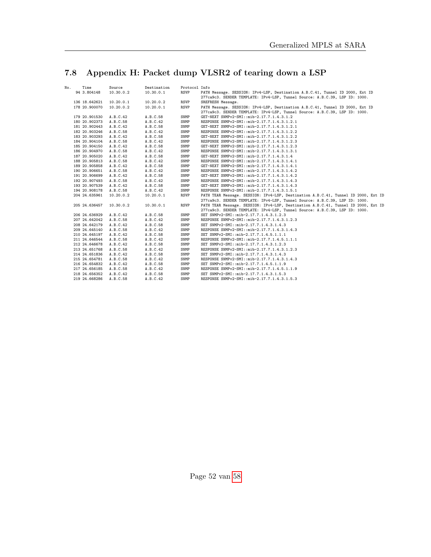# <span id="page-51-0"></span>7.8 Appendix H: Packet dump VLSR2 of tearing down a LSP

| No. | Time          | Source    | Destination | Protocol Info |                                                                                    |
|-----|---------------|-----------|-------------|---------------|------------------------------------------------------------------------------------|
|     | 94 3.804148   | 10.30.0.2 | 10.30.0.1   | <b>RSVP</b>   | PATH Message. SESSION: IPv4-LSP, Destination A.B.C.41, Tunnel ID 2000, Ext ID      |
|     |               |           |             |               | 277ca9c3. SENDER TEMPLATE: IPv4-LSP, Tunnel Source: A.B.C.39, LSP ID: 1000.        |
|     | 136 18.642621 | 10.20.0.1 | 10.20.0.2   | <b>RSVP</b>   | SREFRESH Message.                                                                  |
|     | 178 20.900070 | 10.20.0.2 | 10.20.0.1   | <b>RSVP</b>   | PATH Message. SESSION: IPv4-LSP, Destination A.B.C.41, Tunnel ID 2000, Ext ID      |
|     |               |           |             |               | 277ca9c3. SENDER TEMPLATE: IPv4-LSP, Tunnel Source: A.B.C.39, LSP ID: 1000.        |
|     | 179 20.901530 | A.B.C.42  | A.B.C.58    | SNMP          | GET-NEXT SNMPv2-SMI::mib-2.17.7.1.4.3.1.2                                          |
|     | 180 20.902373 | A.B.C.58  | A.B.C.42    | SNMP          | RESPONSE SNMPv2-SMI::mib-2.17.7.1.4.3.1.2.1                                        |
|     | 181 20.902443 | A.B.C.42  | A.B.C.58    | SNMP          | GET-NEXT SNMPv2-SMI::mib-2.17.7.1.4.3.1.2.1                                        |
|     | 182 20.903246 | A.B.C.58  | A.B.C.42    | SNMP          | RESPONSE SNMPv2-SMI::mib-2.17.7.1.4.3.1.2.2                                        |
|     | 183 20.903293 | A.B.C.42  | A.B.C.58    | SNMP          | GET-NEXT SNMPv2-SMI::mib-2.17.7.1.4.3.1.2.2                                        |
|     | 184 20.904104 | A.B.C.58  | A.B.C.42    | SNMP          | RESPONSE SNMPv2-SMI::mib-2.17.7.1.4.3.1.2.3                                        |
|     | 185 20.904150 | A.B.C.42  | A.B.C.58    | SNMP          | GET-NEXT SNMPv2-SMI::mib-2.17.7.1.4.3.1.2.3                                        |
|     | 186 20.904970 | A.B.C.58  | A.B.C.42    | SNMP          | RESPONSE SNMPv2-SMI::mib-2.17.7.1.4.3.1.3.1                                        |
|     | 187 20.905020 | A.B.C.42  | A.B.C.58    | SNMP          | GET-NEXT SNMPv2-SMI::mib-2.17.7.1.4.3.1.4                                          |
|     | 188 20.905813 | A.B.C.58  | A.B.C.42    | SNMP          | RESPONSE SNMPv2-SMI::mib-2.17.7.1.4.3.1.4.1                                        |
|     | 189 20.905858 | A.B.C.42  | A.B.C.58    | SNMP          | GET-NEXT SNMPv2-SMI::mib-2.17.7.1.4.3.1.4.1                                        |
|     | 190 20.906651 | A.B.C.58  | A.B.C.42    | SNMP          | RESPONSE SNMPv2-SMI::mib-2.17.7.1.4.3.1.4.2                                        |
|     | 191 20.906699 | A.B.C.42  | A.B.C.58    | SNMP          | GET-NEXT SNMPv2-SMI::mib-2.17.7.1.4.3.1.4.2                                        |
|     | 192 20.907493 | A.B.C.58  | A.B.C.42    | SNMP          | RESPONSE SNMPv2-SMI::mib-2.17.7.1.4.3.1.4.3                                        |
|     | 193 20.907539 | A.B.C.42  | A.B.C.58    | SNMP          | GET-NEXT SNMPv2-SMI::mib-2.17.7.1.4.3.1.4.3                                        |
|     | 194 20.908178 | A.B.C.58  | A.B.C.42    | SNMP          | RESPONSE SNMPv2-SMI::mib-2.17.7.1.4.3.1.5.1                                        |
|     | 204 24.635961 | 10.20.0.2 | 10.20.0.1   | <b>RSVP</b>   | PATH TEAR Message. SESSION: IPv4-LSP, Destination A.B.C.41, Tunnel ID 2000, Ext ID |
|     |               |           |             |               | 277ca9c3. SENDER TEMPLATE: IPv4-LSP, Tunnel Source: A.B.C.39, LSP ID: 1000.        |
|     | 205 24.636457 | 10.30.0.2 | 10.30.0.1   | <b>RSVP</b>   | PATH TEAR Message. SESSION: IPv4-LSP, Destination A.B.C.41, Tunnel ID 2000, Ext ID |
|     |               |           |             |               | 277ca9c3. SENDER TEMPLATE: IPv4-LSP, Tunnel Source: A.B.C.39, LSP ID: 1000.        |
|     | 206 24.636929 | A.B.C.42  | A.B.C.58    | SNMP          | SET SNMPv2-SMI::mib-2.17.7.1.4.3.1.2.3                                             |
|     | 207 24.642042 | A.B.C.58  | A.B.C.42    | SNMP          | RESPONSE SNMPv2-SMI::mib-2.17.7.1.4.3.1.2.3                                        |
|     | 208 24.642179 | A.B.C.42  | A.B.C.58    | SNMP          | SET SNMPv2-SMI::mib-2.17.7.1.4.3.1.4.3                                             |
|     | 209 24.645140 | A.B.C.58  | A.B.C.42    | SNMP          | RESPONSE SNMPv2-SMI::mib-2.17.7.1.4.3.1.4.3                                        |
|     | 210 24.645197 | A.B.C.42  | A.B.C.58    | SNMP          | SET SNMPv2-SMI::mib-2.17.7.1.4.5.1.1.1                                             |
|     | 211 24.646544 | A.B.C.58  | A.B.C.42    | SNMP          | RESPONSE SNMPv2-SMI::mib-2.17.7.1.4.5.1.1.1                                        |
|     | 212 24.646678 | A.B.C.42  | A.B.C.58    | SNMP          | SET SNMPv2-SMI::mib-2.17.7.1.4.3.1.2.3                                             |
|     | 213 24.651768 | A.B.C.58  | A.B.C.42    | SNMP          | RESPONSE SNMPv2-SMI::mib-2.17.7.1.4.3.1.2.3                                        |
|     | 214 24.651836 | A.B.C.42  | A.B.C.58    | SNMP          | SET SNMPv2-SMI::mib-2.17.7.1.4.3.1.4.3                                             |
|     | 215 24.654781 | A.B.C.58  | A.B.C.42    | SNMP          | RESPONSE SNMPv2-SMI::mib-2.17.7.1.4.3.1.4.3                                        |
|     | 216 24.654832 | A.B.C.42  | A.B.C.58    | SNMP          | SET SNMPv2-SMI::mib-2.17.7.1.4.5.1.1.9                                             |
|     | 217 24.656185 | A.B.C.58  | A.B.C.42    | SNMP          | RESPONSE SNMPv2-SMI::mib-2.17.7.1.4.5.1.1.9                                        |
|     | 218 24.656352 | A.B.C.42  | A.B.C.58    | SNMP          | SET SNMPv2-SMI::mib-2.17.7.1.4.3.1.5.3                                             |
|     | 219 24.668286 | A.B.C.58  | A.B.C.42    | SNMP          | RESPONSE SNMPv2-SMI::mib-2.17.7.1.4.3.1.5.3                                        |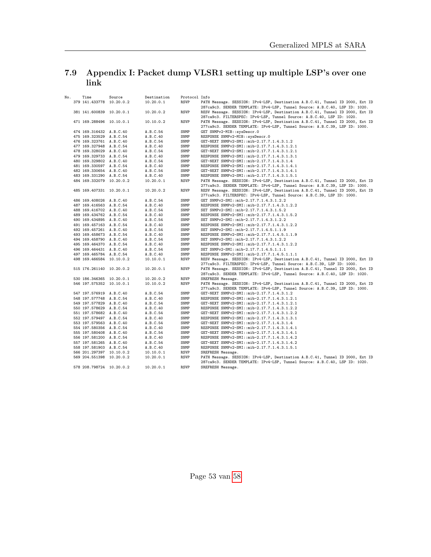## <span id="page-52-0"></span>7.9 Appendix I: Packet dump VLSR1 setting up multiple LSP's over one link

| No. | Time                     | Source | Destination | Protocol Info |                                                                                                                                                              |
|-----|--------------------------|--------|-------------|---------------|--------------------------------------------------------------------------------------------------------------------------------------------------------------|
|     | 379 141.433778 10.20.0.2 |        | 10.20.0.1   | <b>RSVP</b>   | PATH Message. SESSION: IPv4-LSP, Destination A.B.C.41, Tunnel ID 2000, Ext ID<br>287ca9c3. SENDER TEMPLATE: IPv4-LSP, Tunnel Source: A.B.C.40, LSP ID: 1020. |
|     | 381 141.600839 10.20.0.1 |        | 10.20.0.2   | <b>RSVP</b>   | RESV Message. SESSION: IPv4-LSP, Destination A.B.C.41, Tunnel ID 2000, Ext ID<br>287ca9c3. FILTERSPEC: IPv4-LSP, Tunnel Source: A.B.C.40, LSP ID: 1020.      |
|     | 471 169.288496 10.10.0.1 |        | 10.10.0.2   | <b>RSVP</b>   | PATH Message. SESSION: IPv4-LSP, Destination A.B.C.41, Tunnel ID 2000, Ext ID<br>277ca9c3. SENDER TEMPLATE: IPv4-LSP, Tunnel Source: A.B.C.39, LSP ID: 1000. |
|     | 474 169.316432 A.B.C.40  |        | A.B.C.54    | SNMP          | GET SNMPv2-MIB::sysDescr.0                                                                                                                                   |
|     | 475 169.323529 A.B.C.54  |        | A.B.C.40    | SNMP          | RESPONSE SNMPv2-MIB::sysDescr.0                                                                                                                              |
|     | 476 169.323761 A.B.C.40  |        | A.B.C.54    | SNMP          | GET-NEXT SNMPv2-SMI::mib-2.17.7.1.4.3.1.2                                                                                                                    |
|     | 477 169.327948 A.B.C.54  |        | A.B.C.40    | SNMP          | RESPONSE SNMPv2-SMI::mib-2.17.7.1.4.3.1.2.1                                                                                                                  |
|     | 478 169.328029 A.B.C.40  |        | A.B.C.54    | SNMP          | GET-NEXT SNMPv2-SMI::mib-2.17.7.1.4.3.1.2.1                                                                                                                  |
|     | 479 169.329733 A.B.C.54  |        | A.B.C.40    | SNMP          | RESPONSE SNMPv2-SMI::mib-2.17.7.1.4.3.1.3.1                                                                                                                  |
|     | 480 169.329802 A.B.C.40  |        | A.B.C.54    | SNMP          | GET-NEXT SNMPv2-SMI::mib-2.17.7.1.4.3.1.4                                                                                                                    |
|     | 481 169.330597 A.B.C.54  |        | A.B.C.40    | SNMP          | RESPONSE SNMPv2-SMI::mib-2.17.7.1.4.3.1.4.1                                                                                                                  |
|     | 482 169.330654 A.B.C.40  |        | A.B.C.54    | SNMP          | GET-NEXT SNMPv2-SMI::mib-2.17.7.1.4.3.1.4.1                                                                                                                  |
|     | 483 169.331290 A.B.C.54  |        | A.B.C.40    | SNMP          | RESPONSE SNMPv2-SMI::mib-2.17.7.1.4.3.1.5.1                                                                                                                  |
|     | 484 169.332079 10.20.0.2 |        | 10.20.0.1   | <b>RSVP</b>   | PATH Message. SESSION: IPv4-LSP, Destination A.B.C.41, Tunnel ID 2000, Ext ID                                                                                |
|     |                          |        |             |               | 277ca9c3. SENDER TEMPLATE: IPv4-LSP, Tunnel Source: A.B.C.39, LSP ID: 1000.                                                                                  |
|     | 485 169.407331 10.20.0.1 |        | 10.20.0.2   | <b>RSVP</b>   | RESV Message. SESSION: IPv4-LSP, Destination A.B.C.41, Tunnel ID 2000, Ext ID                                                                                |
|     |                          |        |             |               | 277ca9c3. FILTERSPEC: IPv4-LSP, Tunnel Source: A.B.C.39, LSP ID: 1000.                                                                                       |
|     | 486 169.408026 A.B.C.40  |        | A.B.C.54    | SNMP          | GET SNMPv2-SMI::mib-2.17.7.1.4.3.1.2.2                                                                                                                       |
|     | 487 169.416563 A.B.C.54  |        | A.B.C.40    | SNMP          | RESPONSE SNMPv2-SMI::mib-2.17.7.1.4.3.1.2.2                                                                                                                  |
|     | 488 169.416702 A.B.C.40  |        | A.B.C.54    | SNMP          | SET SNMPv2-SMI::mib-2.17.7.1.4.3.1.5.2                                                                                                                       |
|     | 489 169.434762 A.B.C.54  |        | A.B.C.40    | SNMP          | RESPONSE SNMPv2-SMI::mib-2.17.7.1.4.3.1.5.2                                                                                                                  |
|     | 490 169.434895 A.B.C.40  |        | A.B.C.54    | SNMP          | SET SNMPv2-SMI::mib-2.17.7.1.4.3.1.2.2                                                                                                                       |
|     | 491 169.457163 A.B.C.54  |        | A.B.C.40    | SNMP          | RESPONSE SNMPv2-SMI::mib-2.17.7.1.4.3.1.2.2                                                                                                                  |
|     | 492 169.457261 A.B.C.40  |        | A.B.C.54    | SNMP          | SET SNMPv2-SMI::mib-2.17.7.1.4.5.1.1.9                                                                                                                       |
|     | 493 169.458673 A.B.C.54  |        | A.B.C.40    | SNMP          | RESPONSE SNMPv2-SMI::mib-2.17.7.1.4.5.1.1.9                                                                                                                  |
|     | 494 169.458790 A.B.C.40  |        | A.B.C.54    | SNMP          | SET SNMPv2-SMI::mib-2.17.7.1.4.3.1.2.2                                                                                                                       |
|     | 495 169.464370 A.B.C.54  |        | A.B.C.40    | SNMP          | RESPONSE SNMPv2-SMI::mib-2.17.7.1.4.3.1.2.2                                                                                                                  |
|     | 496 169.464431 A.B.C.40  |        | A.B.C.54    | SNMP          | SET SNMPv2-SMI::mib-2.17.7.1.4.5.1.1.1                                                                                                                       |
|     | 497 169.465784 A.B.C.54  |        | A.B.C.40    | SNMP          | RESPONSE SNMPv2-SMI::mib-2.17.7.1.4.5.1.1.1                                                                                                                  |
|     | 498 169.466584 10.10.0.2 |        | 10.10.0.1   | <b>RSVP</b>   | RESV Message. SESSION: IPv4-LSP, Destination A.B.C.41, Tunnel ID 2000, Ext ID<br>277ca9c3. FILTERSPEC: IPv4-LSP, Tunnel Source: A.B.C.39, LSP ID: 1000.      |
|     | 515 176.261140 10.20.0.2 |        | 10.20.0.1   | <b>RSVP</b>   | PATH Message. SESSION: IPv4-LSP, Destination A.B.C.41, Tunnel ID 2000, Ext ID<br>287ca9c3. SENDER TEMPLATE: IPv4-LSP, Tunnel Source: A.B.C.40, LSP ID: 1020. |
|     | 530 186.346365 10.20.0.1 |        | 10.20.0.2   | <b>RSVP</b>   | SREFRESH Message.                                                                                                                                            |
|     | 546 197.575352 10.10.0.1 |        | 10.10.0.2   | <b>RSVP</b>   | PATH Message. SESSION: IPv4-LSP, Destination A.B.C.41, Tunnel ID 2000, Ext ID<br>277ca9c3. SENDER TEMPLATE: IPv4-LSP, Tunnel Source: A.B.C.39, LSP ID: 1000. |
|     | 547 197.576919 A.B.C.40  |        | A.B.C.54    | SNMP          | GET-NEXT SNMPv2-SMI::mib-2.17.7.1.4.3.1.2                                                                                                                    |
|     | 548 197.577748 A.B.C.54  |        | A.B.C.40    | SNMP          | RESPONSE SNMPv2-SMI::mib-2.17.7.1.4.3.1.2.1                                                                                                                  |
|     | 549 197.577829 A.B.C.40  |        | A.B.C.54    | SNMP          | GET-NEXT SNMPv2-SMI::mib-2.17.7.1.4.3.1.2.1                                                                                                                  |
|     | 550 197.578629 A.B.C.54  |        | A.B.C.40    | SNMP          | RESPONSE SNMPv2-SMI::mib-2.17.7.1.4.3.1.2.2                                                                                                                  |
|     | 551 197.578682 A.B.C.40  |        | A.B.C.54    | SNMP          | GET-NEXT SNMPv2-SMI::mib-2.17.7.1.4.3.1.2.2                                                                                                                  |
|     | 552 197.579497 A.B.C.54  |        | A.B.C.40    | SNMP          | RESPONSE SNMPv2-SMI::mib-2.17.7.1.4.3.1.3.1                                                                                                                  |
|     | 553 197.579563 A.B.C.40  |        | A.B.C.54    | SNMP          | GET-NEXT SNMPv2-SMI::mib-2.17.7.1.4.3.1.4                                                                                                                    |
|     | 554 197.580356 A.B.C.54  |        | A.B.C.40    | SNMP          | RESPONSE SNMPv2-SMI::mib-2.17.7.1.4.3.1.4.1                                                                                                                  |
|     | 555 197.580408 A.B.C.40  |        | A.B.C.54    | SNMP          | GET-NEXT SNMPv2-SMI::mib-2.17.7.1.4.3.1.4.1                                                                                                                  |
|     | 556 197.581200 A.B.C.54  |        | A.B.C.40    | SNMP          | RESPONSE SNMPv2-SMI::mib-2.17.7.1.4.3.1.4.2                                                                                                                  |
|     | 557 197.581265 A.B.C.40  |        | A.B.C.54    | SNMP          | GET-NEXT SNMPv2-SMI::mib-2.17.7.1.4.3.1.4.2                                                                                                                  |
|     | 558 197.581903 A.B.C.54  |        | A.B.C.40    | SNMP          | RESPONSE SNMPv2-SMI::mib-2.17.7.1.4.3.1.5.1                                                                                                                  |
|     | 566 201.297397 10.10.0.2 |        | 10.10.0.1   | <b>RSVP</b>   | SREFRESH Message.                                                                                                                                            |
|     | 569 204.551398 10.20.0.2 |        | 10.20.0.1   | <b>RSVP</b>   | PATH Message. SESSION: IPv4-LSP, Destination A.B.C.41, Tunnel ID 2000, Ext ID<br>287ca9c3. SENDER TEMPLATE: IPv4-LSP, Tunnel Source: A.B.C.40, LSP ID: 1020. |
|     | 578 208.798724 10.20.0.2 |        | 10.20.0.1   | <b>RSVP</b>   | SREFRESH Message.                                                                                                                                            |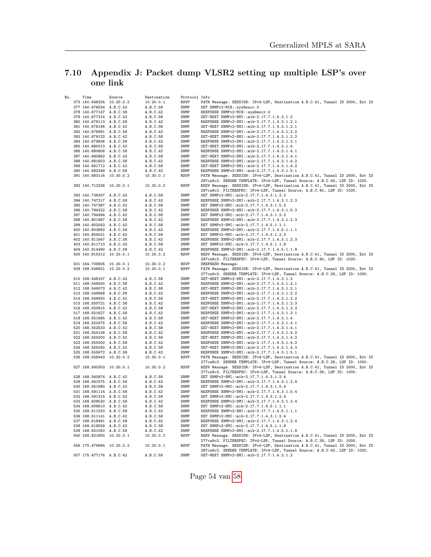## <span id="page-53-0"></span>7.10 Appendix J: Packet dump VLSR2 setting up multiple LSP's over one link

| No. | Time                     | Source | Destination | Protocol Info |                                                                                                                                                                                                                                        |
|-----|--------------------------|--------|-------------|---------------|----------------------------------------------------------------------------------------------------------------------------------------------------------------------------------------------------------------------------------------|
|     | 373 140.648324 10.20.0.2 |        | 10.20.0.1   | <b>RSVP</b>   | PATH Message. SESSION: IPv4-LSP, Destination A.B.C.41, Tunnel ID 2000, Ext ID                                                                                                                                                          |
|     | 377 140.676524 A.B.C.42  |        | A.B.C.58    | SNMP          | GET SNMPv2-MIB::sysDescr.0                                                                                                                                                                                                             |
|     | 378 140.677147 A.B.C.58  |        | A.B.C.42    | SNMP          | RESPONSE SNMPv2-MIB::sysDescr.0                                                                                                                                                                                                        |
|     | 379 140.677314 A.B.C.42  |        | A.B.C.58    | SNMP          | GET-NEXT SNMPv2-SMI::mib-2.17.7.1.4.3.1.2                                                                                                                                                                                              |
|     | 380 140.678113 A.B.C.58  |        | A.B.C.42    | SNMP          | RESPONSE SNMPv2-SMI::mib-2.17.7.1.4.3.1.2.1                                                                                                                                                                                            |
|     | 381 140.678195 A.B.C.42  |        | A.B.C.58    | SNMP          | GET-NEXT SNMPv2-SMI::mib-2.17.7.1.4.3.1.2.1                                                                                                                                                                                            |
|     | 382 140.678991 A.B.C.58  |        | A.B.C.42    | SNMP          | RESPONSE SNMPv2-SMI::mib-2.17.7.1.4.3.1.2.2                                                                                                                                                                                            |
|     | 383 140.679122 A.B.C.42  |        | A.B.C.58    | SNMP          | GET-NEXT SNMPv2-SMI::mib-2.17.7.1.4.3.1.2.2                                                                                                                                                                                            |
|     | 384 140.679936 A.B.C.58  |        | A.B.C.42    | SNMP          | RESPONSE SNMPv2-SMI::mib-2.17.7.1.4.3.1.3.1                                                                                                                                                                                            |
|     | 385 140.680013 A.B.C.42  |        | A.B.C.58    | SNMP          | GET-NEXT SNMPv2-SMI::mib-2.17.7.1.4.3.1.4                                                                                                                                                                                              |
|     | 386 140.680806 A.B.C.58  |        | A.B.C.42    | SNMP          | RESPONSE SNMPv2-SMI::mib-2.17.7.1.4.3.1.4.1                                                                                                                                                                                            |
|     | 387 140.680862 A.B.C.42  |        | A.B.C.58    | SNMP<br>SNMP  | GET-NEXT SNMPv2-SMI::mib-2.17.7.1.4.3.1.4.1                                                                                                                                                                                            |
|     | 388 140.681653 A.B.C.58  |        | A.B.C.42    | SNMP          | RESPONSE SNMPv2-SMI::mib-2.17.7.1.4.3.1.4.2                                                                                                                                                                                            |
|     | 389 140.681712 A.B.C.42  |        | A.B.C.58    | SNMP          | GET-NEXT SNMPv2-SMI::mib-2.17.7.1.4.3.1.4.2                                                                                                                                                                                            |
|     | 390 140.682349 A.B.C.58  |        | A.B.C.42    | <b>RSVP</b>   | RESPONSE SNMPv2-SMI::mib-2.17.7.1.4.3.1.5.1<br>PATH Message. SESSION: IPv4-LSP, Destination A.B.C.41, Tunnel ID 2000, Ext ID                                                                                                           |
|     | 391 140.683116 10.30.0.2 |        | 10.30.0.1   |               | 287ca9c3. SENDER TEMPLATE: IPv4-LSP, Tunnel Source: A.B.C.40, LSP ID: 1020.                                                                                                                                                            |
|     | 392 140.712226 10.30.0.1 |        | 10.30.0.2   |               |                                                                                                                                                                                                                                        |
|     |                          |        |             | RSVP          | RESV Message. SESSION: IPv4-LSP, Destination A.B.C.41, Tunnel ID 2000, Ext ID                                                                                                                                                          |
|     | 393 140.738307 A.B.C.42  |        | A.B.C.58    | SNMP          | 287ca9c3. FILTERSPEC: IPv4-LSP, Tunnel Source: A.B.C.40, LSP ID: 1020.                                                                                                                                                                 |
|     | 394 140.747217 A.B.C.58  |        | A.B.C.42    | SNMP          | GET SNMPv2-SMI::mib-2.17.7.1.4.3.1.2.3<br>RESPONSE SNMPv2-SMI::mib-2.17.7.1.4.3.1.2.3                                                                                                                                                  |
|     | 395 140.747387 A.B.C.42  |        | A.B.C.58    | SNMP          | SET SNMPv2-SMI::mib-2.17.7.1.4.3.1.5.3                                                                                                                                                                                                 |
|     | 396 140.794322 A.B.C.58  |        | A.B.C.42    | SNMP          | RESPONSE SNMPv2-SMI::mib-2.17.7.1.4.3.1.5.3                                                                                                                                                                                            |
|     | 397 140.794494 A.B.C.42  |        | A.B.C.58    | SNMP          | SET SNMPv2-SMI::mib-2.17.7.1.4.3.1.2.3                                                                                                                                                                                                 |
|     | 398 140.801967 A.B.C.58  |        | A.B.C.42    | SNMP          | RESPONSE SNMPv2-SMI::mib-2.17.7.1.4.3.1.2.3                                                                                                                                                                                            |
|     | 399 140.802043 A.B.C.42  |        | A.B.C.58    | SNMP          | SET SNMPv2-SMI::mib-2.17.7.1.4.5.1.1.1                                                                                                                                                                                                 |
|     | 400 140.803892 A.B.C.58  |        | A.B.C.42    | SNMP          | RESPONSE SNMPv2-SMI::mib-2.17.7.1.4.5.1.1.1                                                                                                                                                                                            |
|     | 401 140.804021 A.B.C.42  |        | A.B.C.58    | SNMP          | SET SNMPv2-SMI::mib-2.17.7.1.4.3.1.2.3                                                                                                                                                                                                 |
|     | 402 140.811647 A.B.C.58  |        | A.B.C.42    | SNMP          | RESPONSE SNMPv2-SMI::mib-2.17.7.1.4.3.1.2.3                                                                                                                                                                                            |
|     | 403 140.811713 A.B.C.42  |        | A.B.C.58    | SNMP          | SET SNMPv2-SMI::mib-2.17.7.1.4.5.1.1.9                                                                                                                                                                                                 |
|     | 404 140.814490 A.B.C.58  |        | A.B.C.42    | SNMP          | RESPONSE SNMPv2-SMI::mib-2.17.7.1.4.5.1.1.9                                                                                                                                                                                            |
|     | 405 140.815312 10.20.0.1 |        | 10.20.0.2   | <b>RSVP</b>   | RESV Message. SESSION: IPv4-LSP, Destination A.B.C.41, Tunnel ID 2000, Ext ID                                                                                                                                                          |
|     |                          |        |             |               | 287ca9c3. FILTERSPEC: IPv4-LSP, Tunnel Source: A.B.C.40, LSP ID: 1020.                                                                                                                                                                 |
|     | 501 164.709905 10.30.0.1 |        | 10.30.0.2   | <b>RSVP</b>   | SREFRESH Message.                                                                                                                                                                                                                      |
|     | 509 168.546621 10.20.0.2 |        | 10.20.0.1   | RSVP          | PATH Message. SESSION: IPv4-LSP, Destination A.B.C.41, Tunnel ID 2000, Ext ID                                                                                                                                                          |
|     |                          |        |             |               | 277ca9c3. SENDER TEMPLATE: IPv4-LSP, Tunnel Source: A.B.C.39, LSP ID: 1000.                                                                                                                                                            |
|     | 510 168.548157 A.B.C.42  |        | A.B.C.58    | SNMP          | GET-NEXT SNMPv2-SMI::mib-2.17.7.1.4.3.1.2                                                                                                                                                                                              |
|     | 511 168.549000 A.B.C.58  |        | A.B.C.42    | SNMP          | RESPONSE SNMPv2-SMI::mib-2.17.7.1.4.3.1.2.1                                                                                                                                                                                            |
|     | 512 168.549073 A.B.C.42  |        | A.B.C.58    | SNMP          | GET-NEXT SNMPv2-SMI::mib-2.17.7.1.4.3.1.2.1                                                                                                                                                                                            |
|     | 513 168.549868 A.B.C.58  |        | A.B.C.42    | SNMP          | RESPONSE SNMPv2-SMI::mib-2.17.7.1.4.3.1.2.2                                                                                                                                                                                            |
|     | 514 168.549920 A.B.C.42  |        | A.B.C.58    | SNMP          | GET-NEXT SNMPv2-SMI::mib-2.17.7.1.4.3.1.2.2                                                                                                                                                                                            |
|     | 515 168.550721 A.B.C.58  |        | A.B.C.42    | SNMP          | RESPONSE SNMPv2-SMI::mib-2.17.7.1.4.3.1.2.3                                                                                                                                                                                            |
|     | 516 168.550815 A.B.C.42  |        | A.B.C.58    | SNMP          | GET-NEXT SNMPv2-SMI::mib-2.17.7.1.4.3.1.2.3                                                                                                                                                                                            |
|     | 517 168.551627 A.B.C.58  |        | A.B.C.42    | SNMP          | RESPONSE SNMPv2-SMI::mib-2.17.7.1.4.3.1.3.1                                                                                                                                                                                            |
|     | 518 168.551685 A.B.C.42  |        | A.B.C.58    | SNMP          | GET-NEXT SNMPv2-SMI::mib-2.17.7.1.4.3.1.4                                                                                                                                                                                              |
|     | 519 168.552475 A.B.C.58  |        | A.B.C.42    | SNMP          | RESPONSE SNMPv2-SMI::mib-2.17.7.1.4.3.1.4.1                                                                                                                                                                                            |
|     | 520 168.552533 A.B.C.42  |        | A.B.C.58    | SNMP          | GET-NEXT SNMPv2-SMI::mib-2.17.7.1.4.3.1.4.1                                                                                                                                                                                            |
|     | 521 168.554156 A.B.C.58  |        | A.B.C.42    | SNMP          | RESPONSE SNMPv2-SMI::mib-2.17.7.1.4.3.1.4.2                                                                                                                                                                                            |
|     | 522 168.554200 A.B.C.42  |        | A.B.C.58    | SNMP          | GET-NEXT SNMPv2-SMI::mib-2.17.7.1.4.3.1.4.2                                                                                                                                                                                            |
|     | 523 168.555000 A.B.C.58  |        | A.B.C.42    | SNMP          | RESPONSE SNMPv2-SMI::mib-2.17.7.1.4.3.1.4.3                                                                                                                                                                                            |
|     | 524 168.555040 A.B.C.42  |        | A.B.C.58    | SNMP          | GET-NEXT SNMPv2-SMI::mib-2.17.7.1.4.3.1.4.3                                                                                                                                                                                            |
|     | 525 168.555672 A.B.C.58  |        | A.B.C.42    | SNMP          | RESPONSE SNMPv2-SMI::mib-2.17.7.1.4.3.1.5.1                                                                                                                                                                                            |
|     | 526 168.556443 10.30.0.2 |        | 10.30.0.1   | <b>RSVP</b>   | PATH Message. SESSION: IPv4-LSP, Destination A.B.C.41, Tunnel ID 2000, Ext ID                                                                                                                                                          |
|     | 527 168.560303 10.30.0.1 |        | 10.30.0.2   | <b>RSVP</b>   | 277ca9c3. SENDER TEMPLATE: IPv4-LSP, Tunnel Source: A.B.C.39, LSP ID: 1000.<br>RESV Message. SESSION: IPv4-LSP, Destination A.B.C.41, Tunnel ID 2000, Ext ID<br>277ca9c3. FILTERSPEC: IPv4-LSP, Tunnel Source: A.B.C.39, LSP ID: 1000. |
|     | 528 168.560974 A.B.C.42  |        | A.B.C.58    | SNMP          | GET SNMPv2-SMI::mib-2.17.7.1.4.3.1.2.4                                                                                                                                                                                                 |
|     | 529 168.561575 A.B.C.58  |        | A.B.C.42    | SNMP          | RESPONSE SNMPv2-SMI::mib-2.17.7.1.4.3.1.2.4                                                                                                                                                                                            |
|     | 530 168.561680 A.B.C.42  |        | A.B.C.58    | SNMP          | SET SNMPv2-SMI::mib-2.17.7.1.4.3.1.5.4                                                                                                                                                                                                 |
|     | 531 168.591114 A.B.C.58  |        | A.B.C.42    | SNMP          | RESPONSE SNMPv2-SMI::mib-2.17.7.1.4.3.1.5.4                                                                                                                                                                                            |
|     | 532 168.591214 A.B.C.42  |        | A.B.C.58    | SNMP          | SET SNMPv2-SMI::mib-2.17.7.1.4.3.1.2.4                                                                                                                                                                                                 |
|     | 533 168.609530 A.B.C.58  |        | A.B.C.42    | SNMP          | RESPONSE SNMPv2-SMI::mib-2.17.7.1.4.3.1.2.4                                                                                                                                                                                            |
|     | 534 168.609610 A.B.C.42  |        | A.B.C.58    | SNMP          | SET SNMPv2-SMI::mib-2.17.7.1.4.5.1.1.1                                                                                                                                                                                                 |
|     | 535 168.611023 A.B.C.58  |        | A.B.C.42    | SNMP          | RESPONSE SNMPv2-SMI::mib-2.17.7.1.4.5.1.1.1                                                                                                                                                                                            |
|     | 536 168.611141 A.B.C.42  |        | A.B.C.58    | SNMP          | SET SNMPv2-SMI::mib-2.17.7.1.4.3.1.2.4                                                                                                                                                                                                 |
|     | 537 168.619491 A.B.C.58  |        | A.B.C.42    | SNMP          | RESPONSE SNMPv2-SMI::mib-2.17.7.1.4.3.1.2.4                                                                                                                                                                                            |
|     | 538 168.619559 A.B.C.42  |        | A.B.C.58    | SNMP          | SET SNMPv2-SMI::mib-2.17.7.1.4.5.1.1.9                                                                                                                                                                                                 |
|     | 539 168.621050 A.B.C.58  |        | A.B.C.42    | SNMP          | RESPONSE SNMPv2-SMI::mib-2.17.7.1.4.5.1.1.9                                                                                                                                                                                            |
|     | 540 168.621800 10.20.0.1 |        | 10.20.0.2   | RSVP          | RESV Message. SESSION: IPv4-LSP, Destination A.B.C.41, Tunnel ID 2000, Ext ID                                                                                                                                                          |
|     |                          |        |             |               | 277ca9c3. FILTERSPEC: IPv4-LSP, Tunnel Source: A.B.C.39, LSP ID: 1000.                                                                                                                                                                 |
|     | 556 175.475684 10.20.0.2 |        | 10.20.0.1   | RSVP          | PATH Message. SESSION: IPv4-LSP, Destination A.B.C.41, Tunnel ID 2000, Ext ID                                                                                                                                                          |
|     |                          |        |             |               | 287ca9c3. SENDER TEMPLATE: IPv4-LSP, Tunnel Source: A.B.C.40, LSP ID: 1020.                                                                                                                                                            |
|     | 557 175.477176 A.B.C.42  |        | A.B.C.58    | SNMP          | GET-NEXT SNMPv2-SMI::mib-2.17.7.1.4.3.1.2                                                                                                                                                                                              |

Page 54 van [58](#page-57-0)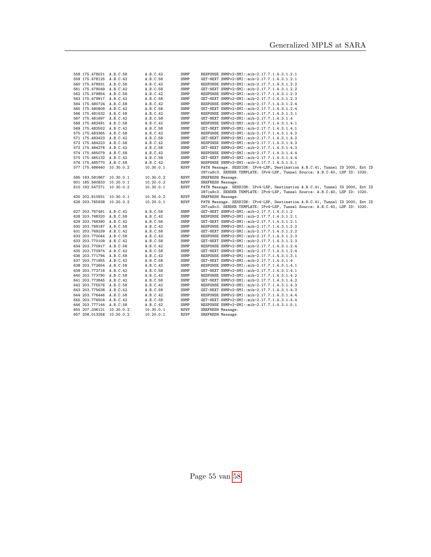| 558 175.478021 A.B.C.58  |                          | A.B.C.42  | SNMP        | RESPONSE SNMPv2-SMI::mib-2.17.7.1.4.3.1.2.1                                   |
|--------------------------|--------------------------|-----------|-------------|-------------------------------------------------------------------------------|
| 559 175.478125 A.B.C.42  |                          | A.B.C.58  | SNMP        | GET-NEXT SNMPv2-SMI::mib-2.17.7.1.4.3.1.2.1                                   |
| 560 175.478931 A.B.C.58  |                          | A.B.C.42  | SNMP        | RESPONSE SNMPv2-SMI::mib-2.17.7.1.4.3.1.2.2                                   |
| 561 175.479049 A.B.C.42  |                          | A.B.C.58  | SNMP        | GET-NEXT SNMPv2-SMI::mib-2.17.7.1.4.3.1.2.2                                   |
| 562 175.479854 A.B.C.58  |                          | A.B.C.42  | SNMP        | RESPONSE SNMPv2-SMI::mib-2.17.7.1.4.3.1.2.3                                   |
| 563 175.479917 A.B.C.42  |                          | A.B.C.58  | SNMP        | GET-NEXT SNMPv2-SMI::mib-2.17.7.1.4.3.1.2.3                                   |
| 564 175.480724 A.B.C.58  |                          | A.B.C.42  | SNMP        | RESPONSE SNMPv2-SMI::mib-2.17.7.1.4.3.1.2.4                                   |
| 565 175.480809 A.B.C.42  |                          | A.B.C.58  | SNMP        | GET-NEXT SNMPv2-SMI::mib-2.17.7.1.4.3.1.2.4                                   |
| 566 175.481632 A.B.C.58  |                          | A.B.C.42  | SNMP        | RESPONSE SNMPv2-SMI::mib-2.17.7.1.4.3.1.3.1                                   |
| 567 175.481697 A.B.C.42  |                          | A.B.C.58  | SNMP        | GET-NEXT SNMPv2-SMI::mib-2.17.7.1.4.3.1.4                                     |
| 568 175.482491 A.B.C.58  |                          | A.B.C.42  | SNMP        | RESPONSE SNMPv2-SMI::mib-2.17.7.1.4.3.1.4.1                                   |
| 569 175.482552 A.B.C.42  |                          | A.B.C.58  | SNMP        | GET-NEXT SNMPv2-SMI::mib-2.17.7.1.4.3.1.4.1                                   |
| 570 175.483365 A.B.C.58  |                          | A.B.C.42  | SNMP        | RESPONSE SNMPv2-SMI::mib-2.17.7.1.4.3.1.4.2                                   |
| 571 175.483423 A.B.C.42  |                          | A.B.C.58  | SNMP        | GET-NEXT SNMPv2-SMI::mib-2.17.7.1.4.3.1.4.2                                   |
| 572 175.484223 A.B.C.58  |                          | A.B.C.42  | SNMP        | RESPONSE SNMPv2-SMI::mib-2.17.7.1.4.3.1.4.3                                   |
| 573 175.484278 A.B.C.42  |                          | A.B.C.58  | SNMP        | GET-NEXT SNMPv2-SMI::mib-2.17.7.1.4.3.1.4.3                                   |
| 574 175.485079 A.B.C.58  |                          | A.B.C.42  | SNMP        | RESPONSE SNMPv2-SMI::mib-2.17.7.1.4.3.1.4.4                                   |
| 575 175.485132 A.B.C.42  |                          | A.B.C.58  | SNMP        | GET-NEXT SNMPv2-SMI::mib-2.17.7.1.4.3.1.4.4                                   |
| 576 175.485770 A.B.C.58  |                          | A.B.C.42  | SNMP        | RESPONSE SNMPv2-SMI::mib-2.17.7.1.4.3.1.5.1                                   |
| 577 175.486440 10.30.0.2 |                          | 10.30.0.1 | <b>RSVP</b> | PATH Message. SESSION: IPv4-LSP, Destination A.B.C.41, Tunnel ID 2000, Ext ID |
|                          |                          |           |             | 287ca9c3. SENDER TEMPLATE: IPv4-LSP, Tunnel Source: A.B.C.40, LSP ID: 1020.   |
| 595 183.581867 10.30.0.1 |                          | 10.30.0.2 | RSVP        | SREFRESH Message.                                                             |
| 601 185.560833 10.20.0.1 |                          | 10.20.0.2 | RSVP        | SREFRESH Message.                                                             |
| 610 192.547271 10.30.0.2 |                          | 10.30.0.1 | <b>RSVP</b> | PATH Message. SESSION: IPv4-LSP, Destination A.B.C.41, Tunnel ID 2000, Ext ID |
|                          |                          |           |             | 287ca9c3. SENDER TEMPLATE: IPv4-LSP, Tunnel Source: A.B.C.40, LSP ID: 1020.   |
| 625 202.810931 10.30.0.1 |                          | 10.30.0.2 | RSVP        | SREFRESH Message.                                                             |
| 626 203.765938 10.20.0.2 |                          | 10.20.0.1 | RSVP        | PATH Message. SESSION: IPv4-LSP, Destination A.B.C.41, Tunnel ID 2000, Ext ID |
|                          |                          |           |             | 287ca9c3. SENDER TEMPLATE: IPv4-LSP, Tunnel Source: A.B.C.40, LSP ID: 1020.   |
| 627 203.767481 A.B.C.42  |                          | A.B.C.58  | SNMP        | GET-NEXT SNMPv2-SMI::mib-2.17.7.1.4.3.1.2                                     |
| 628 203.768320 A.B.C.58  |                          | A.B.C.42  | SNMP        | RESPONSE SNMPv2-SMI::mib-2.17.7.1.4.3.1.2.1                                   |
| 629 203.768390 A.B.C.42  |                          | A.B.C.58  | SNMP        | GET-NEXT SNMPv2-SMI::mib-2.17.7.1.4.3.1.2.1                                   |
| 630 203.769187 A.B.C.58  |                          | A.B.C.42  | SNMP        | RESPONSE SNMPv2-SMI::mib-2.17.7.1.4.3.1.2.2                                   |
| 631 203.769239 A.B.C.42  |                          | A.B.C.58  | SNMP        | GET-NEXT SNMPv2-SMI::mib-2.17.7.1.4.3.1.2.2                                   |
| 632 203.770044 A.B.C.58  |                          | A.B.C.42  | SNMP        | RESPONSE SNMPv2-SMI::mib-2.17.7.1.4.3.1.2.3                                   |
| 633 203.770109 A.B.C.42  |                          | A.B.C.58  | SNMP        | GET-NEXT SNMPv2-SMI::mib-2.17.7.1.4.3.1.2.3                                   |
| 634 203.770917 A.B.C.58  |                          | A.B.C.42  | SNMP        | RESPONSE SNMPv2-SMI::mib-2.17.7.1.4.3.1.2.4                                   |
| 635 203.770974 A.B.C.42  |                          | A.B.C.58  | SNMP        | GET-NEXT SNMPv2-SMI::mib-2.17.7.1.4.3.1.2.4                                   |
| 636 203.771794 A.B.C.58  |                          | A.B.C.42  | SNMP        | RESPONSE SNMPv2-SMI::mib-2.17.7.1.4.3.1.3.1                                   |
| 637 203.771855 A.B.C.42  |                          | A.B.C.58  | SNMP        | GET-NEXT SNMPv2-SMI::mib-2.17.7.1.4.3.1.4                                     |
| 638 203.772654 A.B.C.58  |                          | A.B.C.42  | SNMP        | RESPONSE SNMPv2-SMI::mib-2.17.7.1.4.3.1.4.1                                   |
| 639 203.772718 A.B.C.42  |                          | A.B.C.58  | SNMP        | GET-NEXT SNMPv2-SMI::mib-2.17.7.1.4.3.1.4.1                                   |
| 640 203.773790 A.B.C.58  |                          | A.B.C.42  | SNMP        | RESPONSE SNMPv2-SMI::mib-2.17.7.1.4.3.1.4.2                                   |
| 641 203.773845 A.B.C.42  |                          | A.B.C.58  | SNMP        | GET-NEXT SNMPv2-SMI::mib-2.17.7.1.4.3.1.4.2                                   |
| 642 203.775576 A.B.C.58  |                          | A.B.C.42  | SNMP        | RESPONSE SNMPv2-SMI::mib-2.17.7.1.4.3.1.4.3                                   |
| 643 203.775638 A.B.C.42  |                          | A.B.C.58  | SNMP        | GET-NEXT SNMPv2-SMI::mib-2.17.7.1.4.3.1.4.3                                   |
| 644 203.776446 A.B.C.58  |                          | A.B.C.42  | SNMP        | RESPONSE SNMPv2-SMI::mib-2.17.7.1.4.3.1.4.4                                   |
| 645 203.776504 A.B.C.42  |                          | A.B.C.58  | SNMP        | GET-NEXT SNMPv2-SMI::mib-2.17.7.1.4.3.1.4.4                                   |
| 646 203.777144 A.B.C.58  |                          | A.B.C.42  | SNMP        | RESPONSE SNMPv2-SMI::mib-2.17.7.1.4.3.1.5.1                                   |
| 655 207.336121 10.30.0.2 |                          | 10.30.0.1 | <b>RSVP</b> | SREFRESH Message.                                                             |
|                          | 657 208.013258 10.20.0.2 | 10.20.0.1 | <b>RSVP</b> | SREFRESH Message.                                                             |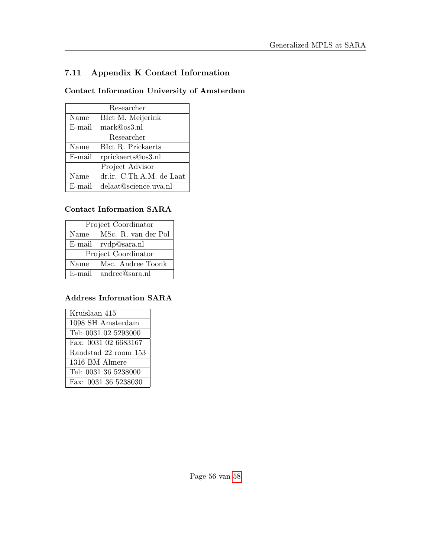# <span id="page-55-0"></span>7.11 Appendix K Contact Information

## Contact Information University of Amsterdam

| Researcher |                          |  |  |  |
|------------|--------------------------|--|--|--|
| Name       | BIct M. Meijerink        |  |  |  |
| E-mail     | mark@os3.nl              |  |  |  |
| Researcher |                          |  |  |  |
| Name       | BIct R. Prickaerts       |  |  |  |
| E-mail     | rprickaerts@os3.nl       |  |  |  |
|            | Project Advisor          |  |  |  |
| Name       | dr.ir. C.Th.A.M. de Laat |  |  |  |
| E-mail     | delaat@science.uva.nl    |  |  |  |

### Contact Information SARA

| Project Coordinator |                          |  |  |  |  |
|---------------------|--------------------------|--|--|--|--|
| Name                | MSc. R. van der Pol      |  |  |  |  |
|                     | $E$ -mail   rvdp@sara.nl |  |  |  |  |
| Project Coordinator |                          |  |  |  |  |
| Name                | Msc. Andree Toonk        |  |  |  |  |
| $E$ -mail           | andree@sara.nl           |  |  |  |  |

## Address Information SARA

| Kruislaan 415        |
|----------------------|
| 1098 SH Amsterdam    |
| Tel: 0031 02 5293000 |
| Fax: 0031 02 6683167 |
| Randstad 22 room 153 |
| 1316 BM Almere       |
| Tel: 0031 36 5238000 |
| Fax: 0031 36 5238030 |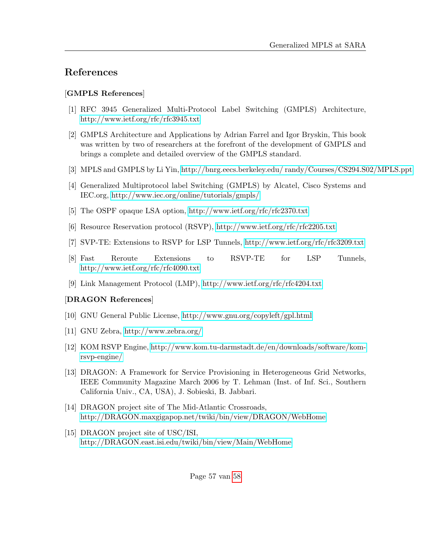# References

### [GMPLS References]

- <span id="page-56-0"></span>[1] RFC 3945 Generalized Multi-Protocol Label Switching (GMPLS) Architecture, <http://www.ietf.org/rfc/rfc3945.txt>
- <span id="page-56-1"></span>[2] GMPLS Architecture and Applications by Adrian Farrel and Igor Bryskin, This book was written by two of researchers at the forefront of the development of GMPLS and brings a complete and detailed overview of the GMPLS standard.
- <span id="page-56-2"></span>[3] MPLS and GMPLS by Li Yin, [http://bnrg.eecs.berkeley.edu/ randy/Courses/CS294.S02/MPLS.ppt](http://bnrg.eecs.berkeley.edu/~randy/Courses/CS294.S02/MPLS.ppt)
- <span id="page-56-3"></span>[4] Generalized Multiprotocol label Switching (GMPLS) by Alcatel, Cisco Systems and IEC.org,<http://www.iec.org/online/tutorials/gmpls/>
- <span id="page-56-4"></span>[5] The OSPF opaque LSA option,<http://www.ietf.org/rfc/rfc2370.txt>
- <span id="page-56-5"></span>[6] Resource Reservation protocol (RSVP),<http://www.ietf.org/rfc/rfc2205.txt>
- <span id="page-56-6"></span>[7] SVP-TE: Extensions to RSVP for LSP Tunnels,<http://www.ietf.org/rfc/rfc3209.txt>
- <span id="page-56-7"></span>[8] Fast Reroute Extensions to RSVP-TE for LSP Tunnels, <http://www.ietf.org/rfc/rfc4090.txt>
- <span id="page-56-8"></span>[9] Link Management Protocol (LMP),<http://www.ietf.org/rfc/rfc4204.txt>

## [DRAGON References]

- <span id="page-56-11"></span>[10] GNU General Public License,<http://www.gnu.org/copyleft/gpl.html>
- <span id="page-56-9"></span>[11] GNU Zebra,<http://www.zebra.org/>
- <span id="page-56-10"></span>[12] KOM RSVP Engine, [http://www.kom.tu-darmstadt.de/en/downloads/software/kom](http://www.kom.tu-darmstadt.de/en/downloads/software/kom-rsvp-engine/)[rsvp-engine/](http://www.kom.tu-darmstadt.de/en/downloads/software/kom-rsvp-engine/)
- [13] DRAGON: A Framework for Service Provisioning in Heterogeneous Grid Networks, IEEE Community Magazine March 2006 by T. Lehman (Inst. of Inf. Sci., Southern California Univ., CA, USA), J. Sobieski, B. Jabbari.
- [14] DRAGON project site of The Mid-Atlantic Crossroads, <http://DRAGON.maxgigapop.net/twiki/bin/view/DRAGON/WebHome>
- [15] DRAGON project site of USC/ISI, <http://DRAGON.east.isi.edu/twiki/bin/view/Main/WebHome>